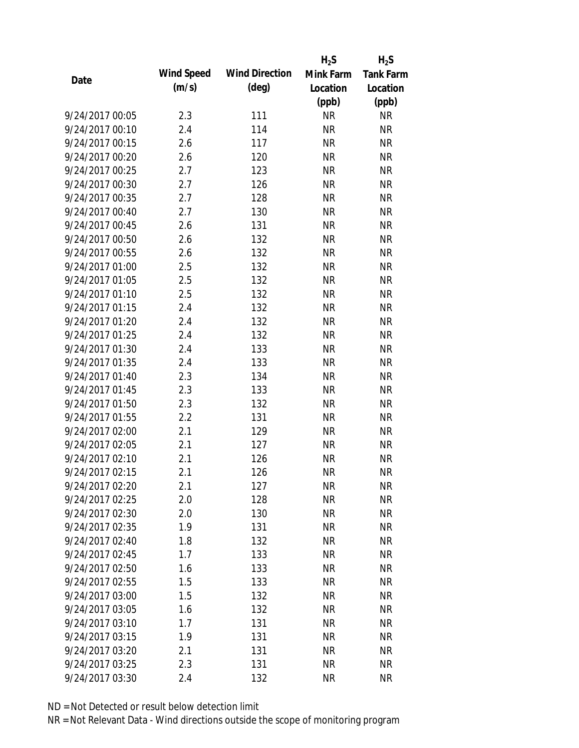|                 |            |                       | $H_2S$    | $H_2S$           |
|-----------------|------------|-----------------------|-----------|------------------|
|                 | Wind Speed | <b>Wind Direction</b> | Mink Farm | <b>Tank Farm</b> |
| Date            | (m/s)      | $(\text{deg})$        | Location  | Location         |
|                 |            |                       | (ppb)     | (ppb)            |
| 9/24/2017 00:05 | 2.3        | 111                   | <b>NR</b> | <b>NR</b>        |
| 9/24/2017 00:10 | 2.4        | 114                   | <b>NR</b> | <b>NR</b>        |
| 9/24/2017 00:15 | 2.6        | 117                   | <b>NR</b> | <b>NR</b>        |
| 9/24/2017 00:20 | 2.6        | 120                   | <b>NR</b> | <b>NR</b>        |
| 9/24/2017 00:25 | 2.7        | 123                   | <b>NR</b> | <b>NR</b>        |
| 9/24/2017 00:30 | 2.7        | 126                   | <b>NR</b> | <b>NR</b>        |
| 9/24/2017 00:35 | 2.7        | 128                   | <b>NR</b> | <b>NR</b>        |
| 9/24/2017 00:40 | 2.7        | 130                   | <b>NR</b> | <b>NR</b>        |
| 9/24/2017 00:45 | 2.6        | 131                   | <b>NR</b> | <b>NR</b>        |
| 9/24/2017 00:50 | 2.6        | 132                   | <b>NR</b> | <b>NR</b>        |
| 9/24/2017 00:55 | 2.6        | 132                   | <b>NR</b> | <b>NR</b>        |
| 9/24/2017 01:00 | 2.5        | 132                   | <b>NR</b> | <b>NR</b>        |
| 9/24/2017 01:05 | 2.5        | 132                   | <b>NR</b> | <b>NR</b>        |
| 9/24/2017 01:10 | 2.5        | 132                   | <b>NR</b> | <b>NR</b>        |
| 9/24/2017 01:15 | 2.4        | 132                   | <b>NR</b> | <b>NR</b>        |
| 9/24/2017 01:20 | 2.4        | 132                   | <b>NR</b> | <b>NR</b>        |
| 9/24/2017 01:25 | 2.4        | 132                   | <b>NR</b> | <b>NR</b>        |
| 9/24/2017 01:30 | 2.4        | 133                   | <b>NR</b> | <b>NR</b>        |
| 9/24/2017 01:35 | 2.4        | 133                   | <b>NR</b> | <b>NR</b>        |
| 9/24/2017 01:40 | 2.3        | 134                   | <b>NR</b> | <b>NR</b>        |
| 9/24/2017 01:45 | 2.3        | 133                   | <b>NR</b> | <b>NR</b>        |
| 9/24/2017 01:50 | 2.3        | 132                   | <b>NR</b> | <b>NR</b>        |
| 9/24/2017 01:55 | 2.2        | 131                   | <b>NR</b> | <b>NR</b>        |
| 9/24/2017 02:00 | 2.1        | 129                   | <b>NR</b> | <b>NR</b>        |
| 9/24/2017 02:05 | 2.1        | 127                   | <b>NR</b> | <b>NR</b>        |
| 9/24/2017 02:10 | 2.1        | 126                   | <b>NR</b> | <b>NR</b>        |
| 9/24/2017 02:15 | 2.1        | 126                   | <b>NR</b> | <b>NR</b>        |
| 9/24/2017 02:20 | 2.1        | 127                   | <b>NR</b> | <b>NR</b>        |
| 9/24/2017 02:25 | 2.0        | 128                   | <b>NR</b> | <b>NR</b>        |
| 9/24/2017 02:30 | 2.0        | 130                   | <b>NR</b> | <b>NR</b>        |
| 9/24/2017 02:35 | 1.9        | 131                   | <b>NR</b> | <b>NR</b>        |
| 9/24/2017 02:40 | 1.8        | 132                   | <b>NR</b> | <b>NR</b>        |
| 9/24/2017 02:45 | 1.7        | 133                   | <b>NR</b> | <b>NR</b>        |
| 9/24/2017 02:50 | 1.6        | 133                   | <b>NR</b> | <b>NR</b>        |
| 9/24/2017 02:55 | 1.5        | 133                   | <b>NR</b> | <b>NR</b>        |
| 9/24/2017 03:00 | 1.5        | 132                   | <b>NR</b> | <b>NR</b>        |
| 9/24/2017 03:05 | 1.6        | 132                   | <b>NR</b> | NR               |
| 9/24/2017 03:10 | 1.7        | 131                   | <b>NR</b> | <b>NR</b>        |
| 9/24/2017 03:15 | 1.9        | 131                   | <b>NR</b> | <b>NR</b>        |
| 9/24/2017 03:20 | 2.1        | 131                   | <b>NR</b> | <b>NR</b>        |
| 9/24/2017 03:25 | 2.3        | 131                   | <b>NR</b> | <b>NR</b>        |
| 9/24/2017 03:30 | 2.4        | 132                   | <b>NR</b> | <b>NR</b>        |
|                 |            |                       |           |                  |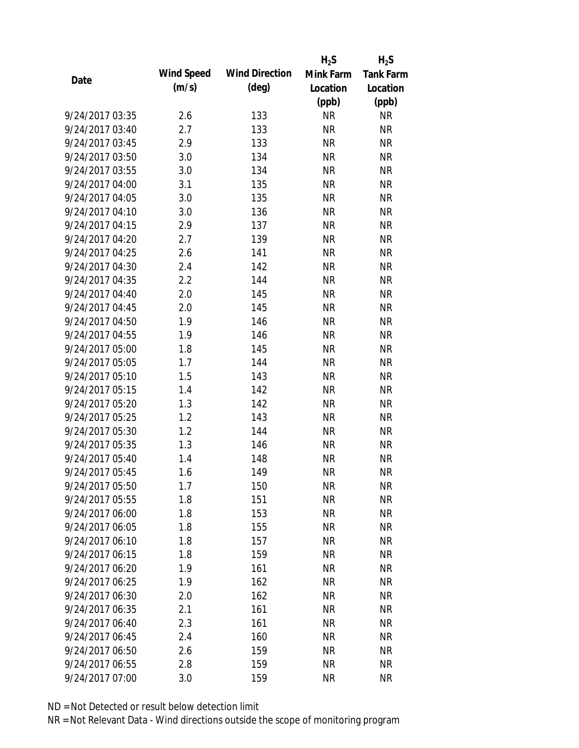|                 |            |                       | $H_2S$    | $H_2S$           |
|-----------------|------------|-----------------------|-----------|------------------|
| Date            | Wind Speed | <b>Wind Direction</b> | Mink Farm | <b>Tank Farm</b> |
|                 | (m/s)      | $(\text{deg})$        | Location  | Location         |
|                 |            |                       | (ppb)     | (ppb)            |
| 9/24/2017 03:35 | 2.6        | 133                   | <b>NR</b> | <b>NR</b>        |
| 9/24/2017 03:40 | 2.7        | 133                   | <b>NR</b> | <b>NR</b>        |
| 9/24/2017 03:45 | 2.9        | 133                   | <b>NR</b> | <b>NR</b>        |
| 9/24/2017 03:50 | 3.0        | 134                   | <b>NR</b> | <b>NR</b>        |
| 9/24/2017 03:55 | 3.0        | 134                   | <b>NR</b> | <b>NR</b>        |
| 9/24/2017 04:00 | 3.1        | 135                   | <b>NR</b> | <b>NR</b>        |
| 9/24/2017 04:05 | 3.0        | 135                   | <b>NR</b> | <b>NR</b>        |
| 9/24/2017 04:10 | 3.0        | 136                   | <b>NR</b> | <b>NR</b>        |
| 9/24/2017 04:15 | 2.9        | 137                   | <b>NR</b> | <b>NR</b>        |
| 9/24/2017 04:20 | 2.7        | 139                   | <b>NR</b> | <b>NR</b>        |
| 9/24/2017 04:25 | 2.6        | 141                   | <b>NR</b> | <b>NR</b>        |
| 9/24/2017 04:30 | 2.4        | 142                   | <b>NR</b> | <b>NR</b>        |
| 9/24/2017 04:35 | 2.2        | 144                   | <b>NR</b> | <b>NR</b>        |
| 9/24/2017 04:40 | 2.0        | 145                   | <b>NR</b> | <b>NR</b>        |
| 9/24/2017 04:45 | 2.0        | 145                   | <b>NR</b> | <b>NR</b>        |
| 9/24/2017 04:50 | 1.9        | 146                   | <b>NR</b> | <b>NR</b>        |
| 9/24/2017 04:55 | 1.9        | 146                   | <b>NR</b> | <b>NR</b>        |
| 9/24/2017 05:00 | 1.8        | 145                   | <b>NR</b> | <b>NR</b>        |
| 9/24/2017 05:05 | 1.7        | 144                   | <b>NR</b> | <b>NR</b>        |
| 9/24/2017 05:10 | 1.5        | 143                   | <b>NR</b> | <b>NR</b>        |
| 9/24/2017 05:15 | 1.4        | 142                   | <b>NR</b> | <b>NR</b>        |
| 9/24/2017 05:20 | 1.3        | 142                   | <b>NR</b> | <b>NR</b>        |
| 9/24/2017 05:25 | 1.2        | 143                   | <b>NR</b> | <b>NR</b>        |
| 9/24/2017 05:30 | 1.2        | 144                   | <b>NR</b> | <b>NR</b>        |
| 9/24/2017 05:35 | 1.3        | 146                   | <b>NR</b> | <b>NR</b>        |
| 9/24/2017 05:40 | 1.4        | 148                   | <b>NR</b> | <b>NR</b>        |
| 9/24/2017 05:45 | 1.6        | 149                   | <b>NR</b> | <b>NR</b>        |
| 9/24/2017 05:50 | 1.7        | 150                   | NR        | NR               |
| 9/24/2017 05:55 | 1.8        | 151                   | <b>NR</b> | <b>NR</b>        |
| 9/24/2017 06:00 | 1.8        | 153                   | <b>NR</b> | <b>NR</b>        |
| 9/24/2017 06:05 | 1.8        | 155                   | <b>NR</b> | <b>NR</b>        |
| 9/24/2017 06:10 | 1.8        | 157                   | <b>NR</b> | <b>NR</b>        |
| 9/24/2017 06:15 | 1.8        | 159                   | <b>NR</b> | <b>NR</b>        |
| 9/24/2017 06:20 | 1.9        | 161                   | <b>NR</b> | <b>NR</b>        |
| 9/24/2017 06:25 | 1.9        | 162                   | <b>NR</b> | <b>NR</b>        |
| 9/24/2017 06:30 | 2.0        | 162                   | <b>NR</b> | <b>NR</b>        |
| 9/24/2017 06:35 | 2.1        | 161                   | <b>NR</b> | <b>NR</b>        |
| 9/24/2017 06:40 | 2.3        | 161                   | NR        | <b>NR</b>        |
| 9/24/2017 06:45 | 2.4        | 160                   | <b>NR</b> | <b>NR</b>        |
| 9/24/2017 06:50 | 2.6        | 159                   | <b>NR</b> | <b>NR</b>        |
| 9/24/2017 06:55 | 2.8        | 159                   | <b>NR</b> | <b>NR</b>        |
| 9/24/2017 07:00 | 3.0        | 159                   | <b>NR</b> | <b>NR</b>        |
|                 |            |                       |           |                  |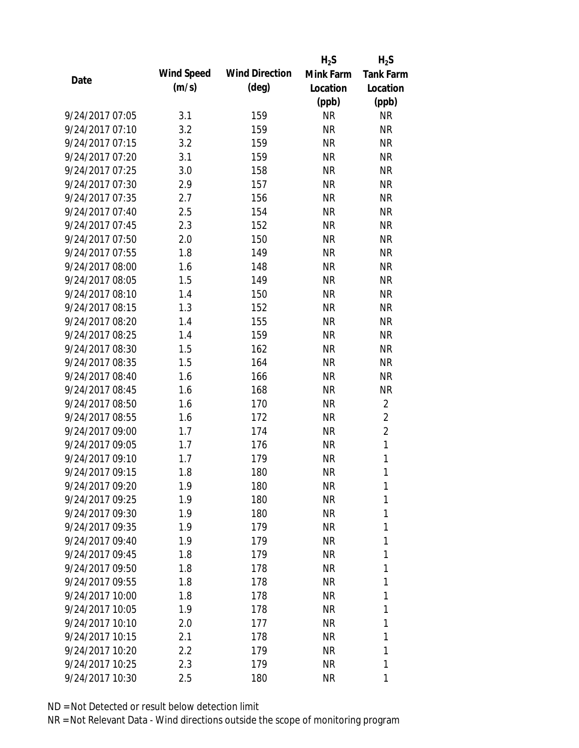|                 |            |                       | $H_2S$    | $H_2S$           |
|-----------------|------------|-----------------------|-----------|------------------|
| Date            | Wind Speed | <b>Wind Direction</b> | Mink Farm | <b>Tank Farm</b> |
|                 | (m/s)      | $(\text{deg})$        | Location  | Location         |
|                 |            |                       | (ppb)     | (ppb)            |
| 9/24/2017 07:05 | 3.1        | 159                   | <b>NR</b> | <b>NR</b>        |
| 9/24/2017 07:10 | 3.2        | 159                   | <b>NR</b> | <b>NR</b>        |
| 9/24/2017 07:15 | 3.2        | 159                   | <b>NR</b> | <b>NR</b>        |
| 9/24/2017 07:20 | 3.1        | 159                   | <b>NR</b> | <b>NR</b>        |
| 9/24/2017 07:25 | 3.0        | 158                   | <b>NR</b> | <b>NR</b>        |
| 9/24/2017 07:30 | 2.9        | 157                   | <b>NR</b> | <b>NR</b>        |
| 9/24/2017 07:35 | 2.7        | 156                   | <b>NR</b> | <b>NR</b>        |
| 9/24/2017 07:40 | 2.5        | 154                   | <b>NR</b> | <b>NR</b>        |
| 9/24/2017 07:45 | 2.3        | 152                   | <b>NR</b> | <b>NR</b>        |
| 9/24/2017 07:50 | 2.0        | 150                   | <b>NR</b> | <b>NR</b>        |
| 9/24/2017 07:55 | 1.8        | 149                   | <b>NR</b> | <b>NR</b>        |
| 9/24/2017 08:00 | 1.6        | 148                   | <b>NR</b> | <b>NR</b>        |
| 9/24/2017 08:05 | 1.5        | 149                   | <b>NR</b> | <b>NR</b>        |
| 9/24/2017 08:10 | 1.4        | 150                   | <b>NR</b> | <b>NR</b>        |
| 9/24/2017 08:15 | 1.3        | 152                   | <b>NR</b> | <b>NR</b>        |
| 9/24/2017 08:20 | 1.4        | 155                   | <b>NR</b> | <b>NR</b>        |
| 9/24/2017 08:25 | 1.4        | 159                   | <b>NR</b> | <b>NR</b>        |
| 9/24/2017 08:30 | 1.5        | 162                   | <b>NR</b> | <b>NR</b>        |
| 9/24/2017 08:35 | 1.5        | 164                   | <b>NR</b> | <b>NR</b>        |
| 9/24/2017 08:40 | 1.6        | 166                   | <b>NR</b> | <b>NR</b>        |
| 9/24/2017 08:45 | 1.6        | 168                   | <b>NR</b> | <b>NR</b>        |
| 9/24/2017 08:50 | 1.6        | 170                   | <b>NR</b> | $\overline{2}$   |
| 9/24/2017 08:55 | 1.6        | 172                   | <b>NR</b> | $\overline{2}$   |
| 9/24/2017 09:00 | 1.7        | 174                   | <b>NR</b> | $\overline{2}$   |
| 9/24/2017 09:05 | 1.7        | 176                   | <b>NR</b> | $\mathbf{1}$     |
| 9/24/2017 09:10 | 1.7        | 179                   | <b>NR</b> | $\mathbf{1}$     |
| 9/24/2017 09:15 | 1.8        | 180                   | <b>NR</b> | $\mathbf{1}$     |
| 9/24/2017 09:20 | 1.9        | 180                   | NR        | 1                |
| 9/24/2017 09:25 | 1.9        | 180                   | NR        | 1                |
| 9/24/2017 09:30 | 1.9        | 180                   | NR        | 1                |
| 9/24/2017 09:35 | 1.9        | 179                   | NR        | 1                |
| 9/24/2017 09:40 | 1.9        | 179                   | NR        | 1                |
| 9/24/2017 09:45 | 1.8        | 179                   | NR        | 1                |
| 9/24/2017 09:50 | 1.8        | 178                   | NR        | 1                |
| 9/24/2017 09:55 | 1.8        | 178                   | NR        | 1                |
| 9/24/2017 10:00 | 1.8        | 178                   | NR.       | 1                |
| 9/24/2017 10:05 | 1.9        | 178                   | NR        | 1                |
| 9/24/2017 10:10 | 2.0        | 177                   | NR        | 1                |
| 9/24/2017 10:15 | 2.1        | 178                   | NR        | 1                |
| 9/24/2017 10:20 | 2.2        | 179                   | NR        | 1                |
| 9/24/2017 10:25 | 2.3        | 179                   | <b>NR</b> | 1                |
| 9/24/2017 10:30 | 2.5        | 180                   | <b>NR</b> | 1                |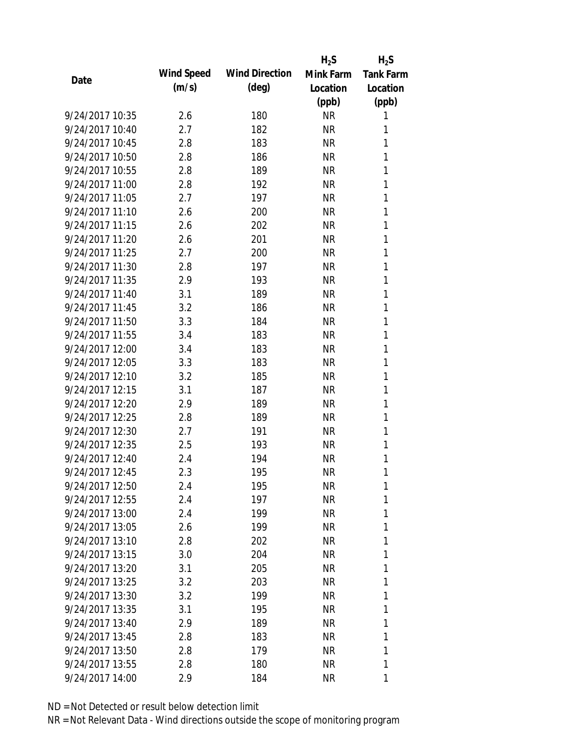|                 |            |                       | $H_2S$    | $H_2S$           |
|-----------------|------------|-----------------------|-----------|------------------|
| Date            | Wind Speed | <b>Wind Direction</b> | Mink Farm | <b>Tank Farm</b> |
|                 | (m/s)      | $(\text{deg})$        | Location  | Location         |
|                 |            |                       | (ppb)     | (ppb)            |
| 9/24/2017 10:35 | 2.6        | 180                   | <b>NR</b> | 1                |
| 9/24/2017 10:40 | 2.7        | 182                   | <b>NR</b> | 1                |
| 9/24/2017 10:45 | 2.8        | 183                   | <b>NR</b> | 1                |
| 9/24/2017 10:50 | 2.8        | 186                   | <b>NR</b> | 1                |
| 9/24/2017 10:55 | 2.8        | 189                   | <b>NR</b> | 1                |
| 9/24/2017 11:00 | 2.8        | 192                   | <b>NR</b> | 1                |
| 9/24/2017 11:05 | 2.7        | 197                   | <b>NR</b> | 1                |
| 9/24/2017 11:10 | 2.6        | 200                   | <b>NR</b> | 1                |
| 9/24/2017 11:15 | 2.6        | 202                   | <b>NR</b> | 1                |
| 9/24/2017 11:20 | 2.6        | 201                   | <b>NR</b> | 1                |
| 9/24/2017 11:25 | 2.7        | 200                   | <b>NR</b> | 1                |
| 9/24/2017 11:30 | 2.8        | 197                   | <b>NR</b> | 1                |
| 9/24/2017 11:35 | 2.9        | 193                   | <b>NR</b> | 1                |
| 9/24/2017 11:40 | 3.1        | 189                   | <b>NR</b> | 1                |
| 9/24/2017 11:45 | 3.2        | 186                   | <b>NR</b> | 1                |
| 9/24/2017 11:50 | 3.3        | 184                   | <b>NR</b> | 1                |
| 9/24/2017 11:55 | 3.4        | 183                   | <b>NR</b> | 1                |
| 9/24/2017 12:00 | 3.4        | 183                   | <b>NR</b> | 1                |
| 9/24/2017 12:05 | 3.3        | 183                   | <b>NR</b> | 1                |
| 9/24/2017 12:10 | 3.2        | 185                   | <b>NR</b> | 1                |
| 9/24/2017 12:15 | 3.1        | 187                   | <b>NR</b> | 1                |
| 9/24/2017 12:20 | 2.9        | 189                   | <b>NR</b> | 1                |
| 9/24/2017 12:25 | 2.8        | 189                   | <b>NR</b> | 1                |
| 9/24/2017 12:30 | 2.7        | 191                   | <b>NR</b> | 1                |
| 9/24/2017 12:35 | 2.5        | 193                   | <b>NR</b> | 1                |
| 9/24/2017 12:40 | 2.4        | 194                   | <b>NR</b> | 1                |
| 9/24/2017 12:45 | 2.3        | 195                   | <b>NR</b> | 1                |
| 9/24/2017 12:50 | 2.4        | 195                   | NR        | 1                |
| 9/24/2017 12:55 | 2.4        | 197                   | NR        | 1                |
| 9/24/2017 13:00 | 2.4        | 199                   | NR        | 1                |
| 9/24/2017 13:05 | 2.6        | 199                   | NR        | 1                |
| 9/24/2017 13:10 | 2.8        | 202                   | NR        | 1                |
| 9/24/2017 13:15 | 3.0        | 204                   | NR        | 1                |
| 9/24/2017 13:20 | 3.1        | 205                   | NR        | 1                |
| 9/24/2017 13:25 | 3.2        | 203                   | NR        | 1                |
| 9/24/2017 13:30 | 3.2        | 199                   | NR        | 1                |
| 9/24/2017 13:35 | 3.1        | 195                   | NR        | 1                |
| 9/24/2017 13:40 | 2.9        | 189                   | NR        | 1                |
| 9/24/2017 13:45 | 2.8        | 183                   | NR        | 1                |
| 9/24/2017 13:50 | 2.8        | 179                   | NR        | 1                |
| 9/24/2017 13:55 | 2.8        | 180                   | <b>NR</b> | 1                |
| 9/24/2017 14:00 | 2.9        | 184                   | <b>NR</b> | 1                |
|                 |            |                       |           |                  |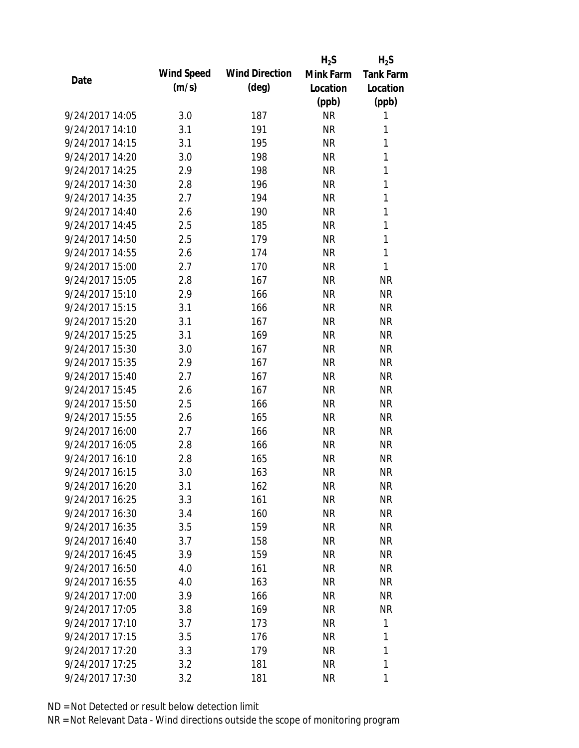|                 |            |                       | $H_2S$    | $H_2S$           |
|-----------------|------------|-----------------------|-----------|------------------|
| Date            | Wind Speed | <b>Wind Direction</b> | Mink Farm | <b>Tank Farm</b> |
|                 | (m/s)      | $(\text{deg})$        | Location  | Location         |
|                 |            |                       | (ppb)     | (ppb)            |
| 9/24/2017 14:05 | 3.0        | 187                   | <b>NR</b> | 1                |
| 9/24/2017 14:10 | 3.1        | 191                   | <b>NR</b> | 1                |
| 9/24/2017 14:15 | 3.1        | 195                   | <b>NR</b> | 1                |
| 9/24/2017 14:20 | 3.0        | 198                   | <b>NR</b> | 1                |
| 9/24/2017 14:25 | 2.9        | 198                   | <b>NR</b> | 1                |
| 9/24/2017 14:30 | 2.8        | 196                   | <b>NR</b> | 1                |
| 9/24/2017 14:35 | 2.7        | 194                   | <b>NR</b> | 1                |
| 9/24/2017 14:40 | 2.6        | 190                   | <b>NR</b> | $\mathbf{1}$     |
| 9/24/2017 14:45 | 2.5        | 185                   | <b>NR</b> | 1                |
| 9/24/2017 14:50 | 2.5        | 179                   | <b>NR</b> | 1                |
| 9/24/2017 14:55 | 2.6        | 174                   | <b>NR</b> | 1                |
| 9/24/2017 15:00 | 2.7        | 170                   | <b>NR</b> | 1                |
| 9/24/2017 15:05 | 2.8        | 167                   | <b>NR</b> | <b>NR</b>        |
| 9/24/2017 15:10 | 2.9        | 166                   | <b>NR</b> | <b>NR</b>        |
| 9/24/2017 15:15 | 3.1        | 166                   | <b>NR</b> | <b>NR</b>        |
| 9/24/2017 15:20 | 3.1        | 167                   | <b>NR</b> | <b>NR</b>        |
| 9/24/2017 15:25 | 3.1        | 169                   | <b>NR</b> | <b>NR</b>        |
| 9/24/2017 15:30 | 3.0        | 167                   | <b>NR</b> | <b>NR</b>        |
| 9/24/2017 15:35 | 2.9        | 167                   | <b>NR</b> | <b>NR</b>        |
| 9/24/2017 15:40 | 2.7        | 167                   | <b>NR</b> | <b>NR</b>        |
| 9/24/2017 15:45 | 2.6        | 167                   | <b>NR</b> | <b>NR</b>        |
| 9/24/2017 15:50 | 2.5        | 166                   | <b>NR</b> | <b>NR</b>        |
| 9/24/2017 15:55 | 2.6        | 165                   | <b>NR</b> | <b>NR</b>        |
| 9/24/2017 16:00 | 2.7        | 166                   | <b>NR</b> | <b>NR</b>        |
| 9/24/2017 16:05 | 2.8        | 166                   | <b>NR</b> | <b>NR</b>        |
| 9/24/2017 16:10 | 2.8        | 165                   | <b>NR</b> | <b>NR</b>        |
| 9/24/2017 16:15 | 3.0        | 163                   | <b>NR</b> | <b>NR</b>        |
| 9/24/2017 16:20 | 3.1        | 162                   | <b>NR</b> | NR               |
| 9/24/2017 16:25 | 3.3        | 161                   | <b>NR</b> | <b>NR</b>        |
| 9/24/2017 16:30 | 3.4        | 160                   | <b>NR</b> | <b>NR</b>        |
| 9/24/2017 16:35 | 3.5        | 159                   | <b>NR</b> | <b>NR</b>        |
| 9/24/2017 16:40 | 3.7        | 158                   | <b>NR</b> | NR               |
| 9/24/2017 16:45 | 3.9        | 159                   | <b>NR</b> | <b>NR</b>        |
| 9/24/2017 16:50 | 4.0        | 161                   | <b>NR</b> | <b>NR</b>        |
| 9/24/2017 16:55 | 4.0        | 163                   | <b>NR</b> | <b>NR</b>        |
| 9/24/2017 17:00 | 3.9        | 166                   | <b>NR</b> | <b>NR</b>        |
| 9/24/2017 17:05 | 3.8        | 169                   | NR        | <b>NR</b>        |
| 9/24/2017 17:10 | 3.7        | 173                   | NR        | 1                |
| 9/24/2017 17:15 | 3.5        | 176                   | <b>NR</b> | 1                |
| 9/24/2017 17:20 | 3.3        | 179                   | <b>NR</b> | 1                |
| 9/24/2017 17:25 | 3.2        | 181                   | <b>NR</b> | 1                |
| 9/24/2017 17:30 | 3.2        | 181                   | <b>NR</b> | 1                |
|                 |            |                       |           |                  |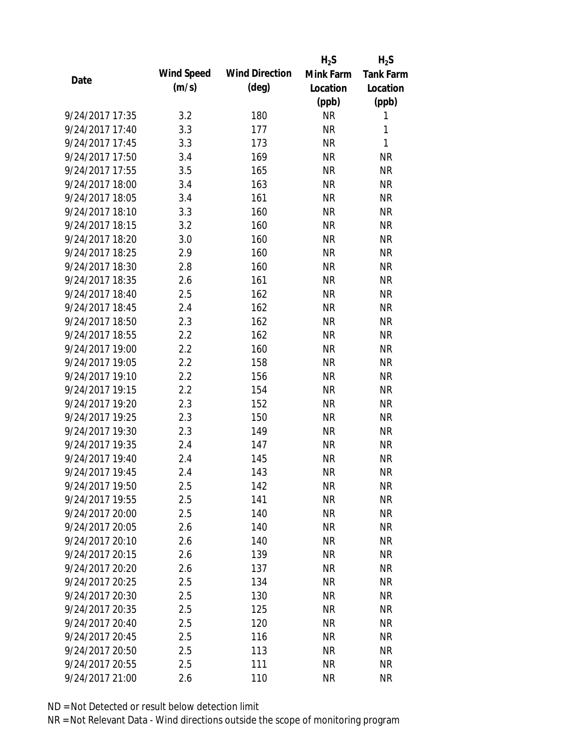|                 |            |                       | $H_2S$    | $H_2S$           |
|-----------------|------------|-----------------------|-----------|------------------|
|                 | Wind Speed | <b>Wind Direction</b> | Mink Farm | <b>Tank Farm</b> |
| Date            | (m/s)      | $(\text{deg})$        | Location  | Location         |
|                 |            |                       | (ppb)     | (ppb)            |
| 9/24/2017 17:35 | 3.2        | 180                   | <b>NR</b> | 1                |
| 9/24/2017 17:40 | 3.3        | 177                   | <b>NR</b> | 1                |
| 9/24/2017 17:45 | 3.3        | 173                   | <b>NR</b> | 1                |
| 9/24/2017 17:50 | 3.4        | 169                   | <b>NR</b> | <b>NR</b>        |
| 9/24/2017 17:55 | 3.5        | 165                   | <b>NR</b> | <b>NR</b>        |
| 9/24/2017 18:00 | 3.4        | 163                   | <b>NR</b> | <b>NR</b>        |
| 9/24/2017 18:05 | 3.4        | 161                   | <b>NR</b> | <b>NR</b>        |
| 9/24/2017 18:10 | 3.3        | 160                   | <b>NR</b> | <b>NR</b>        |
| 9/24/2017 18:15 | 3.2        | 160                   | <b>NR</b> | <b>NR</b>        |
| 9/24/2017 18:20 | 3.0        | 160                   | <b>NR</b> | <b>NR</b>        |
| 9/24/2017 18:25 | 2.9        | 160                   | <b>NR</b> | <b>NR</b>        |
| 9/24/2017 18:30 | 2.8        | 160                   | <b>NR</b> | <b>NR</b>        |
| 9/24/2017 18:35 | 2.6        | 161                   | <b>NR</b> | <b>NR</b>        |
| 9/24/2017 18:40 | 2.5        | 162                   | <b>NR</b> | <b>NR</b>        |
| 9/24/2017 18:45 | 2.4        | 162                   | <b>NR</b> | <b>NR</b>        |
| 9/24/2017 18:50 | 2.3        | 162                   | <b>NR</b> | <b>NR</b>        |
| 9/24/2017 18:55 | 2.2        | 162                   | <b>NR</b> | <b>NR</b>        |
| 9/24/2017 19:00 | 2.2        | 160                   | <b>NR</b> | <b>NR</b>        |
| 9/24/2017 19:05 | 2.2        | 158                   | <b>NR</b> | <b>NR</b>        |
| 9/24/2017 19:10 | 2.2        | 156                   | <b>NR</b> | <b>NR</b>        |
| 9/24/2017 19:15 | 2.2        | 154                   | <b>NR</b> | <b>NR</b>        |
| 9/24/2017 19:20 | 2.3        | 152                   | <b>NR</b> | <b>NR</b>        |
| 9/24/2017 19:25 | 2.3        | 150                   | <b>NR</b> | <b>NR</b>        |
| 9/24/2017 19:30 | 2.3        | 149                   | <b>NR</b> | <b>NR</b>        |
| 9/24/2017 19:35 | 2.4        | 147                   | <b>NR</b> | <b>NR</b>        |
| 9/24/2017 19:40 | 2.4        | 145                   | <b>NR</b> | <b>NR</b>        |
| 9/24/2017 19:45 | 2.4        | 143                   | <b>NR</b> | <b>NR</b>        |
| 9/24/2017 19:50 | 2.5        | 142                   | <b>NR</b> | <b>NR</b>        |
| 9/24/2017 19:55 | 2.5        | 141                   | <b>NR</b> | <b>NR</b>        |
| 9/24/2017 20:00 | 2.5        | 140                   | <b>NR</b> | <b>NR</b>        |
| 9/24/2017 20:05 | 2.6        | 140                   | <b>NR</b> | <b>NR</b>        |
| 9/24/2017 20:10 | 2.6        | 140                   | <b>NR</b> | <b>NR</b>        |
| 9/24/2017 20:15 | 2.6        | 139                   | <b>NR</b> | <b>NR</b>        |
| 9/24/2017 20:20 | 2.6        | 137                   | <b>NR</b> | <b>NR</b>        |
| 9/24/2017 20:25 | 2.5        | 134                   | <b>NR</b> | <b>NR</b>        |
| 9/24/2017 20:30 | 2.5        | 130                   | <b>NR</b> | <b>NR</b>        |
| 9/24/2017 20:35 | 2.5        | 125                   | <b>NR</b> | NR               |
| 9/24/2017 20:40 | 2.5        | 120                   | NR        | <b>NR</b>        |
| 9/24/2017 20:45 | 2.5        | 116                   | <b>NR</b> | <b>NR</b>        |
| 9/24/2017 20:50 | 2.5        | 113                   | NR        | NR               |
| 9/24/2017 20:55 | 2.5        | 111                   | <b>NR</b> | <b>NR</b>        |
| 9/24/2017 21:00 | 2.6        | 110                   | <b>NR</b> | <b>NR</b>        |
|                 |            |                       |           |                  |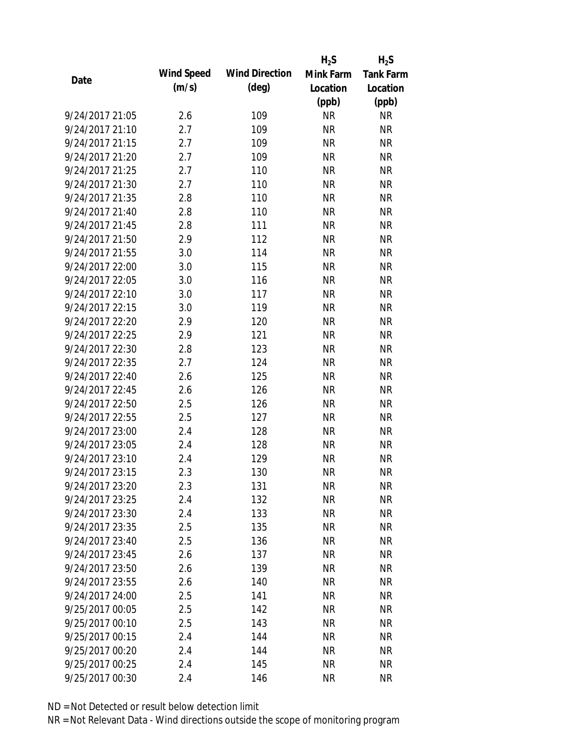|                 |            |                       | $H_2S$    | $H_2S$           |
|-----------------|------------|-----------------------|-----------|------------------|
| Date            | Wind Speed | <b>Wind Direction</b> | Mink Farm | <b>Tank Farm</b> |
|                 | (m/s)      | $(\text{deg})$        | Location  | Location         |
|                 |            |                       | (ppb)     | (ppb)            |
| 9/24/2017 21:05 | 2.6        | 109                   | <b>NR</b> | <b>NR</b>        |
| 9/24/2017 21:10 | 2.7        | 109                   | <b>NR</b> | <b>NR</b>        |
| 9/24/2017 21:15 | 2.7        | 109                   | <b>NR</b> | <b>NR</b>        |
| 9/24/2017 21:20 | 2.7        | 109                   | <b>NR</b> | <b>NR</b>        |
| 9/24/2017 21:25 | 2.7        | 110                   | <b>NR</b> | <b>NR</b>        |
| 9/24/2017 21:30 | 2.7        | 110                   | <b>NR</b> | <b>NR</b>        |
| 9/24/2017 21:35 | 2.8        | 110                   | <b>NR</b> | <b>NR</b>        |
| 9/24/2017 21:40 | 2.8        | 110                   | <b>NR</b> | <b>NR</b>        |
| 9/24/2017 21:45 | 2.8        | 111                   | <b>NR</b> | <b>NR</b>        |
| 9/24/2017 21:50 | 2.9        | 112                   | <b>NR</b> | <b>NR</b>        |
| 9/24/2017 21:55 | 3.0        | 114                   | <b>NR</b> | <b>NR</b>        |
| 9/24/2017 22:00 | 3.0        | 115                   | <b>NR</b> | <b>NR</b>        |
| 9/24/2017 22:05 | 3.0        | 116                   | <b>NR</b> | <b>NR</b>        |
| 9/24/2017 22:10 | 3.0        | 117                   | <b>NR</b> | <b>NR</b>        |
| 9/24/2017 22:15 | 3.0        | 119                   | <b>NR</b> | <b>NR</b>        |
| 9/24/2017 22:20 | 2.9        | 120                   | <b>NR</b> | <b>NR</b>        |
| 9/24/2017 22:25 | 2.9        | 121                   | <b>NR</b> | <b>NR</b>        |
| 9/24/2017 22:30 | 2.8        | 123                   | <b>NR</b> | <b>NR</b>        |
| 9/24/2017 22:35 | 2.7        | 124                   | <b>NR</b> | <b>NR</b>        |
| 9/24/2017 22:40 | 2.6        | 125                   | <b>NR</b> | <b>NR</b>        |
| 9/24/2017 22:45 | 2.6        | 126                   | <b>NR</b> | <b>NR</b>        |
| 9/24/2017 22:50 | 2.5        | 126                   | <b>NR</b> | <b>NR</b>        |
| 9/24/2017 22:55 | 2.5        | 127                   | <b>NR</b> | <b>NR</b>        |
| 9/24/2017 23:00 | 2.4        | 128                   | <b>NR</b> | <b>NR</b>        |
| 9/24/2017 23:05 | 2.4        | 128                   | <b>NR</b> | <b>NR</b>        |
| 9/24/2017 23:10 | 2.4        | 129                   | <b>NR</b> | <b>NR</b>        |
| 9/24/2017 23:15 | 2.3        | 130                   | <b>NR</b> | <b>NR</b>        |
| 9/24/2017 23:20 | 2.3        | 131                   | NR        | NR               |
| 9/24/2017 23:25 | 2.4        | 132                   | <b>NR</b> | <b>NR</b>        |
| 9/24/2017 23:30 | 2.4        | 133                   | <b>NR</b> | <b>NR</b>        |
| 9/24/2017 23:35 | 2.5        | 135                   | <b>NR</b> | <b>NR</b>        |
| 9/24/2017 23:40 | 2.5        | 136                   | <b>NR</b> | NR               |
| 9/24/2017 23:45 | 2.6        | 137                   | <b>NR</b> | <b>NR</b>        |
| 9/24/2017 23:50 | 2.6        | 139                   | <b>NR</b> | <b>NR</b>        |
| 9/24/2017 23:55 | 2.6        | 140                   | <b>NR</b> | <b>NR</b>        |
| 9/24/2017 24:00 | 2.5        | 141                   | <b>NR</b> | <b>NR</b>        |
| 9/25/2017 00:05 | 2.5        | 142                   | <b>NR</b> | <b>NR</b>        |
| 9/25/2017 00:10 | 2.5        | 143                   | NR        | <b>NR</b>        |
| 9/25/2017 00:15 | 2.4        | 144                   | <b>NR</b> | <b>NR</b>        |
| 9/25/2017 00:20 | 2.4        | 144                   | <b>NR</b> | <b>NR</b>        |
| 9/25/2017 00:25 | 2.4        | 145                   | <b>NR</b> | <b>NR</b>        |
| 9/25/2017 00:30 | 2.4        | 146                   | <b>NR</b> | <b>NR</b>        |
|                 |            |                       |           |                  |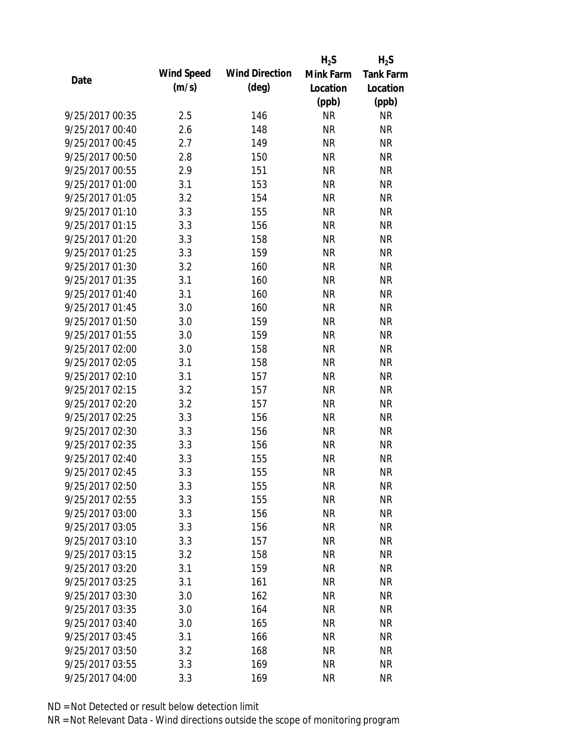|                 |            |                       | $H_2S$    | $H_2S$           |
|-----------------|------------|-----------------------|-----------|------------------|
| Date            | Wind Speed | <b>Wind Direction</b> | Mink Farm | <b>Tank Farm</b> |
|                 | (m/s)      | $(\text{deg})$        | Location  | Location         |
|                 |            |                       | (ppb)     | (ppb)            |
| 9/25/2017 00:35 | 2.5        | 146                   | <b>NR</b> | <b>NR</b>        |
| 9/25/2017 00:40 | 2.6        | 148                   | <b>NR</b> | <b>NR</b>        |
| 9/25/2017 00:45 | 2.7        | 149                   | <b>NR</b> | <b>NR</b>        |
| 9/25/2017 00:50 | 2.8        | 150                   | <b>NR</b> | <b>NR</b>        |
| 9/25/2017 00:55 | 2.9        | 151                   | <b>NR</b> | <b>NR</b>        |
| 9/25/2017 01:00 | 3.1        | 153                   | <b>NR</b> | <b>NR</b>        |
| 9/25/2017 01:05 | 3.2        | 154                   | <b>NR</b> | <b>NR</b>        |
| 9/25/2017 01:10 | 3.3        | 155                   | <b>NR</b> | <b>NR</b>        |
| 9/25/2017 01:15 | 3.3        | 156                   | <b>NR</b> | <b>NR</b>        |
| 9/25/2017 01:20 | 3.3        | 158                   | <b>NR</b> | <b>NR</b>        |
| 9/25/2017 01:25 | 3.3        | 159                   | <b>NR</b> | <b>NR</b>        |
| 9/25/2017 01:30 | 3.2        | 160                   | <b>NR</b> | <b>NR</b>        |
| 9/25/2017 01:35 | 3.1        | 160                   | <b>NR</b> | <b>NR</b>        |
| 9/25/2017 01:40 | 3.1        | 160                   | <b>NR</b> | <b>NR</b>        |
| 9/25/2017 01:45 | 3.0        | 160                   | <b>NR</b> | <b>NR</b>        |
| 9/25/2017 01:50 | 3.0        | 159                   | <b>NR</b> | <b>NR</b>        |
| 9/25/2017 01:55 | 3.0        | 159                   | <b>NR</b> | <b>NR</b>        |
| 9/25/2017 02:00 | 3.0        | 158                   | <b>NR</b> | <b>NR</b>        |
| 9/25/2017 02:05 | 3.1        | 158                   | <b>NR</b> | <b>NR</b>        |
| 9/25/2017 02:10 | 3.1        | 157                   | <b>NR</b> | <b>NR</b>        |
| 9/25/2017 02:15 | 3.2        | 157                   | <b>NR</b> | <b>NR</b>        |
| 9/25/2017 02:20 | 3.2        | 157                   | <b>NR</b> | <b>NR</b>        |
| 9/25/2017 02:25 | 3.3        | 156                   | <b>NR</b> | <b>NR</b>        |
| 9/25/2017 02:30 | 3.3        | 156                   | <b>NR</b> | <b>NR</b>        |
| 9/25/2017 02:35 | 3.3        | 156                   | <b>NR</b> | <b>NR</b>        |
| 9/25/2017 02:40 | 3.3        | 155                   | <b>NR</b> | <b>NR</b>        |
| 9/25/2017 02:45 | 3.3        | 155                   | <b>NR</b> | <b>NR</b>        |
| 9/25/2017 02:50 | 3.3        | 155                   | NR        | NR               |
| 9/25/2017 02:55 | 3.3        | 155                   | <b>NR</b> | <b>NR</b>        |
| 9/25/2017 03:00 | 3.3        | 156                   | <b>NR</b> | <b>NR</b>        |
| 9/25/2017 03:05 | 3.3        | 156                   | <b>NR</b> | <b>NR</b>        |
| 9/25/2017 03:10 | 3.3        | 157                   | <b>NR</b> | <b>NR</b>        |
| 9/25/2017 03:15 | 3.2        | 158                   | <b>NR</b> | <b>NR</b>        |
| 9/25/2017 03:20 | 3.1        | 159                   | <b>NR</b> | <b>NR</b>        |
| 9/25/2017 03:25 | 3.1        | 161                   | <b>NR</b> | <b>NR</b>        |
| 9/25/2017 03:30 | 3.0        | 162                   | <b>NR</b> | <b>NR</b>        |
| 9/25/2017 03:35 | 3.0        | 164                   | <b>NR</b> | <b>NR</b>        |
| 9/25/2017 03:40 | 3.0        | 165                   | NR        | <b>NR</b>        |
| 9/25/2017 03:45 | 3.1        | 166                   | <b>NR</b> | <b>NR</b>        |
| 9/25/2017 03:50 | 3.2        | 168                   | <b>NR</b> | <b>NR</b>        |
| 9/25/2017 03:55 | 3.3        | 169                   | <b>NR</b> | <b>NR</b>        |
| 9/25/2017 04:00 | 3.3        | 169                   | <b>NR</b> | <b>NR</b>        |
|                 |            |                       |           |                  |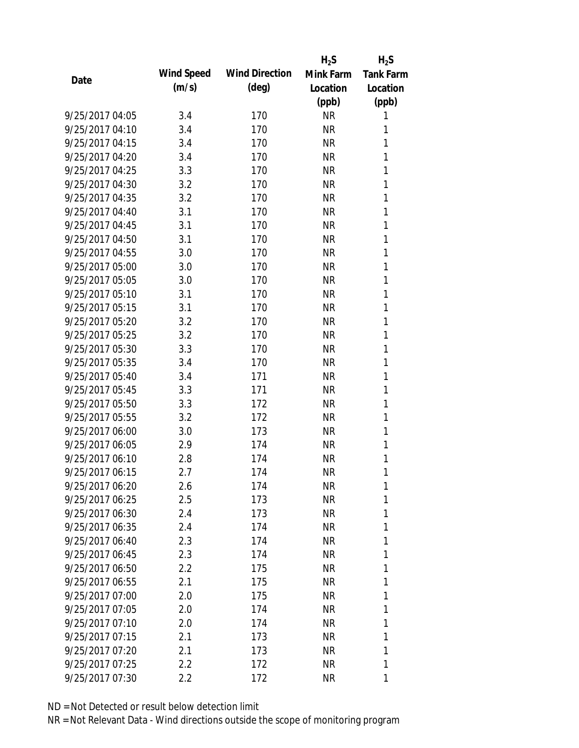|                 |            |                       | $H_2S$    | $H_2S$           |
|-----------------|------------|-----------------------|-----------|------------------|
| Date            | Wind Speed | <b>Wind Direction</b> | Mink Farm | <b>Tank Farm</b> |
|                 | (m/s)      | $(\text{deg})$        | Location  | Location         |
|                 |            |                       | (ppb)     | (ppb)            |
| 9/25/2017 04:05 | 3.4        | 170                   | <b>NR</b> | 1                |
| 9/25/2017 04:10 | 3.4        | 170                   | <b>NR</b> | 1                |
| 9/25/2017 04:15 | 3.4        | 170                   | <b>NR</b> | 1                |
| 9/25/2017 04:20 | 3.4        | 170                   | <b>NR</b> | 1                |
| 9/25/2017 04:25 | 3.3        | 170                   | <b>NR</b> | 1                |
| 9/25/2017 04:30 | 3.2        | 170                   | <b>NR</b> | 1                |
| 9/25/2017 04:35 | 3.2        | 170                   | <b>NR</b> | 1                |
| 9/25/2017 04:40 | 3.1        | 170                   | <b>NR</b> | 1                |
| 9/25/2017 04:45 | 3.1        | 170                   | <b>NR</b> | 1                |
| 9/25/2017 04:50 | 3.1        | 170                   | <b>NR</b> | 1                |
| 9/25/2017 04:55 | 3.0        | 170                   | <b>NR</b> | 1                |
| 9/25/2017 05:00 | 3.0        | 170                   | <b>NR</b> | 1                |
| 9/25/2017 05:05 | 3.0        | 170                   | <b>NR</b> | 1                |
| 9/25/2017 05:10 | 3.1        | 170                   | <b>NR</b> | 1                |
| 9/25/2017 05:15 | 3.1        | 170                   | <b>NR</b> | 1                |
| 9/25/2017 05:20 | 3.2        | 170                   | <b>NR</b> | 1                |
| 9/25/2017 05:25 | 3.2        | 170                   | <b>NR</b> | 1                |
| 9/25/2017 05:30 | 3.3        | 170                   | <b>NR</b> | 1                |
| 9/25/2017 05:35 | 3.4        | 170                   | <b>NR</b> | 1                |
| 9/25/2017 05:40 | 3.4        | 171                   | <b>NR</b> | 1                |
| 9/25/2017 05:45 | 3.3        | 171                   | <b>NR</b> | 1                |
| 9/25/2017 05:50 | 3.3        | 172                   | <b>NR</b> | 1                |
| 9/25/2017 05:55 | 3.2        | 172                   | <b>NR</b> | 1                |
| 9/25/2017 06:00 | 3.0        | 173                   | <b>NR</b> | 1                |
| 9/25/2017 06:05 | 2.9        | 174                   | <b>NR</b> | 1                |
| 9/25/2017 06:10 | 2.8        | 174                   | <b>NR</b> | 1                |
| 9/25/2017 06:15 | 2.7        | 174                   | <b>NR</b> | 1                |
| 9/25/2017 06:20 | 2.6        | 174                   | NR        | 1                |
| 9/25/2017 06:25 | 2.5        | 173                   | NR        | 1                |
| 9/25/2017 06:30 | 2.4        | 173                   | NR        | 1                |
| 9/25/2017 06:35 | 2.4        | 174                   | NR.       | 1                |
| 9/25/2017 06:40 | 2.3        | 174                   | NR        | 1                |
| 9/25/2017 06:45 | 2.3        | 174                   | NR        | 1                |
| 9/25/2017 06:50 | 2.2        | 175                   | NR        | 1                |
| 9/25/2017 06:55 | 2.1        | 175                   | NR        | 1                |
| 9/25/2017 07:00 | 2.0        | 175                   | NR        | 1                |
| 9/25/2017 07:05 | 2.0        | 174                   | NR        | 1                |
| 9/25/2017 07:10 | 2.0        | 174                   | NR        | 1                |
| 9/25/2017 07:15 | 2.1        | 173                   | NR        | 1                |
| 9/25/2017 07:20 | 2.1        | 173                   | NR        | 1                |
| 9/25/2017 07:25 | 2.2        | 172                   | <b>NR</b> | 1                |
| 9/25/2017 07:30 | 2.2        | 172                   | <b>NR</b> | 1                |
|                 |            |                       |           |                  |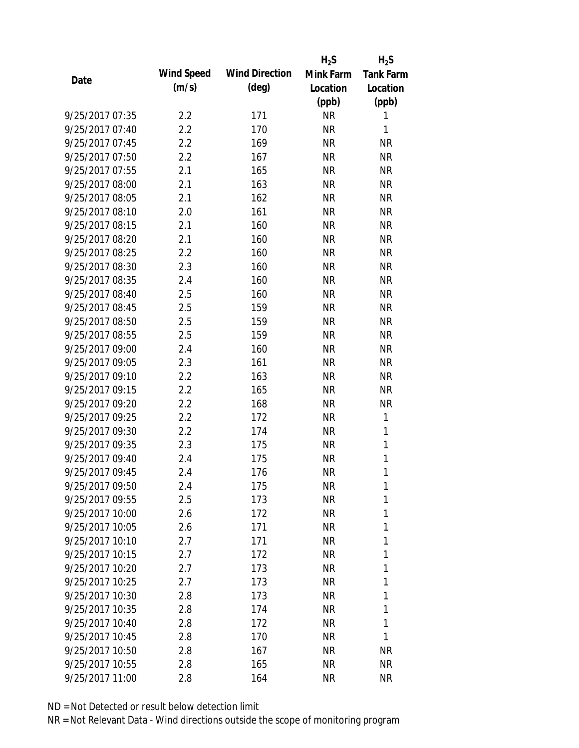|                 |            |                       | $H_2S$    | $H_2S$           |
|-----------------|------------|-----------------------|-----------|------------------|
| Date            | Wind Speed | <b>Wind Direction</b> | Mink Farm | <b>Tank Farm</b> |
|                 | (m/s)      | $(\text{deg})$        | Location  | Location         |
|                 |            |                       | (ppb)     | (ppb)            |
| 9/25/2017 07:35 | 2.2        | 171                   | <b>NR</b> | 1                |
| 9/25/2017 07:40 | 2.2        | 170                   | <b>NR</b> | 1                |
| 9/25/2017 07:45 | 2.2        | 169                   | <b>NR</b> | <b>NR</b>        |
| 9/25/2017 07:50 | 2.2        | 167                   | <b>NR</b> | <b>NR</b>        |
| 9/25/2017 07:55 | 2.1        | 165                   | <b>NR</b> | <b>NR</b>        |
| 9/25/2017 08:00 | 2.1        | 163                   | <b>NR</b> | <b>NR</b>        |
| 9/25/2017 08:05 | 2.1        | 162                   | <b>NR</b> | <b>NR</b>        |
| 9/25/2017 08:10 | 2.0        | 161                   | <b>NR</b> | <b>NR</b>        |
| 9/25/2017 08:15 | 2.1        | 160                   | <b>NR</b> | <b>NR</b>        |
| 9/25/2017 08:20 | 2.1        | 160                   | <b>NR</b> | <b>NR</b>        |
| 9/25/2017 08:25 | 2.2        | 160                   | <b>NR</b> | <b>NR</b>        |
| 9/25/2017 08:30 | 2.3        | 160                   | <b>NR</b> | <b>NR</b>        |
| 9/25/2017 08:35 | 2.4        | 160                   | <b>NR</b> | <b>NR</b>        |
| 9/25/2017 08:40 | 2.5        | 160                   | <b>NR</b> | <b>NR</b>        |
| 9/25/2017 08:45 | 2.5        | 159                   | <b>NR</b> | <b>NR</b>        |
| 9/25/2017 08:50 | 2.5        | 159                   | <b>NR</b> | <b>NR</b>        |
| 9/25/2017 08:55 | 2.5        | 159                   | <b>NR</b> | <b>NR</b>        |
| 9/25/2017 09:00 | 2.4        | 160                   | <b>NR</b> | <b>NR</b>        |
| 9/25/2017 09:05 | 2.3        | 161                   | <b>NR</b> | <b>NR</b>        |
| 9/25/2017 09:10 | 2.2        | 163                   | <b>NR</b> | <b>NR</b>        |
| 9/25/2017 09:15 | 2.2        | 165                   | <b>NR</b> | <b>NR</b>        |
| 9/25/2017 09:20 | 2.2        | 168                   | <b>NR</b> | <b>NR</b>        |
| 9/25/2017 09:25 | 2.2        | 172                   | <b>NR</b> | 1                |
| 9/25/2017 09:30 | 2.2        | 174                   | <b>NR</b> | 1                |
| 9/25/2017 09:35 | 2.3        | 175                   | <b>NR</b> | 1                |
| 9/25/2017 09:40 | 2.4        | 175                   | <b>NR</b> | 1                |
| 9/25/2017 09:45 | 2.4        | 176                   | <b>NR</b> | 1                |
| 9/25/2017 09:50 | 2.4        | 175                   | NR        | 1                |
| 9/25/2017 09:55 | 2.5        | 173                   | <b>NR</b> | 1                |
| 9/25/2017 10:00 | 2.6        | 172                   | NR        | 1                |
| 9/25/2017 10:05 | 2.6        | 171                   | <b>NR</b> | 1                |
| 9/25/2017 10:10 | 2.7        | 171                   | NR        | 1                |
| 9/25/2017 10:15 | 2.7        | 172                   | NR        | 1                |
| 9/25/2017 10:20 | 2.7        | 173                   | <b>NR</b> | 1                |
| 9/25/2017 10:25 | 2.7        | 173                   | <b>NR</b> | 1                |
| 9/25/2017 10:30 | 2.8        | 173                   | <b>NR</b> | 1                |
| 9/25/2017 10:35 | 2.8        | 174                   | NR        | 1                |
| 9/25/2017 10:40 | 2.8        | 172                   | NR        | 1                |
| 9/25/2017 10:45 | 2.8        | 170                   | <b>NR</b> | 1                |
| 9/25/2017 10:50 | 2.8        | 167                   | NR        | NR               |
| 9/25/2017 10:55 | 2.8        | 165                   | <b>NR</b> | <b>NR</b>        |
| 9/25/2017 11:00 | 2.8        | 164                   | <b>NR</b> | <b>NR</b>        |
|                 |            |                       |           |                  |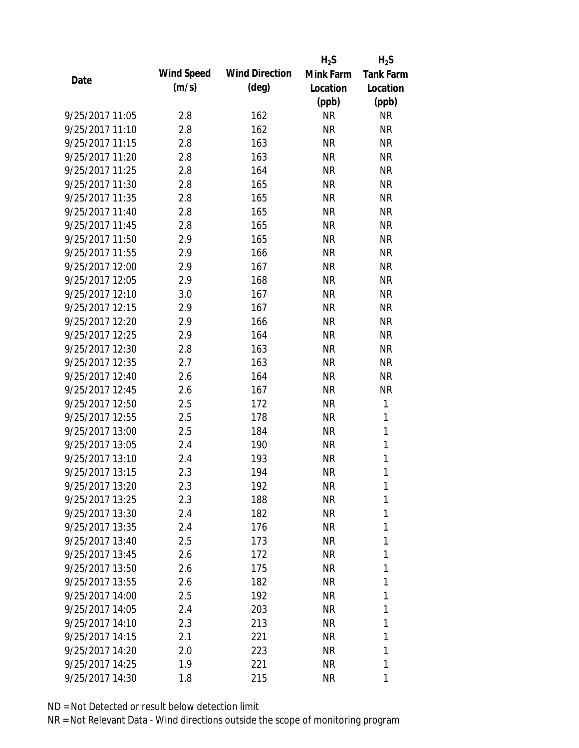|                 |            |                       | $H_2S$    | $H_2S$           |
|-----------------|------------|-----------------------|-----------|------------------|
| Date            | Wind Speed | <b>Wind Direction</b> | Mink Farm | <b>Tank Farm</b> |
|                 | (m/s)      | (deg)                 | Location  | Location         |
|                 |            |                       | (ppb)     | (ppb)            |
| 9/25/2017 11:05 | 2.8        | 162                   | <b>NR</b> | <b>NR</b>        |
| 9/25/2017 11:10 | 2.8        | 162                   | <b>NR</b> | <b>NR</b>        |
| 9/25/2017 11:15 | 2.8        | 163                   | <b>NR</b> | <b>NR</b>        |
| 9/25/2017 11:20 | 2.8        | 163                   | <b>NR</b> | <b>NR</b>        |
| 9/25/2017 11:25 | 2.8        | 164                   | <b>NR</b> | <b>NR</b>        |
| 9/25/2017 11:30 | 2.8        | 165                   | <b>NR</b> | <b>NR</b>        |
| 9/25/2017 11:35 | 2.8        | 165                   | <b>NR</b> | <b>NR</b>        |
| 9/25/2017 11:40 | 2.8        | 165                   | <b>NR</b> | <b>NR</b>        |
| 9/25/2017 11:45 | 2.8        | 165                   | <b>NR</b> | <b>NR</b>        |
| 9/25/2017 11:50 | 2.9        | 165                   | <b>NR</b> | <b>NR</b>        |
| 9/25/2017 11:55 | 2.9        | 166                   | <b>NR</b> | <b>NR</b>        |
| 9/25/2017 12:00 | 2.9        | 167                   | <b>NR</b> | <b>NR</b>        |
| 9/25/2017 12:05 | 2.9        | 168                   | <b>NR</b> | <b>NR</b>        |
| 9/25/2017 12:10 | 3.0        | 167                   | <b>NR</b> | <b>NR</b>        |
| 9/25/2017 12:15 | 2.9        | 167                   | <b>NR</b> | <b>NR</b>        |
| 9/25/2017 12:20 | 2.9        | 166                   | <b>NR</b> | <b>NR</b>        |
| 9/25/2017 12:25 | 2.9        | 164                   | <b>NR</b> | <b>NR</b>        |
| 9/25/2017 12:30 | 2.8        | 163                   | <b>NR</b> | <b>NR</b>        |
| 9/25/2017 12:35 | 2.7        | 163                   | <b>NR</b> | <b>NR</b>        |
| 9/25/2017 12:40 | 2.6        | 164                   | <b>NR</b> | <b>NR</b>        |
| 9/25/2017 12:45 | 2.6        | 167                   | <b>NR</b> | <b>NR</b>        |
| 9/25/2017 12:50 | 2.5        | 172                   | <b>NR</b> | 1                |
| 9/25/2017 12:55 | 2.5        | 178                   | <b>NR</b> | 1                |
| 9/25/2017 13:00 | 2.5        | 184                   | <b>NR</b> | $\mathbf{1}$     |
| 9/25/2017 13:05 | 2.4        | 190                   | <b>NR</b> | 1                |
| 9/25/2017 13:10 | 2.4        | 193                   | <b>NR</b> | 1                |
| 9/25/2017 13:15 | 2.3        | 194                   | <b>NR</b> | $\mathbf{1}$     |
| 9/25/2017 13:20 | 2.3        | 192                   | <b>NR</b> | 1                |
| 9/25/2017 13:25 | 2.3        | 188                   | <b>NR</b> | 1                |
| 9/25/2017 13:30 | 2.4        | 182                   | NR        | 1                |
| 9/25/2017 13:35 | 2.4        | 176                   | <b>NR</b> | 1                |
| 9/25/2017 13:40 | 2.5        | 173                   | NR        | 1                |
| 9/25/2017 13:45 | 2.6        | 172                   | NR        | 1                |
| 9/25/2017 13:50 | 2.6        | 175                   | <b>NR</b> | 1                |
| 9/25/2017 13:55 | 2.6        | 182                   | <b>NR</b> | 1                |
| 9/25/2017 14:00 | 2.5        | 192                   | <b>NR</b> | 1                |
| 9/25/2017 14:05 | 2.4        | 203                   | <b>NR</b> | 1                |
| 9/25/2017 14:10 | 2.3        | 213                   | NR        | 1                |
| 9/25/2017 14:15 | 2.1        | 221                   | NR        | 1                |
| 9/25/2017 14:20 | 2.0        |                       | NR        | 1                |
|                 |            | 223                   |           |                  |
| 9/25/2017 14:25 | 1.9        | 221                   | NR        | 1                |
| 9/25/2017 14:30 | 1.8        | 215                   | <b>NR</b> | 1                |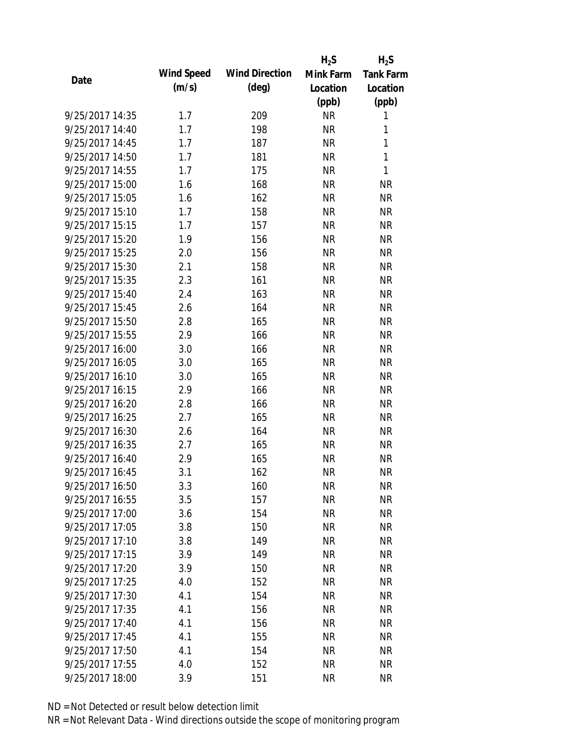|                 |            |                       | $H_2S$    | $H_2S$           |
|-----------------|------------|-----------------------|-----------|------------------|
| Date            | Wind Speed | <b>Wind Direction</b> | Mink Farm | <b>Tank Farm</b> |
|                 | (m/s)      | $(\text{deg})$        | Location  | Location         |
|                 |            |                       | (ppb)     | (ppb)            |
| 9/25/2017 14:35 | 1.7        | 209                   | <b>NR</b> | 1                |
| 9/25/2017 14:40 | 1.7        | 198                   | <b>NR</b> | 1                |
| 9/25/2017 14:45 | 1.7        | 187                   | <b>NR</b> | 1                |
| 9/25/2017 14:50 | 1.7        | 181                   | <b>NR</b> | 1                |
| 9/25/2017 14:55 | 1.7        | 175                   | <b>NR</b> | 1                |
| 9/25/2017 15:00 | 1.6        | 168                   | <b>NR</b> | <b>NR</b>        |
| 9/25/2017 15:05 | 1.6        | 162                   | <b>NR</b> | <b>NR</b>        |
| 9/25/2017 15:10 | 1.7        | 158                   | <b>NR</b> | <b>NR</b>        |
| 9/25/2017 15:15 | 1.7        | 157                   | <b>NR</b> | <b>NR</b>        |
| 9/25/2017 15:20 | 1.9        | 156                   | <b>NR</b> | <b>NR</b>        |
| 9/25/2017 15:25 | 2.0        | 156                   | <b>NR</b> | <b>NR</b>        |
| 9/25/2017 15:30 | 2.1        | 158                   | <b>NR</b> | <b>NR</b>        |
| 9/25/2017 15:35 | 2.3        | 161                   | <b>NR</b> | <b>NR</b>        |
| 9/25/2017 15:40 | 2.4        | 163                   | <b>NR</b> | <b>NR</b>        |
| 9/25/2017 15:45 | 2.6        | 164                   | <b>NR</b> | <b>NR</b>        |
| 9/25/2017 15:50 | 2.8        | 165                   | <b>NR</b> | <b>NR</b>        |
| 9/25/2017 15:55 | 2.9        | 166                   | <b>NR</b> | <b>NR</b>        |
| 9/25/2017 16:00 | 3.0        | 166                   | <b>NR</b> | <b>NR</b>        |
| 9/25/2017 16:05 | 3.0        | 165                   | <b>NR</b> | <b>NR</b>        |
| 9/25/2017 16:10 | 3.0        | 165                   | <b>NR</b> | <b>NR</b>        |
| 9/25/2017 16:15 | 2.9        | 166                   | <b>NR</b> | <b>NR</b>        |
| 9/25/2017 16:20 | 2.8        | 166                   | <b>NR</b> | <b>NR</b>        |
| 9/25/2017 16:25 | 2.7        | 165                   | <b>NR</b> | <b>NR</b>        |
| 9/25/2017 16:30 | 2.6        | 164                   | <b>NR</b> | <b>NR</b>        |
| 9/25/2017 16:35 | 2.7        | 165                   | <b>NR</b> | <b>NR</b>        |
| 9/25/2017 16:40 | 2.9        | 165                   | <b>NR</b> | <b>NR</b>        |
| 9/25/2017 16:45 | 3.1        | 162                   | <b>NR</b> | <b>NR</b>        |
| 9/25/2017 16:50 | 3.3        | 160                   | <b>NR</b> | <b>NR</b>        |
| 9/25/2017 16:55 | 3.5        | 157                   | <b>NR</b> | <b>NR</b>        |
| 9/25/2017 17:00 | 3.6        | 154                   | <b>NR</b> | <b>NR</b>        |
| 9/25/2017 17:05 | 3.8        | 150                   | <b>NR</b> | <b>NR</b>        |
| 9/25/2017 17:10 | 3.8        | 149                   | <b>NR</b> | <b>NR</b>        |
| 9/25/2017 17:15 | 3.9        | 149                   | <b>NR</b> | <b>NR</b>        |
| 9/25/2017 17:20 | 3.9        | 150                   | <b>NR</b> | <b>NR</b>        |
| 9/25/2017 17:25 | 4.0        | 152                   | <b>NR</b> | <b>NR</b>        |
| 9/25/2017 17:30 | 4.1        | 154                   | <b>NR</b> | <b>NR</b>        |
| 9/25/2017 17:35 | 4.1        | 156                   | <b>NR</b> | <b>NR</b>        |
| 9/25/2017 17:40 | 4.1        | 156                   | <b>NR</b> | <b>NR</b>        |
| 9/25/2017 17:45 | 4.1        | 155                   | <b>NR</b> | <b>NR</b>        |
| 9/25/2017 17:50 | 4.1        | 154                   | <b>NR</b> | <b>NR</b>        |
| 9/25/2017 17:55 | 4.0        | 152                   | <b>NR</b> | <b>NR</b>        |
| 9/25/2017 18:00 | 3.9        | 151                   | <b>NR</b> | <b>NR</b>        |
|                 |            |                       |           |                  |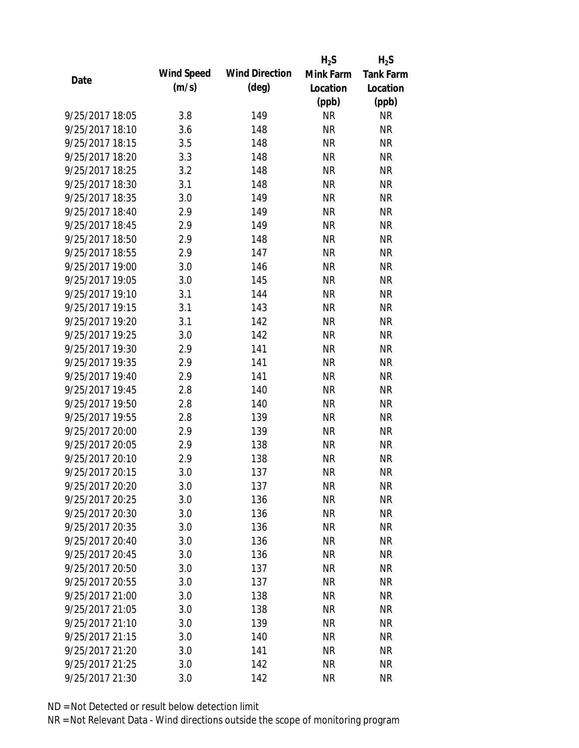|                 |            |                       | $H_2S$    | $H_2S$           |
|-----------------|------------|-----------------------|-----------|------------------|
|                 | Wind Speed | <b>Wind Direction</b> | Mink Farm | <b>Tank Farm</b> |
| Date            | (m/s)      | $(\text{deg})$        | Location  | Location         |
|                 |            |                       | (ppb)     | (ppb)            |
| 9/25/2017 18:05 | 3.8        | 149                   | <b>NR</b> | <b>NR</b>        |
| 9/25/2017 18:10 | 3.6        | 148                   | <b>NR</b> | <b>NR</b>        |
| 9/25/2017 18:15 | 3.5        | 148                   | <b>NR</b> | <b>NR</b>        |
| 9/25/2017 18:20 | 3.3        | 148                   | <b>NR</b> | <b>NR</b>        |
| 9/25/2017 18:25 | 3.2        | 148                   | <b>NR</b> | <b>NR</b>        |
| 9/25/2017 18:30 | 3.1        | 148                   | <b>NR</b> | <b>NR</b>        |
| 9/25/2017 18:35 | 3.0        | 149                   | <b>NR</b> | <b>NR</b>        |
| 9/25/2017 18:40 | 2.9        | 149                   | <b>NR</b> | <b>NR</b>        |
| 9/25/2017 18:45 | 2.9        | 149                   | <b>NR</b> | <b>NR</b>        |
| 9/25/2017 18:50 | 2.9        | 148                   | <b>NR</b> | <b>NR</b>        |
| 9/25/2017 18:55 | 2.9        | 147                   | <b>NR</b> | <b>NR</b>        |
| 9/25/2017 19:00 | 3.0        | 146                   | <b>NR</b> | <b>NR</b>        |
| 9/25/2017 19:05 | 3.0        | 145                   | <b>NR</b> | <b>NR</b>        |
| 9/25/2017 19:10 | 3.1        | 144                   | <b>NR</b> | <b>NR</b>        |
| 9/25/2017 19:15 | 3.1        | 143                   | <b>NR</b> | <b>NR</b>        |
| 9/25/2017 19:20 | 3.1        | 142                   | <b>NR</b> | <b>NR</b>        |
| 9/25/2017 19:25 | 3.0        | 142                   | <b>NR</b> | <b>NR</b>        |
| 9/25/2017 19:30 | 2.9        | 141                   | <b>NR</b> | <b>NR</b>        |
| 9/25/2017 19:35 | 2.9        | 141                   | <b>NR</b> | <b>NR</b>        |
| 9/25/2017 19:40 | 2.9        | 141                   | <b>NR</b> | <b>NR</b>        |
| 9/25/2017 19:45 | 2.8        | 140                   | <b>NR</b> | <b>NR</b>        |
| 9/25/2017 19:50 | 2.8        | 140                   | <b>NR</b> | <b>NR</b>        |
| 9/25/2017 19:55 | 2.8        | 139                   | <b>NR</b> | <b>NR</b>        |
| 9/25/2017 20:00 | 2.9        | 139                   | <b>NR</b> | <b>NR</b>        |
| 9/25/2017 20:05 | 2.9        | 138                   | <b>NR</b> | <b>NR</b>        |
| 9/25/2017 20:10 | 2.9        | 138                   | <b>NR</b> | <b>NR</b>        |
| 9/25/2017 20:15 | 3.0        | 137                   | <b>NR</b> | <b>NR</b>        |
| 9/25/2017 20:20 | 3.0        | 137                   | <b>NR</b> | <b>NR</b>        |
| 9/25/2017 20:25 | 3.0        | 136                   | <b>NR</b> | <b>NR</b>        |
| 9/25/2017 20:30 | 3.0        | 136                   | <b>NR</b> | <b>NR</b>        |
| 9/25/2017 20:35 | 3.0        | 136                   | <b>NR</b> | <b>NR</b>        |
| 9/25/2017 20:40 | 3.0        | 136                   | <b>NR</b> | NR               |
| 9/25/2017 20:45 | 3.0        | 136                   | <b>NR</b> | <b>NR</b>        |
| 9/25/2017 20:50 | 3.0        | 137                   | <b>NR</b> | <b>NR</b>        |
| 9/25/2017 20:55 | 3.0        | 137                   | <b>NR</b> | <b>NR</b>        |
| 9/25/2017 21:00 | 3.0        | 138                   | <b>NR</b> | <b>NR</b>        |
| 9/25/2017 21:05 | 3.0        | 138                   | <b>NR</b> | <b>NR</b>        |
| 9/25/2017 21:10 | 3.0        | 139                   | NR        | <b>NR</b>        |
| 9/25/2017 21:15 | 3.0        | 140                   | <b>NR</b> | <b>NR</b>        |
| 9/25/2017 21:20 | 3.0        | 141                   | <b>NR</b> | NR               |
| 9/25/2017 21:25 | 3.0        | 142                   | <b>NR</b> | <b>NR</b>        |
| 9/25/2017 21:30 | 3.0        | 142                   | <b>NR</b> | <b>NR</b>        |
|                 |            |                       |           |                  |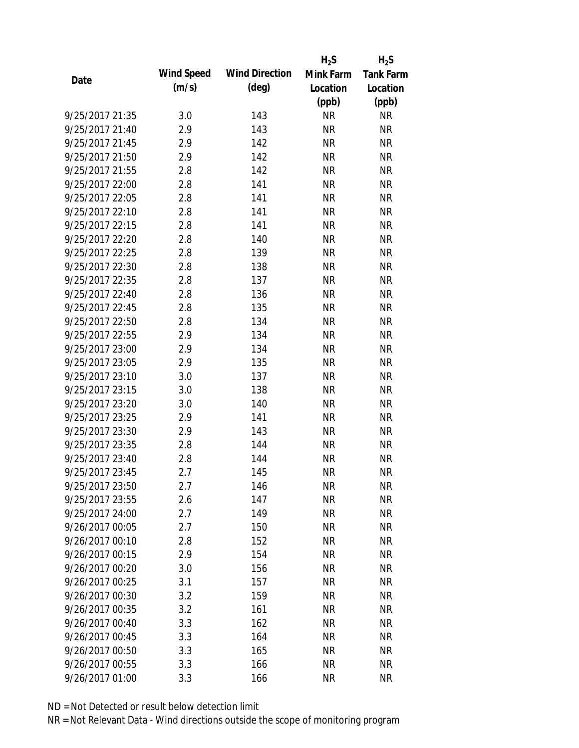|                 |            |                       | $H_2S$    | $H_2S$           |
|-----------------|------------|-----------------------|-----------|------------------|
|                 | Wind Speed | <b>Wind Direction</b> | Mink Farm | <b>Tank Farm</b> |
| Date            | (m/s)      | $(\text{deg})$        | Location  | Location         |
|                 |            |                       | (ppb)     | (ppb)            |
| 9/25/2017 21:35 | 3.0        | 143                   | <b>NR</b> | <b>NR</b>        |
| 9/25/2017 21:40 | 2.9        | 143                   | <b>NR</b> | <b>NR</b>        |
| 9/25/2017 21:45 | 2.9        | 142                   | <b>NR</b> | <b>NR</b>        |
| 9/25/2017 21:50 | 2.9        | 142                   | <b>NR</b> | <b>NR</b>        |
| 9/25/2017 21:55 | 2.8        | 142                   | <b>NR</b> | <b>NR</b>        |
| 9/25/2017 22:00 | 2.8        | 141                   | <b>NR</b> | <b>NR</b>        |
| 9/25/2017 22:05 | 2.8        | 141                   | <b>NR</b> | <b>NR</b>        |
| 9/25/2017 22:10 | 2.8        | 141                   | <b>NR</b> | <b>NR</b>        |
| 9/25/2017 22:15 | 2.8        | 141                   | <b>NR</b> | <b>NR</b>        |
| 9/25/2017 22:20 | 2.8        | 140                   | <b>NR</b> | <b>NR</b>        |
| 9/25/2017 22:25 | 2.8        | 139                   | <b>NR</b> | <b>NR</b>        |
| 9/25/2017 22:30 | 2.8        | 138                   | <b>NR</b> | <b>NR</b>        |
| 9/25/2017 22:35 | 2.8        | 137                   | <b>NR</b> | <b>NR</b>        |
| 9/25/2017 22:40 | 2.8        | 136                   | <b>NR</b> | <b>NR</b>        |
| 9/25/2017 22:45 | 2.8        | 135                   | <b>NR</b> | <b>NR</b>        |
| 9/25/2017 22:50 | 2.8        | 134                   | <b>NR</b> | <b>NR</b>        |
| 9/25/2017 22:55 | 2.9        | 134                   | <b>NR</b> | <b>NR</b>        |
| 9/25/2017 23:00 | 2.9        | 134                   | <b>NR</b> | <b>NR</b>        |
| 9/25/2017 23:05 | 2.9        | 135                   | <b>NR</b> | <b>NR</b>        |
| 9/25/2017 23:10 | 3.0        | 137                   | <b>NR</b> | <b>NR</b>        |
| 9/25/2017 23:15 | 3.0        | 138                   | <b>NR</b> | <b>NR</b>        |
| 9/25/2017 23:20 | 3.0        | 140                   | <b>NR</b> | <b>NR</b>        |
| 9/25/2017 23:25 | 2.9        | 141                   | <b>NR</b> | <b>NR</b>        |
| 9/25/2017 23:30 | 2.9        | 143                   | <b>NR</b> | <b>NR</b>        |
| 9/25/2017 23:35 | 2.8        | 144                   | <b>NR</b> | <b>NR</b>        |
| 9/25/2017 23:40 | 2.8        | 144                   | <b>NR</b> | <b>NR</b>        |
| 9/25/2017 23:45 | 2.7        | 145                   | <b>NR</b> | <b>NR</b>        |
| 9/25/2017 23:50 | 2.7        | 146                   | <b>NR</b> | <b>NR</b>        |
| 9/25/2017 23:55 | 2.6        | 147                   | <b>NR</b> | <b>NR</b>        |
| 9/25/2017 24:00 | 2.7        | 149                   | <b>NR</b> | <b>NR</b>        |
| 9/26/2017 00:05 | 2.7        | 150                   | <b>NR</b> | <b>NR</b>        |
| 9/26/2017 00:10 | 2.8        | 152                   | <b>NR</b> | <b>NR</b>        |
| 9/26/2017 00:15 | 2.9        | 154                   | <b>NR</b> | <b>NR</b>        |
| 9/26/2017 00:20 | 3.0        | 156                   | <b>NR</b> | <b>NR</b>        |
| 9/26/2017 00:25 | 3.1        | 157                   | <b>NR</b> | <b>NR</b>        |
| 9/26/2017 00:30 | 3.2        | 159                   | <b>NR</b> | <b>NR</b>        |
| 9/26/2017 00:35 | 3.2        | 161                   | <b>NR</b> | <b>NR</b>        |
| 9/26/2017 00:40 | 3.3        | 162                   | <b>NR</b> | <b>NR</b>        |
| 9/26/2017 00:45 | 3.3        | 164                   | <b>NR</b> | <b>NR</b>        |
| 9/26/2017 00:50 | 3.3        | 165                   | NR        | NR               |
| 9/26/2017 00:55 | 3.3        | 166                   | <b>NR</b> | <b>NR</b>        |
| 9/26/2017 01:00 | 3.3        | 166                   | <b>NR</b> | <b>NR</b>        |
|                 |            |                       |           |                  |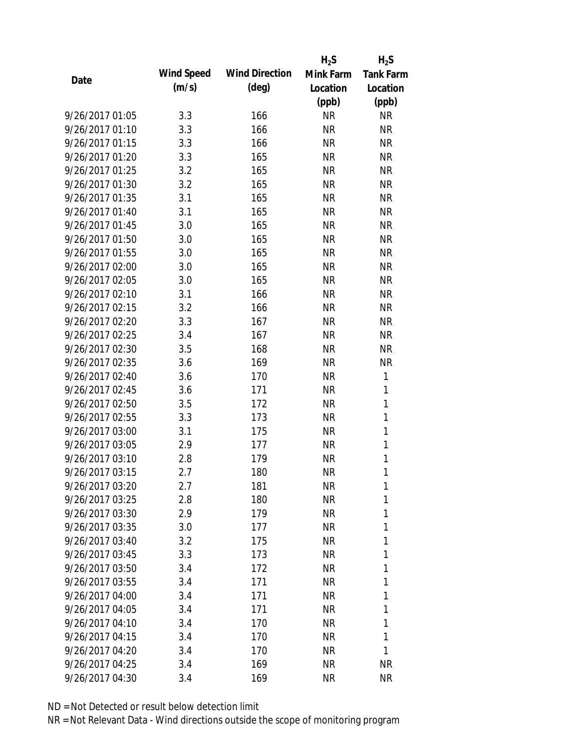|                 |            |                       | $H_2S$    | $H_2S$           |
|-----------------|------------|-----------------------|-----------|------------------|
|                 | Wind Speed | <b>Wind Direction</b> | Mink Farm | <b>Tank Farm</b> |
| Date            | (m/s)      | $(\text{deg})$        | Location  | Location         |
|                 |            |                       | (ppb)     | (ppb)            |
| 9/26/2017 01:05 | 3.3        | 166                   | <b>NR</b> | <b>NR</b>        |
| 9/26/2017 01:10 | 3.3        | 166                   | <b>NR</b> | <b>NR</b>        |
| 9/26/2017 01:15 | 3.3        | 166                   | <b>NR</b> | <b>NR</b>        |
| 9/26/2017 01:20 | 3.3        | 165                   | <b>NR</b> | <b>NR</b>        |
| 9/26/2017 01:25 | 3.2        | 165                   | <b>NR</b> | <b>NR</b>        |
| 9/26/2017 01:30 | 3.2        | 165                   | <b>NR</b> | <b>NR</b>        |
| 9/26/2017 01:35 | 3.1        | 165                   | <b>NR</b> | <b>NR</b>        |
| 9/26/2017 01:40 | 3.1        | 165                   | <b>NR</b> | <b>NR</b>        |
| 9/26/2017 01:45 | 3.0        | 165                   | <b>NR</b> | <b>NR</b>        |
| 9/26/2017 01:50 | 3.0        | 165                   | <b>NR</b> | <b>NR</b>        |
| 9/26/2017 01:55 | 3.0        | 165                   | <b>NR</b> | <b>NR</b>        |
| 9/26/2017 02:00 | 3.0        | 165                   | <b>NR</b> | <b>NR</b>        |
| 9/26/2017 02:05 | 3.0        | 165                   | <b>NR</b> | <b>NR</b>        |
| 9/26/2017 02:10 | 3.1        | 166                   | <b>NR</b> | <b>NR</b>        |
| 9/26/2017 02:15 | 3.2        | 166                   | <b>NR</b> | <b>NR</b>        |
| 9/26/2017 02:20 | 3.3        | 167                   | <b>NR</b> | <b>NR</b>        |
| 9/26/2017 02:25 | 3.4        | 167                   | <b>NR</b> | <b>NR</b>        |
| 9/26/2017 02:30 | 3.5        | 168                   | <b>NR</b> | <b>NR</b>        |
| 9/26/2017 02:35 | 3.6        | 169                   | <b>NR</b> | <b>NR</b>        |
| 9/26/2017 02:40 | 3.6        | 170                   | <b>NR</b> | $\mathbf{1}$     |
| 9/26/2017 02:45 | 3.6        | 171                   | <b>NR</b> | 1                |
| 9/26/2017 02:50 | 3.5        | 172                   | <b>NR</b> | $\mathbf{1}$     |
| 9/26/2017 02:55 | 3.3        | 173                   | <b>NR</b> | $\mathbf{1}$     |
| 9/26/2017 03:00 | 3.1        | 175                   | <b>NR</b> | $\mathbf{1}$     |
| 9/26/2017 03:05 | 2.9        | 177                   | <b>NR</b> | $\mathbf{1}$     |
| 9/26/2017 03:10 | 2.8        | 179                   | <b>NR</b> | $\mathbf{1}$     |
| 9/26/2017 03:15 | 2.7        | 180                   | <b>NR</b> | 1                |
| 9/26/2017 03:20 | 2.7        | 181                   | <b>NR</b> | 1                |
| 9/26/2017 03:25 | 2.8        | 180                   | <b>NR</b> | 1                |
| 9/26/2017 03:30 | 2.9        | 179                   | <b>NR</b> | 1                |
| 9/26/2017 03:35 | 3.0        | 177                   | <b>NR</b> | 1                |
| 9/26/2017 03:40 | 3.2        | 175                   | <b>NR</b> | 1                |
| 9/26/2017 03:45 | 3.3        | 173                   | NR        | 1                |
| 9/26/2017 03:50 | 3.4        | 172                   | <b>NR</b> | 1                |
| 9/26/2017 03:55 | 3.4        | 171                   | NR        | 1                |
| 9/26/2017 04:00 | 3.4        | 171                   | NR        | 1                |
| 9/26/2017 04:05 | 3.4        | 171                   | <b>NR</b> | 1                |
| 9/26/2017 04:10 | 3.4        | 170                   | NR        | 1                |
| 9/26/2017 04:15 | 3.4        | 170                   | <b>NR</b> | 1                |
| 9/26/2017 04:20 | 3.4        | 170                   | NR        | 1                |
| 9/26/2017 04:25 | 3.4        | 169                   | <b>NR</b> | <b>NR</b>        |
| 9/26/2017 04:30 | 3.4        | 169                   | <b>NR</b> | <b>NR</b>        |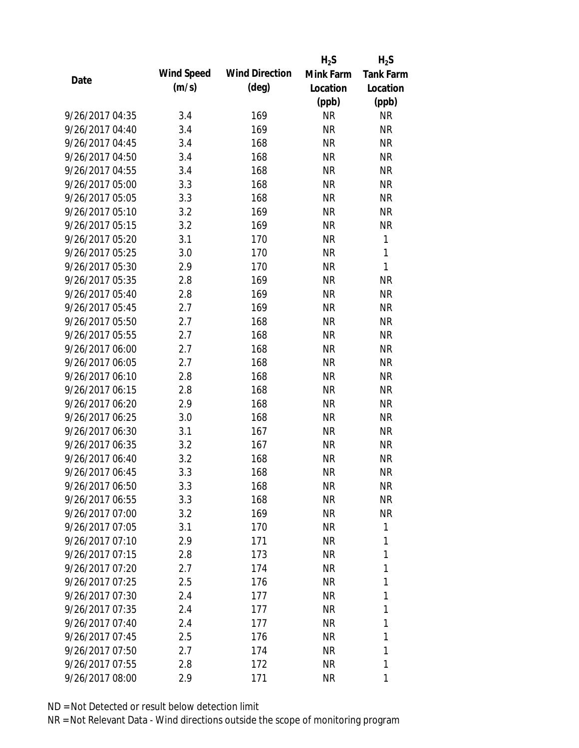|                 |            |                       | $H_2S$    | $H_2S$           |
|-----------------|------------|-----------------------|-----------|------------------|
| Date            | Wind Speed | <b>Wind Direction</b> | Mink Farm | <b>Tank Farm</b> |
|                 | (m/s)      | (deg)                 | Location  | Location         |
|                 |            |                       | (ppb)     | (ppb)            |
| 9/26/2017 04:35 | 3.4        | 169                   | <b>NR</b> | <b>NR</b>        |
| 9/26/2017 04:40 | 3.4        | 169                   | <b>NR</b> | <b>NR</b>        |
| 9/26/2017 04:45 | 3.4        | 168                   | <b>NR</b> | <b>NR</b>        |
| 9/26/2017 04:50 | 3.4        | 168                   | <b>NR</b> | <b>NR</b>        |
| 9/26/2017 04:55 | 3.4        | 168                   | <b>NR</b> | <b>NR</b>        |
| 9/26/2017 05:00 | 3.3        | 168                   | <b>NR</b> | <b>NR</b>        |
| 9/26/2017 05:05 | 3.3        | 168                   | NR        | <b>NR</b>        |
| 9/26/2017 05:10 | 3.2        | 169                   | <b>NR</b> | <b>NR</b>        |
| 9/26/2017 05:15 | 3.2        | 169                   | <b>NR</b> | <b>NR</b>        |
| 9/26/2017 05:20 | 3.1        | 170                   | <b>NR</b> | 1                |
| 9/26/2017 05:25 | 3.0        | 170                   | <b>NR</b> | 1                |
| 9/26/2017 05:30 | 2.9        | 170                   | NR        | 1                |
| 9/26/2017 05:35 | 2.8        | 169                   | <b>NR</b> | <b>NR</b>        |
| 9/26/2017 05:40 | 2.8        | 169                   | <b>NR</b> | <b>NR</b>        |
| 9/26/2017 05:45 | 2.7        | 169                   | <b>NR</b> | <b>NR</b>        |
| 9/26/2017 05:50 | 2.7        | 168                   | <b>NR</b> | <b>NR</b>        |
| 9/26/2017 05:55 | 2.7        | 168                   | <b>NR</b> | <b>NR</b>        |
| 9/26/2017 06:00 | 2.7        | 168                   | <b>NR</b> | <b>NR</b>        |
| 9/26/2017 06:05 | 2.7        | 168                   | <b>NR</b> | <b>NR</b>        |
| 9/26/2017 06:10 | 2.8        | 168                   | <b>NR</b> | <b>NR</b>        |
| 9/26/2017 06:15 | 2.8        | 168                   | <b>NR</b> | <b>NR</b>        |
| 9/26/2017 06:20 | 2.9        | 168                   | <b>NR</b> | <b>NR</b>        |
| 9/26/2017 06:25 | 3.0        | 168                   | <b>NR</b> | <b>NR</b>        |
| 9/26/2017 06:30 | 3.1        | 167                   | <b>NR</b> | <b>NR</b>        |
| 9/26/2017 06:35 | 3.2        | 167                   | <b>NR</b> | <b>NR</b>        |
| 9/26/2017 06:40 | 3.2        | 168                   | <b>NR</b> | <b>NR</b>        |
| 9/26/2017 06:45 | 3.3        | 168                   | <b>NR</b> | <b>NR</b>        |
| 9/26/2017 06:50 | 3.3        | 168                   | NR        | <b>NR</b>        |
| 9/26/2017 06:55 | 3.3        | 168                   | NR        | <b>NR</b>        |
| 9/26/2017 07:00 | 3.2        | 169                   | NR        | <b>NR</b>        |
| 9/26/2017 07:05 | 3.1        | 170                   | NR.       | 1                |
| 9/26/2017 07:10 | 2.9        | 171                   | NR        | 1                |
| 9/26/2017 07:15 | 2.8        | 173                   | NR        | 1                |
| 9/26/2017 07:20 | 2.7        | 174                   | <b>NR</b> | 1                |
| 9/26/2017 07:25 | 2.5        | 176                   | NR        | 1                |
| 9/26/2017 07:30 | 2.4        | 177                   | NR        | 1                |
| 9/26/2017 07:35 | 2.4        | 177                   | NR        | 1                |
| 9/26/2017 07:40 | 2.4        | 177                   | NR        | 1                |
| 9/26/2017 07:45 | 2.5        | 176                   | NR        | 1                |
| 9/26/2017 07:50 | 2.7        | 174                   | NR        | 1                |
| 9/26/2017 07:55 | 2.8        | 172                   | <b>NR</b> | 1                |
| 9/26/2017 08:00 | 2.9        | 171                   | <b>NR</b> | 1                |
|                 |            |                       |           |                  |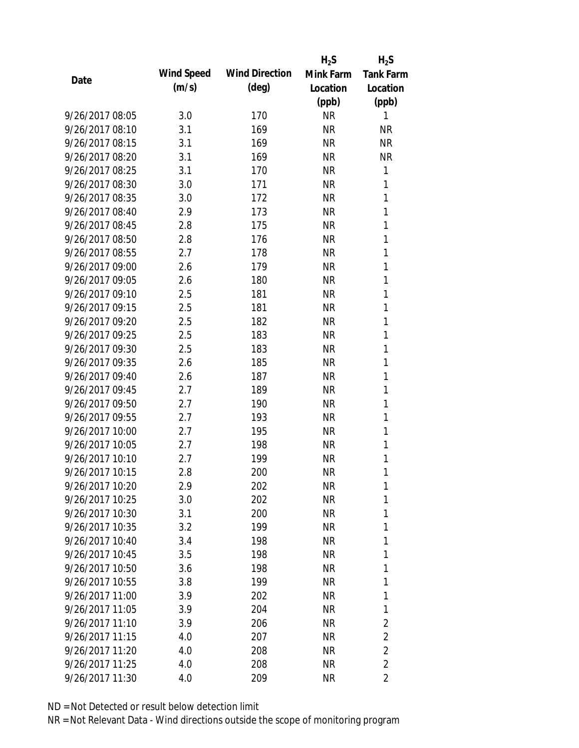|                 |            |                       | $H_2S$    | $H_2S$           |
|-----------------|------------|-----------------------|-----------|------------------|
| Date            | Wind Speed | <b>Wind Direction</b> | Mink Farm | <b>Tank Farm</b> |
|                 | (m/s)      | $(\text{deg})$        | Location  | Location         |
|                 |            |                       | (ppb)     | (ppb)            |
| 9/26/2017 08:05 | 3.0        | 170                   | <b>NR</b> | 1                |
| 9/26/2017 08:10 | 3.1        | 169                   | <b>NR</b> | <b>NR</b>        |
| 9/26/2017 08:15 | 3.1        | 169                   | <b>NR</b> | <b>NR</b>        |
| 9/26/2017 08:20 | 3.1        | 169                   | <b>NR</b> | <b>NR</b>        |
| 9/26/2017 08:25 | 3.1        | 170                   | <b>NR</b> | 1                |
| 9/26/2017 08:30 | 3.0        | 171                   | <b>NR</b> | 1                |
| 9/26/2017 08:35 | 3.0        | 172                   | <b>NR</b> | 1                |
| 9/26/2017 08:40 | 2.9        | 173                   | <b>NR</b> | 1                |
| 9/26/2017 08:45 | 2.8        | 175                   | <b>NR</b> | 1                |
| 9/26/2017 08:50 | 2.8        | 176                   | <b>NR</b> | 1                |
| 9/26/2017 08:55 | 2.7        | 178                   | <b>NR</b> | 1                |
| 9/26/2017 09:00 | 2.6        | 179                   | <b>NR</b> | 1                |
| 9/26/2017 09:05 | 2.6        | 180                   | <b>NR</b> | 1                |
| 9/26/2017 09:10 | 2.5        | 181                   | <b>NR</b> | 1                |
| 9/26/2017 09:15 | 2.5        | 181                   | <b>NR</b> | 1                |
| 9/26/2017 09:20 | 2.5        | 182                   | <b>NR</b> | 1                |
| 9/26/2017 09:25 | 2.5        | 183                   | <b>NR</b> | 1                |
| 9/26/2017 09:30 | 2.5        | 183                   | <b>NR</b> | 1                |
| 9/26/2017 09:35 | 2.6        | 185                   | <b>NR</b> | 1                |
| 9/26/2017 09:40 | 2.6        | 187                   | <b>NR</b> | 1                |
| 9/26/2017 09:45 | 2.7        | 189                   | <b>NR</b> | 1                |
| 9/26/2017 09:50 | 2.7        | 190                   | <b>NR</b> | 1                |
| 9/26/2017 09:55 | 2.7        | 193                   | <b>NR</b> | 1                |
| 9/26/2017 10:00 | 2.7        | 195                   | <b>NR</b> | 1                |
| 9/26/2017 10:05 | 2.7        | 198                   | <b>NR</b> | 1                |
| 9/26/2017 10:10 | 2.7        | 199                   | <b>NR</b> | 1                |
| 9/26/2017 10:15 | 2.8        | 200                   | <b>NR</b> | 1                |
| 9/26/2017 10:20 | 2.9        | 202                   | NR        | 1                |
| 9/26/2017 10:25 | 3.0        | 202                   | <b>NR</b> | 1                |
| 9/26/2017 10:30 | 3.1        | 200                   | <b>NR</b> | 1                |
| 9/26/2017 10:35 | 3.2        | 199                   | <b>NR</b> | 1                |
| 9/26/2017 10:40 | 3.4        | 198                   | <b>NR</b> | 1                |
| 9/26/2017 10:45 | 3.5        | 198                   | NR        | 1                |
| 9/26/2017 10:50 | 3.6        | 198                   | <b>NR</b> | 1                |
| 9/26/2017 10:55 | 3.8        | 199                   | <b>NR</b> | 1                |
| 9/26/2017 11:00 | 3.9        | 202                   | <b>NR</b> | 1                |
| 9/26/2017 11:05 | 3.9        | 204                   | <b>NR</b> | 1                |
| 9/26/2017 11:10 | 3.9        | 206                   | NR        | $\overline{2}$   |
| 9/26/2017 11:15 | 4.0        | 207                   | <b>NR</b> | $\overline{2}$   |
| 9/26/2017 11:20 | 4.0        | 208                   | <b>NR</b> | $\overline{2}$   |
| 9/26/2017 11:25 | 4.0        | 208                   | <b>NR</b> | $\overline{2}$   |
| 9/26/2017 11:30 | 4.0        | 209                   | <b>NR</b> | 2                |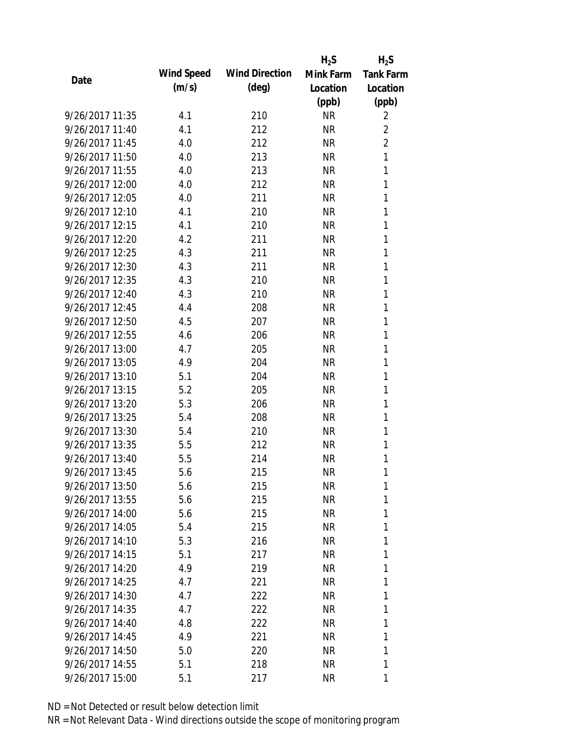|                 |            |                       | $H_2S$    | $H_2S$           |
|-----------------|------------|-----------------------|-----------|------------------|
| Date            | Wind Speed | <b>Wind Direction</b> | Mink Farm | <b>Tank Farm</b> |
|                 | (m/s)      | $(\text{deg})$        | Location  | Location         |
|                 |            |                       | (ppb)     | (ppb)            |
| 9/26/2017 11:35 | 4.1        | 210                   | <b>NR</b> | $\overline{2}$   |
| 9/26/2017 11:40 | 4.1        | 212                   | NR        | $\overline{2}$   |
| 9/26/2017 11:45 | 4.0        | 212                   | <b>NR</b> | $\overline{2}$   |
| 9/26/2017 11:50 | 4.0        | 213                   | <b>NR</b> | 1                |
| 9/26/2017 11:55 | 4.0        | 213                   | <b>NR</b> | 1                |
| 9/26/2017 12:00 | 4.0        | 212                   | <b>NR</b> | 1                |
| 9/26/2017 12:05 | 4.0        | 211                   | <b>NR</b> | 1                |
| 9/26/2017 12:10 | 4.1        | 210                   | <b>NR</b> | 1                |
| 9/26/2017 12:15 | 4.1        | 210                   | <b>NR</b> | 1                |
| 9/26/2017 12:20 | 4.2        | 211                   | <b>NR</b> | 1                |
| 9/26/2017 12:25 | 4.3        | 211                   | <b>NR</b> | 1                |
| 9/26/2017 12:30 | 4.3        | 211                   | <b>NR</b> | 1                |
| 9/26/2017 12:35 | 4.3        | 210                   | <b>NR</b> | 1                |
| 9/26/2017 12:40 | 4.3        | 210                   | <b>NR</b> | 1                |
| 9/26/2017 12:45 | 4.4        | 208                   | <b>NR</b> | 1                |
| 9/26/2017 12:50 | 4.5        | 207                   | <b>NR</b> | 1                |
| 9/26/2017 12:55 | 4.6        | 206                   | <b>NR</b> | 1                |
| 9/26/2017 13:00 | 4.7        | 205                   | <b>NR</b> | 1                |
| 9/26/2017 13:05 | 4.9        | 204                   | <b>NR</b> | 1                |
| 9/26/2017 13:10 | 5.1        | 204                   | <b>NR</b> | 1                |
| 9/26/2017 13:15 | 5.2        | 205                   | <b>NR</b> | 1                |
| 9/26/2017 13:20 | 5.3        | 206                   | <b>NR</b> | 1                |
| 9/26/2017 13:25 | 5.4        | 208                   | <b>NR</b> | 1                |
| 9/26/2017 13:30 | 5.4        | 210                   | <b>NR</b> | 1                |
| 9/26/2017 13:35 | 5.5        | 212                   | <b>NR</b> | 1                |
| 9/26/2017 13:40 | 5.5        | 214                   | <b>NR</b> | 1                |
| 9/26/2017 13:45 | 5.6        | 215                   | <b>NR</b> | 1                |
| 9/26/2017 13:50 | 5.6        | 215                   | NR        | 1                |
| 9/26/2017 13:55 | 5.6        | 215                   | NR        | 1                |
| 9/26/2017 14:00 | 5.6        | 215                   | NR        | 1                |
| 9/26/2017 14:05 | 5.4        | 215                   | NR        | 1                |
| 9/26/2017 14:10 | 5.3        | 216                   | NR        | 1                |
| 9/26/2017 14:15 | 5.1        | 217                   | NR        | 1                |
| 9/26/2017 14:20 | 4.9        | 219                   | NR        | 1                |
| 9/26/2017 14:25 | 4.7        | 221                   | NR        | 1                |
| 9/26/2017 14:30 | 4.7        | 222                   | NR        | 1                |
| 9/26/2017 14:35 | 4.7        | 222                   | NR        | 1                |
| 9/26/2017 14:40 | 4.8        | 222                   | NR        | 1                |
| 9/26/2017 14:45 | 4.9        | 221                   | NR        | 1                |
| 9/26/2017 14:50 | 5.0        | 220                   | NR        | 1                |
| 9/26/2017 14:55 | 5.1        | 218                   | NR        | 1                |
| 9/26/2017 15:00 | 5.1        | 217                   | <b>NR</b> | 1                |
|                 |            |                       |           |                  |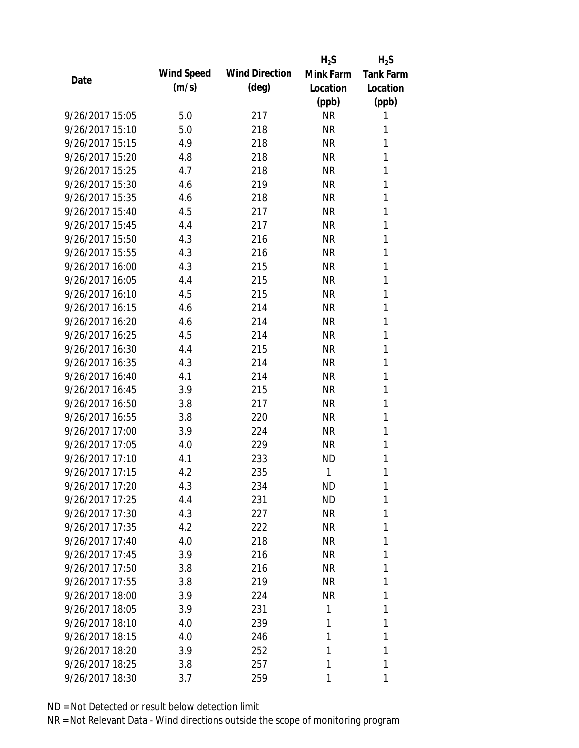|                 |            |                       | $H_2S$    | $H_2S$           |
|-----------------|------------|-----------------------|-----------|------------------|
|                 | Wind Speed | <b>Wind Direction</b> | Mink Farm | <b>Tank Farm</b> |
| Date            | (m/s)      | $(\text{deg})$        | Location  | Location         |
|                 |            |                       | (ppb)     | (ppb)            |
| 9/26/2017 15:05 | 5.0        | 217                   | <b>NR</b> | 1                |
| 9/26/2017 15:10 | 5.0        | 218                   | <b>NR</b> | 1                |
| 9/26/2017 15:15 | 4.9        | 218                   | <b>NR</b> | 1                |
| 9/26/2017 15:20 | 4.8        | 218                   | <b>NR</b> | 1                |
| 9/26/2017 15:25 | 4.7        | 218                   | <b>NR</b> | 1                |
| 9/26/2017 15:30 | 4.6        | 219                   | <b>NR</b> | 1                |
| 9/26/2017 15:35 | 4.6        | 218                   | <b>NR</b> | 1                |
| 9/26/2017 15:40 | 4.5        | 217                   | <b>NR</b> | 1                |
| 9/26/2017 15:45 | 4.4        | 217                   | <b>NR</b> | 1                |
| 9/26/2017 15:50 | 4.3        | 216                   | <b>NR</b> | 1                |
| 9/26/2017 15:55 | 4.3        | 216                   | <b>NR</b> | 1                |
| 9/26/2017 16:00 | 4.3        | 215                   | <b>NR</b> | 1                |
| 9/26/2017 16:05 | 4.4        | 215                   | <b>NR</b> | 1                |
| 9/26/2017 16:10 | 4.5        | 215                   | <b>NR</b> | 1                |
| 9/26/2017 16:15 | 4.6        | 214                   | <b>NR</b> | 1                |
| 9/26/2017 16:20 | 4.6        | 214                   | <b>NR</b> | 1                |
| 9/26/2017 16:25 | 4.5        | 214                   | <b>NR</b> | 1                |
| 9/26/2017 16:30 | 4.4        | 215                   | <b>NR</b> | 1                |
| 9/26/2017 16:35 | 4.3        | 214                   | <b>NR</b> | 1                |
| 9/26/2017 16:40 | 4.1        | 214                   | <b>NR</b> | 1                |
| 9/26/2017 16:45 | 3.9        | 215                   | <b>NR</b> | 1                |
| 9/26/2017 16:50 | 3.8        | 217                   | <b>NR</b> | 1                |
| 9/26/2017 16:55 | 3.8        | 220                   | <b>NR</b> | 1                |
| 9/26/2017 17:00 | 3.9        | 224                   | <b>NR</b> | 1                |
| 9/26/2017 17:05 | 4.0        | 229                   | <b>NR</b> | 1                |
| 9/26/2017 17:10 | 4.1        | 233                   | <b>ND</b> | 1                |
| 9/26/2017 17:15 | 4.2        | 235                   | 1         | 1                |
| 9/26/2017 17:20 | 4.3        | 234                   | <b>ND</b> | 1                |
| 9/26/2017 17:25 | 4.4        | 231                   | <b>ND</b> | 1                |
| 9/26/2017 17:30 | 4.3        | 227                   | <b>NR</b> | 1                |
| 9/26/2017 17:35 | 4.2        | 222                   | <b>NR</b> | 1                |
| 9/26/2017 17:40 | 4.0        | 218                   | <b>NR</b> | 1                |
| 9/26/2017 17:45 | 3.9        | 216                   | NR        | 1                |
| 9/26/2017 17:50 | 3.8        | 216                   | <b>NR</b> | 1                |
| 9/26/2017 17:55 | 3.8        | 219                   | <b>NR</b> | 1                |
| 9/26/2017 18:00 | 3.9        | 224                   | <b>NR</b> | 1                |
| 9/26/2017 18:05 | 3.9        | 231                   | 1         | 1                |
| 9/26/2017 18:10 | 4.0        | 239                   | 1         | 1                |
| 9/26/2017 18:15 | 4.0        | 246                   | 1         | 1                |
| 9/26/2017 18:20 | 3.9        | 252                   | 1         | 1                |
| 9/26/2017 18:25 | 3.8        | 257                   | 1         | 1                |
| 9/26/2017 18:30 | 3.7        | 259                   | 1         | 1                |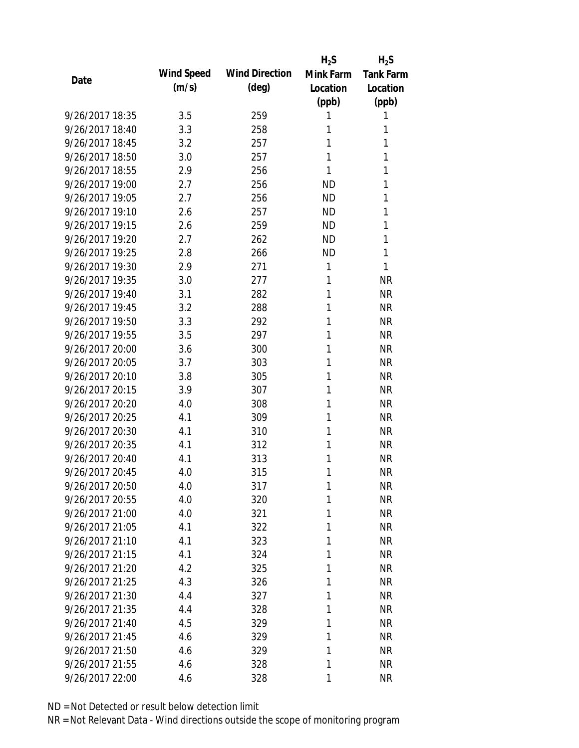|                 |            |                       | $H_2S$    | $H_2S$           |
|-----------------|------------|-----------------------|-----------|------------------|
| Date            | Wind Speed | <b>Wind Direction</b> | Mink Farm | <b>Tank Farm</b> |
|                 | (m/s)      | $(\text{deg})$        | Location  | Location         |
|                 |            |                       | (ppb)     | (ppb)            |
| 9/26/2017 18:35 | 3.5        | 259                   | 1         | 1                |
| 9/26/2017 18:40 | 3.3        | 258                   | 1         | 1                |
| 9/26/2017 18:45 | 3.2        | 257                   | 1         | 1                |
| 9/26/2017 18:50 | 3.0        | 257                   | 1         | 1                |
| 9/26/2017 18:55 | 2.9        | 256                   | 1         | 1                |
| 9/26/2017 19:00 | 2.7        | 256                   | <b>ND</b> | 1                |
| 9/26/2017 19:05 | 2.7        | 256                   | <b>ND</b> | 1                |
| 9/26/2017 19:10 | 2.6        | 257                   | <b>ND</b> | 1                |
| 9/26/2017 19:15 | 2.6        | 259                   | <b>ND</b> | 1                |
| 9/26/2017 19:20 | 2.7        | 262                   | <b>ND</b> | 1                |
| 9/26/2017 19:25 | 2.8        | 266                   | <b>ND</b> | 1                |
| 9/26/2017 19:30 | 2.9        | 271                   | 1         | 1                |
| 9/26/2017 19:35 | 3.0        | 277                   | 1         | <b>NR</b>        |
| 9/26/2017 19:40 | 3.1        | 282                   | 1         | <b>NR</b>        |
| 9/26/2017 19:45 | 3.2        | 288                   | 1         | <b>NR</b>        |
| 9/26/2017 19:50 | 3.3        | 292                   | 1         | <b>NR</b>        |
| 9/26/2017 19:55 | 3.5        | 297                   | 1         | <b>NR</b>        |
| 9/26/2017 20:00 | 3.6        | 300                   | 1         | <b>NR</b>        |
| 9/26/2017 20:05 | 3.7        | 303                   | 1         | <b>NR</b>        |
| 9/26/2017 20:10 | 3.8        | 305                   | 1         | <b>NR</b>        |
| 9/26/2017 20:15 | 3.9        | 307                   | 1         | <b>NR</b>        |
| 9/26/2017 20:20 | 4.0        | 308                   | 1         | <b>NR</b>        |
| 9/26/2017 20:25 | 4.1        | 309                   | 1         | <b>NR</b>        |
| 9/26/2017 20:30 | 4.1        | 310                   | 1         | <b>NR</b>        |
| 9/26/2017 20:35 | 4.1        | 312                   | 1         | <b>NR</b>        |
| 9/26/2017 20:40 | 4.1        | 313                   | 1         | <b>NR</b>        |
| 9/26/2017 20:45 | 4.0        | 315                   | 1         | <b>NR</b>        |
| 9/26/2017 20:50 | 4.0        | 317                   | 1         | NR               |
| 9/26/2017 20:55 | 4.0        | 320                   | 1         | <b>NR</b>        |
| 9/26/2017 21:00 | 4.0        | 321                   | 1         | <b>NR</b>        |
| 9/26/2017 21:05 | 4.1        | 322                   | 1         | <b>NR</b>        |
| 9/26/2017 21:10 | 4.1        | 323                   | 1         | <b>NR</b>        |
| 9/26/2017 21:15 | 4.1        | 324                   | 1         | <b>NR</b>        |
| 9/26/2017 21:20 | 4.2        | 325                   | 1         | <b>NR</b>        |
| 9/26/2017 21:25 | 4.3        | 326                   | 1         | <b>NR</b>        |
| 9/26/2017 21:30 | 4.4        | 327                   | 1         | <b>NR</b>        |
| 9/26/2017 21:35 | 4.4        | 328                   | 1         | <b>NR</b>        |
| 9/26/2017 21:40 | 4.5        | 329                   | 1         | <b>NR</b>        |
| 9/26/2017 21:45 | 4.6        | 329                   | 1         | <b>NR</b>        |
| 9/26/2017 21:50 | 4.6        | 329                   | 1         | <b>NR</b>        |
| 9/26/2017 21:55 | 4.6        | 328                   | 1         | <b>NR</b>        |
| 9/26/2017 22:00 | 4.6        | 328                   | 1         | <b>NR</b>        |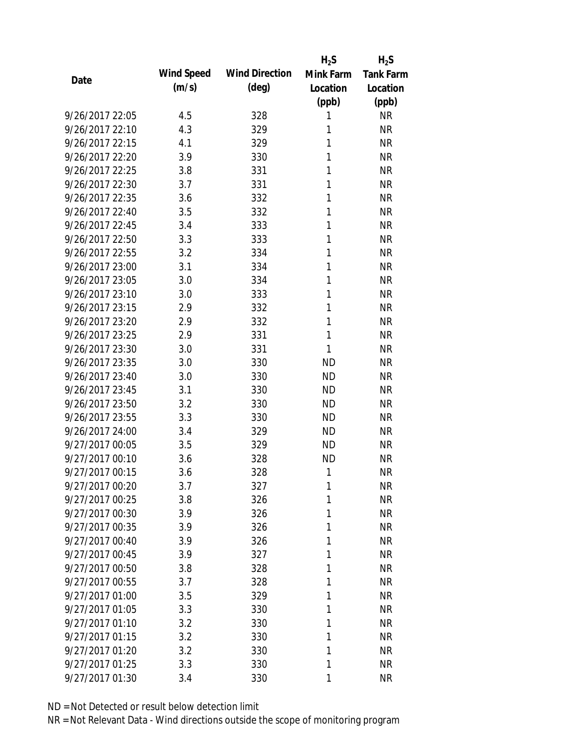|                 |            |                       | $H_2S$    | $H_2S$           |
|-----------------|------------|-----------------------|-----------|------------------|
| Date            | Wind Speed | <b>Wind Direction</b> | Mink Farm | <b>Tank Farm</b> |
|                 | (m/s)      | $(\text{deg})$        | Location  | Location         |
|                 |            |                       | (ppb)     | (ppb)            |
| 9/26/2017 22:05 | 4.5        | 328                   | 1         | <b>NR</b>        |
| 9/26/2017 22:10 | 4.3        | 329                   | 1         | <b>NR</b>        |
| 9/26/2017 22:15 | 4.1        | 329                   | 1         | <b>NR</b>        |
| 9/26/2017 22:20 | 3.9        | 330                   | 1         | <b>NR</b>        |
| 9/26/2017 22:25 | 3.8        | 331                   | 1         | <b>NR</b>        |
| 9/26/2017 22:30 | 3.7        | 331                   | 1         | <b>NR</b>        |
| 9/26/2017 22:35 | 3.6        | 332                   | 1         | <b>NR</b>        |
| 9/26/2017 22:40 | 3.5        | 332                   | 1         | <b>NR</b>        |
| 9/26/2017 22:45 | 3.4        | 333                   | 1         | <b>NR</b>        |
| 9/26/2017 22:50 | 3.3        | 333                   | 1         | <b>NR</b>        |
| 9/26/2017 22:55 | 3.2        | 334                   | 1         | <b>NR</b>        |
| 9/26/2017 23:00 | 3.1        | 334                   | 1         | <b>NR</b>        |
| 9/26/2017 23:05 | 3.0        | 334                   | 1         | <b>NR</b>        |
| 9/26/2017 23:10 | 3.0        | 333                   | 1         | <b>NR</b>        |
| 9/26/2017 23:15 | 2.9        | 332                   | 1         | <b>NR</b>        |
| 9/26/2017 23:20 | 2.9        | 332                   | 1         | <b>NR</b>        |
| 9/26/2017 23:25 | 2.9        | 331                   | 1         | <b>NR</b>        |
| 9/26/2017 23:30 | 3.0        | 331                   | 1         | <b>NR</b>        |
| 9/26/2017 23:35 | 3.0        | 330                   | <b>ND</b> | <b>NR</b>        |
| 9/26/2017 23:40 | 3.0        | 330                   | <b>ND</b> | <b>NR</b>        |
| 9/26/2017 23:45 | 3.1        | 330                   | <b>ND</b> | <b>NR</b>        |
| 9/26/2017 23:50 | 3.2        | 330                   | <b>ND</b> | <b>NR</b>        |
| 9/26/2017 23:55 | 3.3        | 330                   | <b>ND</b> | <b>NR</b>        |
| 9/26/2017 24:00 | 3.4        | 329                   | <b>ND</b> | <b>NR</b>        |
| 9/27/2017 00:05 | 3.5        | 329                   | <b>ND</b> | <b>NR</b>        |
| 9/27/2017 00:10 | 3.6        | 328                   | <b>ND</b> | <b>NR</b>        |
| 9/27/2017 00:15 | 3.6        | 328                   | 1         | <b>NR</b>        |
| 9/27/2017 00:20 | 3.7        | 327                   | 1         | <b>NR</b>        |
| 9/27/2017 00:25 | 3.8        | 326                   | 1         | <b>NR</b>        |
| 9/27/2017 00:30 | 3.9        | 326                   | 1         | <b>NR</b>        |
| 9/27/2017 00:35 | 3.9        | 326                   | 1         | <b>NR</b>        |
| 9/27/2017 00:40 | 3.9        | 326                   | 1         | <b>NR</b>        |
| 9/27/2017 00:45 | 3.9        | 327                   | 1         | <b>NR</b>        |
| 9/27/2017 00:50 | 3.8        | 328                   | 1         | <b>NR</b>        |
| 9/27/2017 00:55 | 3.7        | 328                   | 1         | <b>NR</b>        |
| 9/27/2017 01:00 | 3.5        | 329                   | 1         | <b>NR</b>        |
| 9/27/2017 01:05 | 3.3        | 330                   | 1         | <b>NR</b>        |
| 9/27/2017 01:10 | 3.2        | 330                   | 1         | <b>NR</b>        |
| 9/27/2017 01:15 | 3.2        | 330                   | 1         | <b>NR</b>        |
| 9/27/2017 01:20 | 3.2        | 330                   | 1         | <b>NR</b>        |
| 9/27/2017 01:25 | 3.3        | 330                   | 1         | <b>NR</b>        |
| 9/27/2017 01:30 | 3.4        | 330                   | 1         | <b>NR</b>        |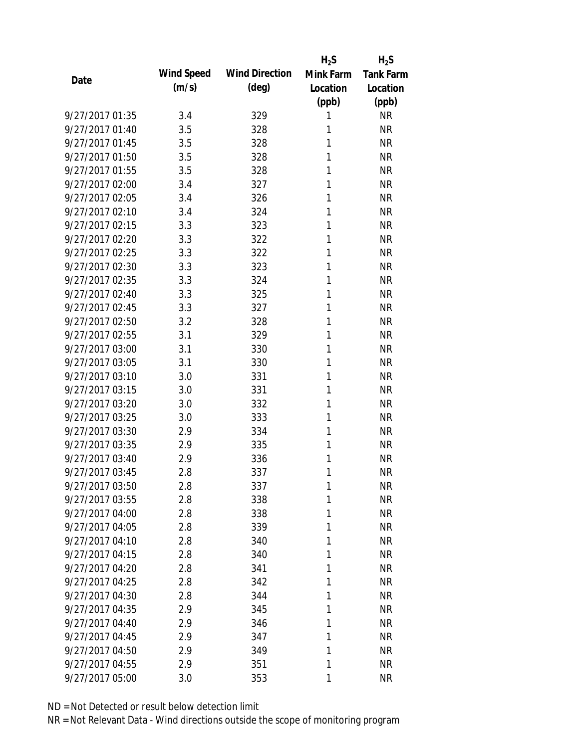|                 |            |                       | $H_2S$    | $H_2S$           |
|-----------------|------------|-----------------------|-----------|------------------|
| Date            | Wind Speed | <b>Wind Direction</b> | Mink Farm | <b>Tank Farm</b> |
|                 | (m/s)      | $(\text{deg})$        | Location  | Location         |
|                 |            |                       | (ppb)     | (ppb)            |
| 9/27/2017 01:35 | 3.4        | 329                   | 1         | <b>NR</b>        |
| 9/27/2017 01:40 | 3.5        | 328                   | 1         | <b>NR</b>        |
| 9/27/2017 01:45 | 3.5        | 328                   | 1         | <b>NR</b>        |
| 9/27/2017 01:50 | 3.5        | 328                   | 1         | <b>NR</b>        |
| 9/27/2017 01:55 | 3.5        | 328                   | 1         | <b>NR</b>        |
| 9/27/2017 02:00 | 3.4        | 327                   | 1         | <b>NR</b>        |
| 9/27/2017 02:05 | 3.4        | 326                   | 1         | <b>NR</b>        |
| 9/27/2017 02:10 | 3.4        | 324                   | 1         | <b>NR</b>        |
| 9/27/2017 02:15 | 3.3        | 323                   | 1         | <b>NR</b>        |
| 9/27/2017 02:20 | 3.3        | 322                   | 1         | <b>NR</b>        |
| 9/27/2017 02:25 | 3.3        | 322                   | 1         | <b>NR</b>        |
| 9/27/2017 02:30 | 3.3        | 323                   | 1         | <b>NR</b>        |
| 9/27/2017 02:35 | 3.3        | 324                   | 1         | <b>NR</b>        |
| 9/27/2017 02:40 | 3.3        | 325                   | 1         | <b>NR</b>        |
| 9/27/2017 02:45 | 3.3        | 327                   | 1         | <b>NR</b>        |
| 9/27/2017 02:50 | 3.2        | 328                   | 1         | <b>NR</b>        |
| 9/27/2017 02:55 | 3.1        | 329                   | 1         | <b>NR</b>        |
| 9/27/2017 03:00 | 3.1        | 330                   | 1         | <b>NR</b>        |
| 9/27/2017 03:05 | 3.1        | 330                   | 1         | <b>NR</b>        |
| 9/27/2017 03:10 | 3.0        | 331                   | 1         | <b>NR</b>        |
| 9/27/2017 03:15 | 3.0        | 331                   | 1         | <b>NR</b>        |
| 9/27/2017 03:20 | 3.0        | 332                   | 1         | <b>NR</b>        |
| 9/27/2017 03:25 | 3.0        | 333                   | 1         | <b>NR</b>        |
| 9/27/2017 03:30 | 2.9        | 334                   | 1         | <b>NR</b>        |
| 9/27/2017 03:35 | 2.9        | 335                   | 1         | <b>NR</b>        |
| 9/27/2017 03:40 | 2.9        | 336                   | 1         | <b>NR</b>        |
| 9/27/2017 03:45 | 2.8        | 337                   | 1         | <b>NR</b>        |
| 9/27/2017 03:50 | 2.8        | 337                   | 1         | NR               |
| 9/27/2017 03:55 | 2.8        | 338                   | 1         | <b>NR</b>        |
| 9/27/2017 04:00 | 2.8        | 338                   | 1         | <b>NR</b>        |
| 9/27/2017 04:05 | 2.8        | 339                   | 1         | <b>NR</b>        |
| 9/27/2017 04:10 | 2.8        | 340                   | 1         | <b>NR</b>        |
| 9/27/2017 04:15 | 2.8        | 340                   | 1         | <b>NR</b>        |
| 9/27/2017 04:20 | 2.8        | 341                   | 1         | <b>NR</b>        |
| 9/27/2017 04:25 | 2.8        | 342                   | 1         | <b>NR</b>        |
| 9/27/2017 04:30 | 2.8        | 344                   | 1         | <b>NR</b>        |
| 9/27/2017 04:35 | 2.9        | 345                   | 1         | <b>NR</b>        |
| 9/27/2017 04:40 | 2.9        | 346                   | 1         | <b>NR</b>        |
| 9/27/2017 04:45 | 2.9        | 347                   | 1         | <b>NR</b>        |
| 9/27/2017 04:50 | 2.9        | 349                   | 1         | <b>NR</b>        |
| 9/27/2017 04:55 | 2.9        | 351                   | 1         | <b>NR</b>        |
| 9/27/2017 05:00 | 3.0        | 353                   | 1         | <b>NR</b>        |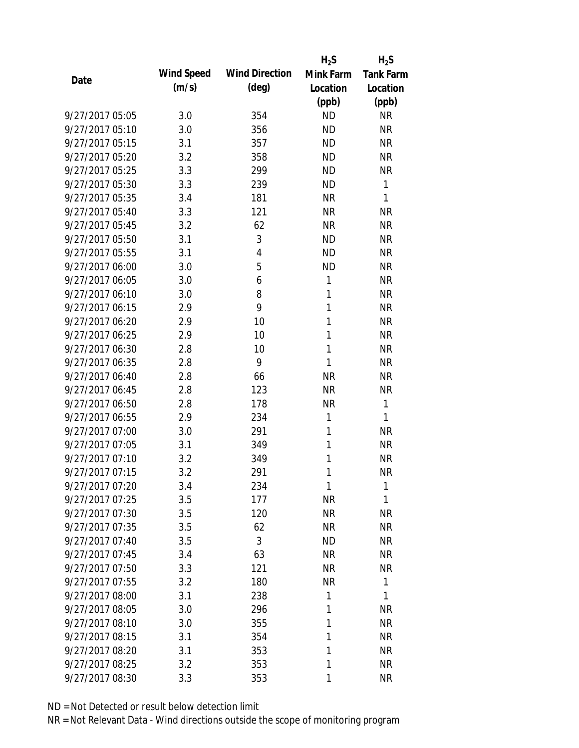|                 |            |                       | $H_2S$    | $H_2S$           |
|-----------------|------------|-----------------------|-----------|------------------|
| Date            | Wind Speed | <b>Wind Direction</b> | Mink Farm | <b>Tank Farm</b> |
|                 | (m/s)      | $(\text{deg})$        | Location  | Location         |
|                 |            |                       | (ppb)     | (ppb)            |
| 9/27/2017 05:05 | 3.0        | 354                   | <b>ND</b> | <b>NR</b>        |
| 9/27/2017 05:10 | 3.0        | 356                   | <b>ND</b> | <b>NR</b>        |
| 9/27/2017 05:15 | 3.1        | 357                   | <b>ND</b> | <b>NR</b>        |
| 9/27/2017 05:20 | 3.2        | 358                   | <b>ND</b> | <b>NR</b>        |
| 9/27/2017 05:25 | 3.3        | 299                   | <b>ND</b> | <b>NR</b>        |
| 9/27/2017 05:30 | 3.3        | 239                   | <b>ND</b> | 1                |
| 9/27/2017 05:35 | 3.4        | 181                   | <b>NR</b> | 1                |
| 9/27/2017 05:40 | 3.3        | 121                   | <b>NR</b> | <b>NR</b>        |
| 9/27/2017 05:45 | 3.2        | 62                    | <b>NR</b> | <b>NR</b>        |
| 9/27/2017 05:50 | 3.1        | 3                     | <b>ND</b> | <b>NR</b>        |
| 9/27/2017 05:55 | 3.1        | 4                     | <b>ND</b> | <b>NR</b>        |
| 9/27/2017 06:00 | 3.0        | 5                     | <b>ND</b> | <b>NR</b>        |
| 9/27/2017 06:05 | 3.0        | 6                     | 1         | <b>NR</b>        |
| 9/27/2017 06:10 | 3.0        | 8                     | 1         | <b>NR</b>        |
| 9/27/2017 06:15 | 2.9        | 9                     | 1         | <b>NR</b>        |
| 9/27/2017 06:20 | 2.9        | 10                    | 1         | <b>NR</b>        |
| 9/27/2017 06:25 | 2.9        | 10                    | 1         | <b>NR</b>        |
| 9/27/2017 06:30 | 2.8        | 10                    | 1         | <b>NR</b>        |
| 9/27/2017 06:35 | 2.8        | 9                     | 1         | <b>NR</b>        |
| 9/27/2017 06:40 | 2.8        | 66                    | <b>NR</b> | <b>NR</b>        |
| 9/27/2017 06:45 | 2.8        | 123                   | <b>NR</b> | <b>NR</b>        |
| 9/27/2017 06:50 | 2.8        | 178                   | <b>NR</b> | 1                |
| 9/27/2017 06:55 | 2.9        | 234                   | 1         | 1                |
| 9/27/2017 07:00 | 3.0        | 291                   | 1         | <b>NR</b>        |
| 9/27/2017 07:05 | 3.1        | 349                   | 1         | <b>NR</b>        |
| 9/27/2017 07:10 | 3.2        | 349                   | 1         | <b>NR</b>        |
| 9/27/2017 07:15 | 3.2        | 291                   | 1         | <b>NR</b>        |
| 9/27/2017 07:20 | 3.4        | 234                   | 1         | 1                |
| 9/27/2017 07:25 | 3.5        | 177                   | <b>NR</b> | 1                |
| 9/27/2017 07:30 | 3.5        | 120                   | <b>NR</b> | <b>NR</b>        |
| 9/27/2017 07:35 | 3.5        | 62                    | <b>NR</b> | <b>NR</b>        |
| 9/27/2017 07:40 | 3.5        | 3                     | <b>ND</b> | NR               |
| 9/27/2017 07:45 | 3.4        | 63                    | <b>NR</b> | NR               |
| 9/27/2017 07:50 | 3.3        | 121                   | <b>NR</b> | <b>NR</b>        |
| 9/27/2017 07:55 | 3.2        | 180                   | <b>NR</b> | 1                |
| 9/27/2017 08:00 | 3.1        | 238                   | 1         | 1                |
| 9/27/2017 08:05 | 3.0        | 296                   | 1         | <b>NR</b>        |
| 9/27/2017 08:10 | 3.0        | 355                   | 1         | <b>NR</b>        |
| 9/27/2017 08:15 | 3.1        | 354                   | 1         | <b>NR</b>        |
| 9/27/2017 08:20 | 3.1        | 353                   | 1         | <b>NR</b>        |
| 9/27/2017 08:25 | 3.2        | 353                   | 1         | <b>NR</b>        |
| 9/27/2017 08:30 | 3.3        | 353                   | 1         | <b>NR</b>        |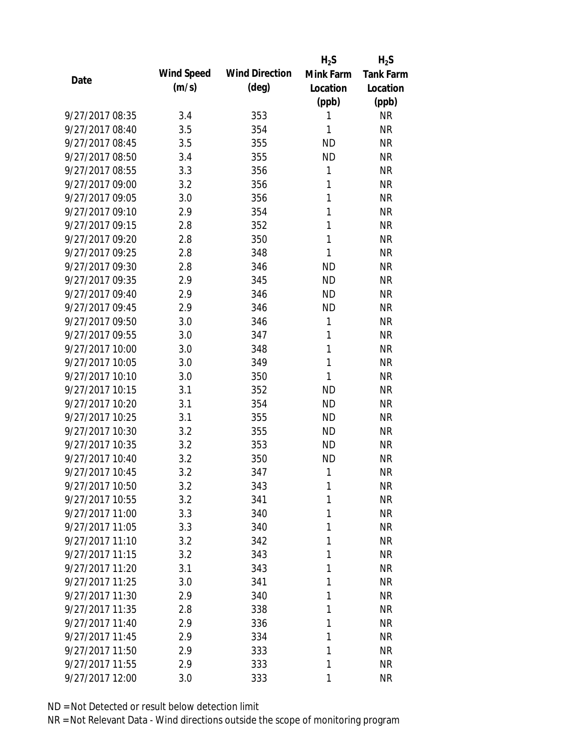|                 |            |                       | $H_2S$    | $H_2S$           |
|-----------------|------------|-----------------------|-----------|------------------|
| Date            | Wind Speed | <b>Wind Direction</b> | Mink Farm | <b>Tank Farm</b> |
|                 | (m/s)      | $(\text{deg})$        | Location  | Location         |
|                 |            |                       | (ppb)     | (ppb)            |
| 9/27/2017 08:35 | 3.4        | 353                   | 1         | <b>NR</b>        |
| 9/27/2017 08:40 | 3.5        | 354                   | 1         | <b>NR</b>        |
| 9/27/2017 08:45 | 3.5        | 355                   | <b>ND</b> | <b>NR</b>        |
| 9/27/2017 08:50 | 3.4        | 355                   | <b>ND</b> | <b>NR</b>        |
| 9/27/2017 08:55 | 3.3        | 356                   | 1         | <b>NR</b>        |
| 9/27/2017 09:00 | 3.2        | 356                   | 1         | <b>NR</b>        |
| 9/27/2017 09:05 | 3.0        | 356                   | 1         | <b>NR</b>        |
| 9/27/2017 09:10 | 2.9        | 354                   | 1         | <b>NR</b>        |
| 9/27/2017 09:15 | 2.8        | 352                   | 1         | <b>NR</b>        |
| 9/27/2017 09:20 | 2.8        | 350                   | 1         | <b>NR</b>        |
| 9/27/2017 09:25 | 2.8        | 348                   | 1         | <b>NR</b>        |
| 9/27/2017 09:30 | 2.8        | 346                   | <b>ND</b> | <b>NR</b>        |
| 9/27/2017 09:35 | 2.9        | 345                   | <b>ND</b> | <b>NR</b>        |
| 9/27/2017 09:40 | 2.9        | 346                   | <b>ND</b> | <b>NR</b>        |
| 9/27/2017 09:45 | 2.9        | 346                   | <b>ND</b> | <b>NR</b>        |
| 9/27/2017 09:50 | 3.0        | 346                   | 1         | <b>NR</b>        |
| 9/27/2017 09:55 | 3.0        | 347                   | 1         | <b>NR</b>        |
| 9/27/2017 10:00 | 3.0        | 348                   | 1         | <b>NR</b>        |
| 9/27/2017 10:05 | 3.0        | 349                   | 1         | <b>NR</b>        |
| 9/27/2017 10:10 | 3.0        | 350                   | 1         | <b>NR</b>        |
| 9/27/2017 10:15 | 3.1        | 352                   | <b>ND</b> | <b>NR</b>        |
| 9/27/2017 10:20 | 3.1        | 354                   | <b>ND</b> | <b>NR</b>        |
| 9/27/2017 10:25 | 3.1        | 355                   | <b>ND</b> | <b>NR</b>        |
| 9/27/2017 10:30 | 3.2        | 355                   | <b>ND</b> | <b>NR</b>        |
| 9/27/2017 10:35 | 3.2        | 353                   | <b>ND</b> | <b>NR</b>        |
| 9/27/2017 10:40 | 3.2        | 350                   | <b>ND</b> | <b>NR</b>        |
| 9/27/2017 10:45 | 3.2        | 347                   | 1         | <b>NR</b>        |
| 9/27/2017 10:50 | 3.2        | 343                   | 1         | <b>NR</b>        |
| 9/27/2017 10:55 | 3.2        | 341                   | 1         | <b>NR</b>        |
| 9/27/2017 11:00 | 3.3        | 340                   | 1         | <b>NR</b>        |
| 9/27/2017 11:05 | 3.3        | 340                   | 1         | <b>NR</b>        |
| 9/27/2017 11:10 | 3.2        | 342                   | 1         | <b>NR</b>        |
| 9/27/2017 11:15 | 3.2        | 343                   | 1         | <b>NR</b>        |
| 9/27/2017 11:20 | 3.1        | 343                   | 1         | <b>NR</b>        |
| 9/27/2017 11:25 | 3.0        | 341                   | 1         | <b>NR</b>        |
| 9/27/2017 11:30 | 2.9        | 340                   | 1         | <b>NR</b>        |
| 9/27/2017 11:35 | 2.8        | 338                   | 1         | <b>NR</b>        |
| 9/27/2017 11:40 | 2.9        | 336                   | 1         | <b>NR</b>        |
| 9/27/2017 11:45 | 2.9        | 334                   | 1         | <b>NR</b>        |
| 9/27/2017 11:50 | 2.9        | 333                   | 1         | <b>NR</b>        |
| 9/27/2017 11:55 | 2.9        | 333                   | 1         | <b>NR</b>        |
| 9/27/2017 12:00 | 3.0        | 333                   | 1         | <b>NR</b>        |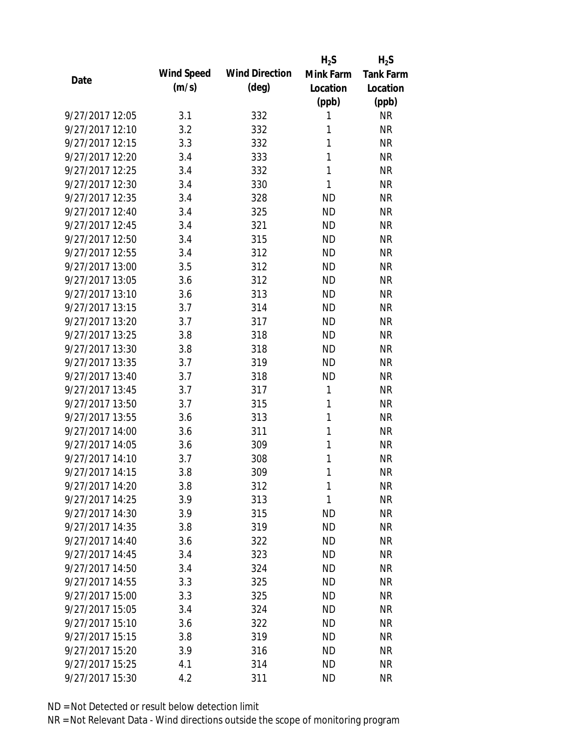|                 |            |                       | $H_2S$    | $H_2S$           |
|-----------------|------------|-----------------------|-----------|------------------|
| Date            | Wind Speed | <b>Wind Direction</b> | Mink Farm | <b>Tank Farm</b> |
|                 | (m/s)      | $(\text{deg})$        | Location  | Location         |
|                 |            |                       | (ppb)     | (ppb)            |
| 9/27/2017 12:05 | 3.1        | 332                   | 1         | <b>NR</b>        |
| 9/27/2017 12:10 | 3.2        | 332                   | 1         | <b>NR</b>        |
| 9/27/2017 12:15 | 3.3        | 332                   | 1         | <b>NR</b>        |
| 9/27/2017 12:20 | 3.4        | 333                   | 1         | <b>NR</b>        |
| 9/27/2017 12:25 | 3.4        | 332                   | 1         | <b>NR</b>        |
| 9/27/2017 12:30 | 3.4        | 330                   | 1         | <b>NR</b>        |
| 9/27/2017 12:35 | 3.4        | 328                   | <b>ND</b> | <b>NR</b>        |
| 9/27/2017 12:40 | 3.4        | 325                   | <b>ND</b> | <b>NR</b>        |
| 9/27/2017 12:45 | 3.4        | 321                   | <b>ND</b> | <b>NR</b>        |
| 9/27/2017 12:50 | 3.4        | 315                   | <b>ND</b> | <b>NR</b>        |
| 9/27/2017 12:55 | 3.4        | 312                   | <b>ND</b> | <b>NR</b>        |
| 9/27/2017 13:00 | 3.5        | 312                   | <b>ND</b> | <b>NR</b>        |
| 9/27/2017 13:05 | 3.6        | 312                   | <b>ND</b> | <b>NR</b>        |
| 9/27/2017 13:10 | 3.6        | 313                   | <b>ND</b> | <b>NR</b>        |
| 9/27/2017 13:15 | 3.7        | 314                   | <b>ND</b> | <b>NR</b>        |
| 9/27/2017 13:20 | 3.7        | 317                   | <b>ND</b> | <b>NR</b>        |
| 9/27/2017 13:25 | 3.8        | 318                   | <b>ND</b> | <b>NR</b>        |
| 9/27/2017 13:30 | 3.8        | 318                   | <b>ND</b> | <b>NR</b>        |
| 9/27/2017 13:35 | 3.7        | 319                   | <b>ND</b> | <b>NR</b>        |
| 9/27/2017 13:40 | 3.7        | 318                   | <b>ND</b> | <b>NR</b>        |
| 9/27/2017 13:45 | 3.7        | 317                   | 1         | <b>NR</b>        |
| 9/27/2017 13:50 | 3.7        | 315                   | 1         | <b>NR</b>        |
| 9/27/2017 13:55 | 3.6        | 313                   | 1         | <b>NR</b>        |
| 9/27/2017 14:00 | 3.6        | 311                   | 1         | <b>NR</b>        |
| 9/27/2017 14:05 | 3.6        | 309                   | 1         | <b>NR</b>        |
| 9/27/2017 14:10 | 3.7        | 308                   | 1         | <b>NR</b>        |
| 9/27/2017 14:15 | 3.8        | 309                   | 1         | <b>NR</b>        |
| 9/27/2017 14:20 | 3.8        | 312                   | 1         | <b>NR</b>        |
| 9/27/2017 14:25 | 3.9        | 313                   | 1         | <b>NR</b>        |
| 9/27/2017 14:30 | 3.9        | 315                   | <b>ND</b> | <b>NR</b>        |
| 9/27/2017 14:35 | 3.8        | 319                   | <b>ND</b> | <b>NR</b>        |
| 9/27/2017 14:40 | 3.6        | 322                   | <b>ND</b> | <b>NR</b>        |
| 9/27/2017 14:45 | 3.4        | 323                   | <b>ND</b> | <b>NR</b>        |
| 9/27/2017 14:50 | 3.4        | 324                   | <b>ND</b> | <b>NR</b>        |
| 9/27/2017 14:55 | 3.3        | 325                   | <b>ND</b> | <b>NR</b>        |
| 9/27/2017 15:00 | 3.3        | 325                   | <b>ND</b> | <b>NR</b>        |
| 9/27/2017 15:05 | 3.4        | 324                   | <b>ND</b> | <b>NR</b>        |
| 9/27/2017 15:10 | 3.6        | 322                   | <b>ND</b> | <b>NR</b>        |
| 9/27/2017 15:15 | 3.8        | 319                   | <b>ND</b> | <b>NR</b>        |
| 9/27/2017 15:20 | 3.9        | 316                   | <b>ND</b> | <b>NR</b>        |
| 9/27/2017 15:25 | 4.1        | 314                   | <b>ND</b> | <b>NR</b>        |
| 9/27/2017 15:30 | 4.2        | 311                   | <b>ND</b> | <b>NR</b>        |
|                 |            |                       |           |                  |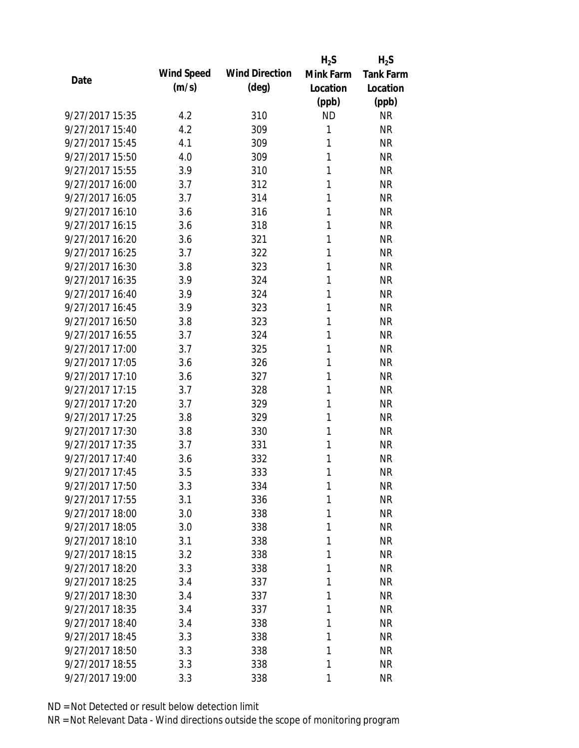|                 |            |                       | $H_2S$    | $H_2S$           |
|-----------------|------------|-----------------------|-----------|------------------|
| Date            | Wind Speed | <b>Wind Direction</b> | Mink Farm | <b>Tank Farm</b> |
|                 | (m/s)      | $(\text{deg})$        | Location  | Location         |
|                 |            |                       | (ppb)     | (ppb)            |
| 9/27/2017 15:35 | 4.2        | 310                   | <b>ND</b> | <b>NR</b>        |
| 9/27/2017 15:40 | 4.2        | 309                   | 1         | <b>NR</b>        |
| 9/27/2017 15:45 | 4.1        | 309                   | 1         | <b>NR</b>        |
| 9/27/2017 15:50 | 4.0        | 309                   | 1         | <b>NR</b>        |
| 9/27/2017 15:55 | 3.9        | 310                   | 1         | <b>NR</b>        |
| 9/27/2017 16:00 | 3.7        | 312                   | 1         | <b>NR</b>        |
| 9/27/2017 16:05 | 3.7        | 314                   | 1         | <b>NR</b>        |
| 9/27/2017 16:10 | 3.6        | 316                   | 1         | <b>NR</b>        |
| 9/27/2017 16:15 | 3.6        | 318                   | 1         | <b>NR</b>        |
| 9/27/2017 16:20 | 3.6        | 321                   | 1         | <b>NR</b>        |
| 9/27/2017 16:25 | 3.7        | 322                   | 1         | <b>NR</b>        |
| 9/27/2017 16:30 | 3.8        | 323                   | 1         | <b>NR</b>        |
| 9/27/2017 16:35 | 3.9        | 324                   | 1         | <b>NR</b>        |
| 9/27/2017 16:40 | 3.9        | 324                   | 1         | <b>NR</b>        |
| 9/27/2017 16:45 | 3.9        | 323                   | 1         | <b>NR</b>        |
| 9/27/2017 16:50 | 3.8        | 323                   | 1         | <b>NR</b>        |
| 9/27/2017 16:55 | 3.7        | 324                   | 1         | <b>NR</b>        |
| 9/27/2017 17:00 | 3.7        | 325                   | 1         | <b>NR</b>        |
| 9/27/2017 17:05 | 3.6        | 326                   | 1         | <b>NR</b>        |
| 9/27/2017 17:10 | 3.6        | 327                   | 1         | <b>NR</b>        |
| 9/27/2017 17:15 | 3.7        | 328                   | 1         | <b>NR</b>        |
| 9/27/2017 17:20 | 3.7        | 329                   | 1         | <b>NR</b>        |
| 9/27/2017 17:25 | 3.8        | 329                   | 1         | <b>NR</b>        |
| 9/27/2017 17:30 | 3.8        | 330                   | 1         | <b>NR</b>        |
| 9/27/2017 17:35 | 3.7        | 331                   | 1         | <b>NR</b>        |
| 9/27/2017 17:40 | 3.6        | 332                   | 1         | <b>NR</b>        |
| 9/27/2017 17:45 | 3.5        | 333                   | 1         | <b>NR</b>        |
| 9/27/2017 17:50 | 3.3        | 334                   | 1         | <b>NR</b>        |
| 9/27/2017 17:55 | 3.1        | 336                   | 1         | <b>NR</b>        |
| 9/27/2017 18:00 | 3.0        | 338                   | 1         | <b>NR</b>        |
| 9/27/2017 18:05 | 3.0        | 338                   | 1         | <b>NR</b>        |
| 9/27/2017 18:10 | 3.1        | 338                   | 1         | NR               |
| 9/27/2017 18:15 | 3.2        | 338                   | 1         | <b>NR</b>        |
| 9/27/2017 18:20 | 3.3        | 338                   | 1         | <b>NR</b>        |
| 9/27/2017 18:25 | 3.4        | 337                   | 1         | <b>NR</b>        |
| 9/27/2017 18:30 | 3.4        | 337                   | 1         | <b>NR</b>        |
| 9/27/2017 18:35 | 3.4        | 337                   | 1         | <b>NR</b>        |
| 9/27/2017 18:40 | 3.4        | 338                   | 1         | <b>NR</b>        |
| 9/27/2017 18:45 | 3.3        | 338                   | 1         | <b>NR</b>        |
| 9/27/2017 18:50 | 3.3        | 338                   | 1         | <b>NR</b>        |
| 9/27/2017 18:55 | 3.3        | 338                   | 1         | <b>NR</b>        |
| 9/27/2017 19:00 | 3.3        | 338                   | 1         | <b>NR</b>        |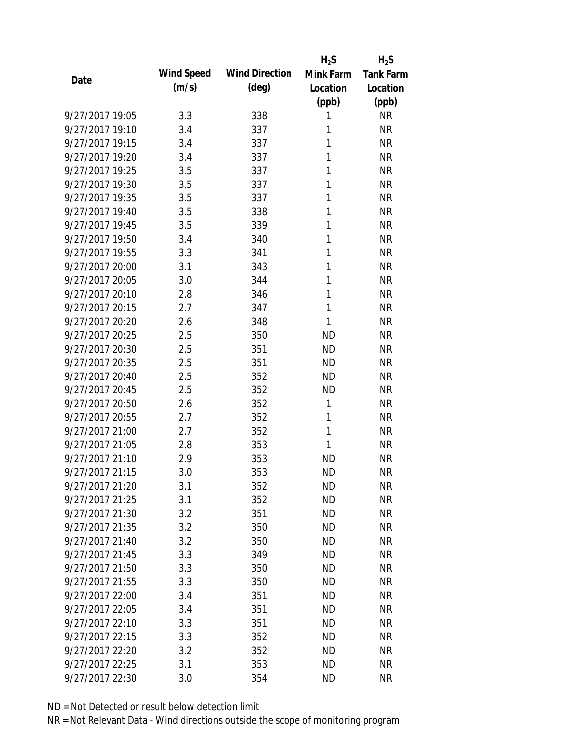|                 |            |                       | $H_2S$    | $H_2S$           |
|-----------------|------------|-----------------------|-----------|------------------|
| Date            | Wind Speed | <b>Wind Direction</b> | Mink Farm | <b>Tank Farm</b> |
|                 | (m/s)      | $(\text{deg})$        | Location  | Location         |
|                 |            |                       | (ppb)     | (ppb)            |
| 9/27/2017 19:05 | 3.3        | 338                   | 1         | <b>NR</b>        |
| 9/27/2017 19:10 | 3.4        | 337                   | 1         | <b>NR</b>        |
| 9/27/2017 19:15 | 3.4        | 337                   | 1         | <b>NR</b>        |
| 9/27/2017 19:20 | 3.4        | 337                   | 1         | <b>NR</b>        |
| 9/27/2017 19:25 | 3.5        | 337                   | 1         | <b>NR</b>        |
| 9/27/2017 19:30 | 3.5        | 337                   | 1         | <b>NR</b>        |
| 9/27/2017 19:35 | 3.5        | 337                   | 1         | <b>NR</b>        |
| 9/27/2017 19:40 | 3.5        | 338                   | 1         | <b>NR</b>        |
| 9/27/2017 19:45 | 3.5        | 339                   | 1         | <b>NR</b>        |
| 9/27/2017 19:50 | 3.4        | 340                   | 1         | <b>NR</b>        |
| 9/27/2017 19:55 | 3.3        | 341                   | 1         | <b>NR</b>        |
| 9/27/2017 20:00 | 3.1        | 343                   | 1         | <b>NR</b>        |
| 9/27/2017 20:05 | 3.0        | 344                   | 1         | <b>NR</b>        |
| 9/27/2017 20:10 | 2.8        | 346                   | 1         | <b>NR</b>        |
| 9/27/2017 20:15 | 2.7        | 347                   | 1         | <b>NR</b>        |
| 9/27/2017 20:20 | 2.6        | 348                   | 1         | <b>NR</b>        |
| 9/27/2017 20:25 | 2.5        | 350                   | <b>ND</b> | <b>NR</b>        |
| 9/27/2017 20:30 | 2.5        | 351                   | <b>ND</b> | <b>NR</b>        |
| 9/27/2017 20:35 | 2.5        | 351                   | <b>ND</b> | <b>NR</b>        |
| 9/27/2017 20:40 | 2.5        | 352                   | <b>ND</b> | <b>NR</b>        |
| 9/27/2017 20:45 | 2.5        | 352                   | <b>ND</b> | <b>NR</b>        |
| 9/27/2017 20:50 | 2.6        | 352                   | 1         | <b>NR</b>        |
| 9/27/2017 20:55 | 2.7        | 352                   | 1         | <b>NR</b>        |
| 9/27/2017 21:00 | 2.7        | 352                   | 1         | <b>NR</b>        |
| 9/27/2017 21:05 | 2.8        | 353                   | 1         | <b>NR</b>        |
| 9/27/2017 21:10 | 2.9        | 353                   | <b>ND</b> | <b>NR</b>        |
| 9/27/2017 21:15 | 3.0        | 353                   | <b>ND</b> | <b>NR</b>        |
| 9/27/2017 21:20 | 3.1        | 352                   | ND        | NR               |
| 9/27/2017 21:25 | 3.1        | 352                   | <b>ND</b> | <b>NR</b>        |
| 9/27/2017 21:30 | 3.2        | 351                   | <b>ND</b> | <b>NR</b>        |
| 9/27/2017 21:35 | 3.2        | 350                   | <b>ND</b> | <b>NR</b>        |
| 9/27/2017 21:40 | 3.2        | 350                   | <b>ND</b> | <b>NR</b>        |
| 9/27/2017 21:45 | 3.3        | 349                   | <b>ND</b> | <b>NR</b>        |
| 9/27/2017 21:50 | 3.3        | 350                   | <b>ND</b> | <b>NR</b>        |
| 9/27/2017 21:55 | 3.3        | 350                   | <b>ND</b> | <b>NR</b>        |
| 9/27/2017 22:00 | 3.4        | 351                   | <b>ND</b> | <b>NR</b>        |
| 9/27/2017 22:05 | 3.4        | 351                   | <b>ND</b> | <b>NR</b>        |
| 9/27/2017 22:10 | 3.3        | 351                   | <b>ND</b> | <b>NR</b>        |
| 9/27/2017 22:15 | 3.3        | 352                   | <b>ND</b> | <b>NR</b>        |
| 9/27/2017 22:20 | 3.2        | 352                   | <b>ND</b> | <b>NR</b>        |
| 9/27/2017 22:25 | 3.1        | 353                   | <b>ND</b> | <b>NR</b>        |
| 9/27/2017 22:30 | 3.0        | 354                   | <b>ND</b> | <b>NR</b>        |
|                 |            |                       |           |                  |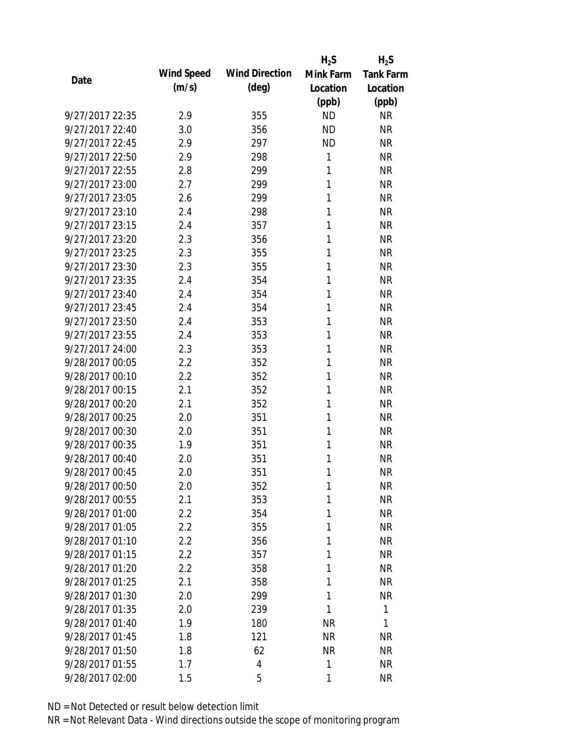|                 |            |                       | $H_2S$    | $H_2S$           |
|-----------------|------------|-----------------------|-----------|------------------|
| Date            | Wind Speed | <b>Wind Direction</b> | Mink Farm | <b>Tank Farm</b> |
|                 | (m/s)      | $(\text{deg})$        | Location  | Location         |
|                 |            |                       | (ppb)     | (ppb)            |
| 9/27/2017 22:35 | 2.9        | 355                   | <b>ND</b> | <b>NR</b>        |
| 9/27/2017 22:40 | 3.0        | 356                   | <b>ND</b> | <b>NR</b>        |
| 9/27/2017 22:45 | 2.9        | 297                   | <b>ND</b> | <b>NR</b>        |
| 9/27/2017 22:50 | 2.9        | 298                   | 1         | <b>NR</b>        |
| 9/27/2017 22:55 | 2.8        | 299                   | 1         | <b>NR</b>        |
| 9/27/2017 23:00 | 2.7        | 299                   | 1         | <b>NR</b>        |
| 9/27/2017 23:05 | 2.6        | 299                   | 1         | <b>NR</b>        |
| 9/27/2017 23:10 | 2.4        | 298                   | 1         | <b>NR</b>        |
| 9/27/2017 23:15 | 2.4        | 357                   | 1         | <b>NR</b>        |
| 9/27/2017 23:20 | 2.3        | 356                   | 1         | <b>NR</b>        |
| 9/27/2017 23:25 | 2.3        | 355                   | 1         | <b>NR</b>        |
| 9/27/2017 23:30 | 2.3        | 355                   | 1         | <b>NR</b>        |
| 9/27/2017 23:35 | 2.4        | 354                   | 1         | <b>NR</b>        |
| 9/27/2017 23:40 | 2.4        | 354                   | 1         | <b>NR</b>        |
| 9/27/2017 23:45 | 2.4        | 354                   | 1         | <b>NR</b>        |
| 9/27/2017 23:50 | 2.4        | 353                   | 1         | <b>NR</b>        |
| 9/27/2017 23:55 | 2.4        | 353                   | 1         | <b>NR</b>        |
| 9/27/2017 24:00 | 2.3        | 353                   | 1         | <b>NR</b>        |
| 9/28/2017 00:05 | 2.2        | 352                   | 1         | <b>NR</b>        |
| 9/28/2017 00:10 | 2.2        | 352                   | 1         | <b>NR</b>        |
| 9/28/2017 00:15 | 2.1        | 352                   | 1         | <b>NR</b>        |
| 9/28/2017 00:20 | 2.1        | 352                   | 1         | <b>NR</b>        |
| 9/28/2017 00:25 | 2.0        | 351                   | 1         | <b>NR</b>        |
| 9/28/2017 00:30 | 2.0        | 351                   | 1         | <b>NR</b>        |
| 9/28/2017 00:35 | 1.9        | 351                   | 1         | <b>NR</b>        |
| 9/28/2017 00:40 | 2.0        | 351                   | 1         | <b>NR</b>        |
| 9/28/2017 00:45 | 2.0        | 351                   | 1         | <b>NR</b>        |
| 9/28/2017 00:50 | 2.0        | 352                   | 1         | <b>NR</b>        |
| 9/28/2017 00:55 | 2.1        | 353                   | 1         | <b>NR</b>        |
| 9/28/2017 01:00 | $2.2\,$    | 354                   | 1         | <b>NR</b>        |
| 9/28/2017 01:05 | 2.2        | 355                   | 1         | <b>NR</b>        |
| 9/28/2017 01:10 | 2.2        | 356                   | 1         | NR               |
| 9/28/2017 01:15 | 2.2        | 357                   | 1         | <b>NR</b>        |
| 9/28/2017 01:20 | 2.2        | 358                   | 1         | <b>NR</b>        |
| 9/28/2017 01:25 | 2.1        | 358                   | 1         | <b>NR</b>        |
| 9/28/2017 01:30 | 2.0        | 299                   | 1         | <b>NR</b>        |
| 9/28/2017 01:35 | 2.0        | 239                   | 1         | 1                |
| 9/28/2017 01:40 | 1.9        | 180                   | <b>NR</b> | $\mathbf{1}$     |
| 9/28/2017 01:45 | 1.8        | 121                   | <b>NR</b> | <b>NR</b>        |
| 9/28/2017 01:50 | 1.8        | 62                    | <b>NR</b> | <b>NR</b>        |
| 9/28/2017 01:55 | 1.7        | 4                     | 1         | <b>NR</b>        |
| 9/28/2017 02:00 | 1.5        | 5                     | 1         | <b>NR</b>        |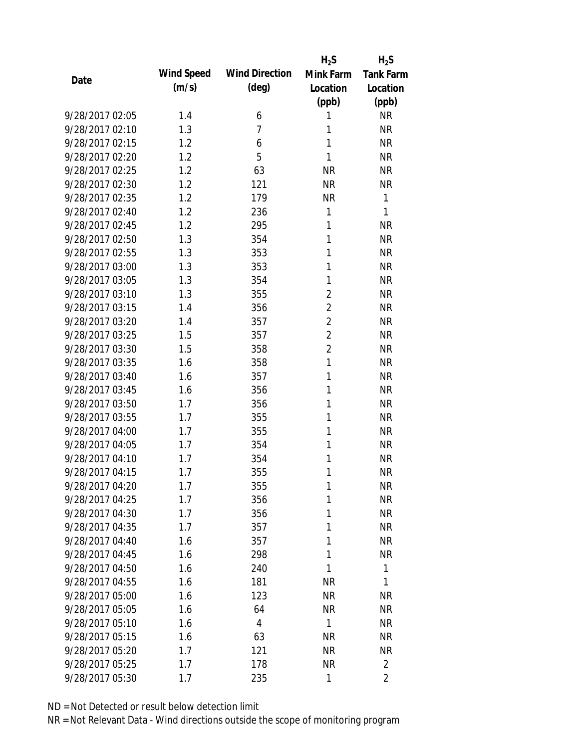|                 |            |                       | $H_2S$         | $H_2S$           |
|-----------------|------------|-----------------------|----------------|------------------|
| Date            | Wind Speed | <b>Wind Direction</b> | Mink Farm      | <b>Tank Farm</b> |
|                 | (m/s)      | $(\text{deg})$        | Location       | Location         |
|                 |            |                       | (ppb)          | (ppb)            |
| 9/28/2017 02:05 | 1.4        | 6                     | 1              | <b>NR</b>        |
| 9/28/2017 02:10 | 1.3        | 7                     | 1              | <b>NR</b>        |
| 9/28/2017 02:15 | 1.2        | 6                     | 1              | <b>NR</b>        |
| 9/28/2017 02:20 | 1.2        | 5                     | 1              | <b>NR</b>        |
| 9/28/2017 02:25 | 1.2        | 63                    | <b>NR</b>      | <b>NR</b>        |
| 9/28/2017 02:30 | 1.2        | 121                   | <b>NR</b>      | <b>NR</b>        |
| 9/28/2017 02:35 | 1.2        | 179                   | <b>NR</b>      | 1                |
| 9/28/2017 02:40 | 1.2        | 236                   | 1              | 1                |
| 9/28/2017 02:45 | 1.2        | 295                   | 1              | <b>NR</b>        |
| 9/28/2017 02:50 | 1.3        | 354                   | 1              | <b>NR</b>        |
| 9/28/2017 02:55 | 1.3        | 353                   | 1              | <b>NR</b>        |
| 9/28/2017 03:00 | 1.3        | 353                   | 1              | <b>NR</b>        |
| 9/28/2017 03:05 | 1.3        | 354                   | 1              | <b>NR</b>        |
| 9/28/2017 03:10 | 1.3        | 355                   | $\overline{2}$ | <b>NR</b>        |
| 9/28/2017 03:15 | 1.4        | 356                   | $\overline{2}$ | <b>NR</b>        |
| 9/28/2017 03:20 | 1.4        | 357                   | $\overline{2}$ | <b>NR</b>        |
| 9/28/2017 03:25 | 1.5        | 357                   | $\overline{2}$ | <b>NR</b>        |
| 9/28/2017 03:30 | 1.5        | 358                   | $\overline{2}$ | <b>NR</b>        |
| 9/28/2017 03:35 | 1.6        | 358                   | 1              | <b>NR</b>        |
| 9/28/2017 03:40 | 1.6        | 357                   | 1              | <b>NR</b>        |
| 9/28/2017 03:45 | 1.6        | 356                   | 1              | <b>NR</b>        |
| 9/28/2017 03:50 | 1.7        | 356                   | 1              | <b>NR</b>        |
| 9/28/2017 03:55 | 1.7        | 355                   | 1              | <b>NR</b>        |
| 9/28/2017 04:00 | 1.7        | 355                   | 1              | <b>NR</b>        |
| 9/28/2017 04:05 | 1.7        | 354                   | 1              | <b>NR</b>        |
| 9/28/2017 04:10 | 1.7        | 354                   | 1              | <b>NR</b>        |
| 9/28/2017 04:15 | 1.7        | 355                   | 1              | <b>NR</b>        |
| 9/28/2017 04:20 | 1.7        | 355                   | 1              | <b>NR</b>        |
| 9/28/2017 04:25 | 1.7        | 356                   | 1              | <b>NR</b>        |
| 9/28/2017 04:30 | 1.7        | 356                   | 1              | NR               |
| 9/28/2017 04:35 | 1.7        | 357                   | 1              | <b>NR</b>        |
| 9/28/2017 04:40 | 1.6        | 357                   | 1              | <b>NR</b>        |
| 9/28/2017 04:45 | 1.6        | 298                   | 1              | <b>NR</b>        |
| 9/28/2017 04:50 | 1.6        | 240                   | 1              | $\mathbf{1}$     |
| 9/28/2017 04:55 | 1.6        | 181                   | <b>NR</b>      | 1                |
| 9/28/2017 05:00 | 1.6        | 123                   | <b>NR</b>      | <b>NR</b>        |
| 9/28/2017 05:05 | 1.6        | 64                    | <b>NR</b>      | <b>NR</b>        |
| 9/28/2017 05:10 | 1.6        | 4                     | 1              | NR               |
| 9/28/2017 05:15 | 1.6        | 63                    | <b>NR</b>      | <b>NR</b>        |
| 9/28/2017 05:20 | 1.7        | 121                   | <b>NR</b>      | <b>NR</b>        |
| 9/28/2017 05:25 | 1.7        | 178                   | <b>NR</b>      | $\overline{2}$   |
| 9/28/2017 05:30 | 1.7        | 235                   | 1              | $\overline{2}$   |
|                 |            |                       |                |                  |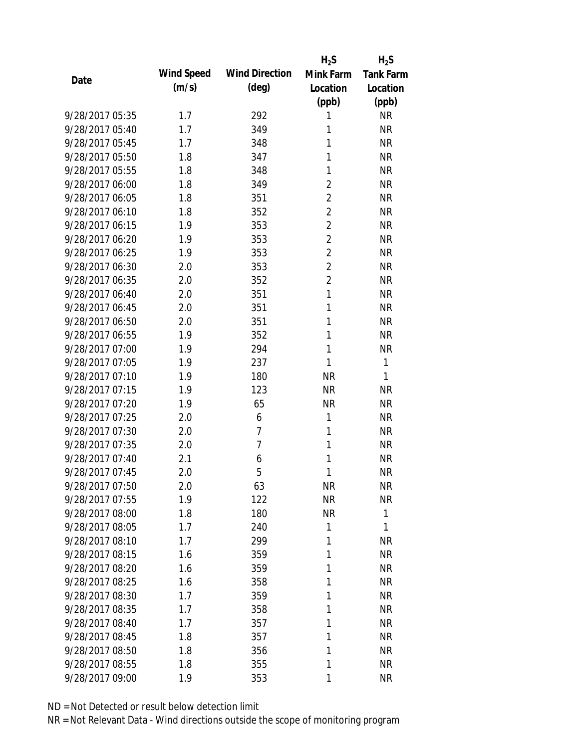|                 |            |                       | $H_2S$         | $H_2S$           |
|-----------------|------------|-----------------------|----------------|------------------|
| Date            | Wind Speed | <b>Wind Direction</b> | Mink Farm      | <b>Tank Farm</b> |
|                 | (m/s)      | $(\text{deg})$        | Location       | Location         |
|                 |            |                       | (ppb)          | (ppb)            |
| 9/28/2017 05:35 | 1.7        | 292                   | 1              | <b>NR</b>        |
| 9/28/2017 05:40 | 1.7        | 349                   | 1              | <b>NR</b>        |
| 9/28/2017 05:45 | 1.7        | 348                   | 1              | <b>NR</b>        |
| 9/28/2017 05:50 | 1.8        | 347                   | 1              | <b>NR</b>        |
| 9/28/2017 05:55 | 1.8        | 348                   | 1              | <b>NR</b>        |
| 9/28/2017 06:00 | 1.8        | 349                   | $\overline{2}$ | <b>NR</b>        |
| 9/28/2017 06:05 | 1.8        | 351                   | $\overline{2}$ | <b>NR</b>        |
| 9/28/2017 06:10 | 1.8        | 352                   | $\overline{2}$ | <b>NR</b>        |
| 9/28/2017 06:15 | 1.9        | 353                   | $\overline{2}$ | <b>NR</b>        |
| 9/28/2017 06:20 | 1.9        | 353                   | $\overline{2}$ | <b>NR</b>        |
| 9/28/2017 06:25 | 1.9        | 353                   | $\overline{2}$ | <b>NR</b>        |
| 9/28/2017 06:30 | 2.0        | 353                   | $\overline{2}$ | <b>NR</b>        |
| 9/28/2017 06:35 | 2.0        | 352                   | $\overline{2}$ | <b>NR</b>        |
| 9/28/2017 06:40 | 2.0        | 351                   | $\mathbf{1}$   | <b>NR</b>        |
| 9/28/2017 06:45 | 2.0        | 351                   | 1              | <b>NR</b>        |
| 9/28/2017 06:50 | 2.0        | 351                   | 1              | <b>NR</b>        |
| 9/28/2017 06:55 | 1.9        | 352                   | 1              | <b>NR</b>        |
| 9/28/2017 07:00 | 1.9        | 294                   | 1              | <b>NR</b>        |
| 9/28/2017 07:05 | 1.9        | 237                   | 1              | 1                |
| 9/28/2017 07:10 | 1.9        | 180                   | <b>NR</b>      | 1                |
| 9/28/2017 07:15 | 1.9        | 123                   | <b>NR</b>      | <b>NR</b>        |
| 9/28/2017 07:20 | 1.9        | 65                    | <b>NR</b>      | <b>NR</b>        |
| 9/28/2017 07:25 | 2.0        | 6                     | 1              | <b>NR</b>        |
| 9/28/2017 07:30 | 2.0        | 7                     | 1              | <b>NR</b>        |
| 9/28/2017 07:35 | 2.0        | 7                     | 1              | <b>NR</b>        |
| 9/28/2017 07:40 | 2.1        | 6                     | 1              | <b>NR</b>        |
| 9/28/2017 07:45 | 2.0        | 5                     | 1              | <b>NR</b>        |
| 9/28/2017 07:50 | 2.0        | 63                    | <b>NR</b>      | <b>NR</b>        |
| 9/28/2017 07:55 | 1.9        | 122                   | <b>NR</b>      | <b>NR</b>        |
| 9/28/2017 08:00 | 1.8        | 180                   | <b>NR</b>      | $\mathbf{1}$     |
| 9/28/2017 08:05 | 1.7        | 240                   | 1              | 1                |
| 9/28/2017 08:10 | 1.7        | 299                   | 1              | <b>NR</b>        |
| 9/28/2017 08:15 | 1.6        | 359                   | 1              | <b>NR</b>        |
| 9/28/2017 08:20 | 1.6        | 359                   | 1              | <b>NR</b>        |
| 9/28/2017 08:25 | 1.6        | 358                   | 1              | <b>NR</b>        |
| 9/28/2017 08:30 | 1.7        | 359                   | 1              | <b>NR</b>        |
| 9/28/2017 08:35 | 1.7        | 358                   | 1              | NR               |
| 9/28/2017 08:40 | 1.7        | 357                   | 1              | NR               |
| 9/28/2017 08:45 | 1.8        | 357                   | 1              | <b>NR</b>        |
| 9/28/2017 08:50 | 1.8        | 356                   | 1              | <b>NR</b>        |
| 9/28/2017 08:55 | 1.8        | 355                   | 1              | <b>NR</b>        |
| 9/28/2017 09:00 | 1.9        | 353                   | 1              | <b>NR</b>        |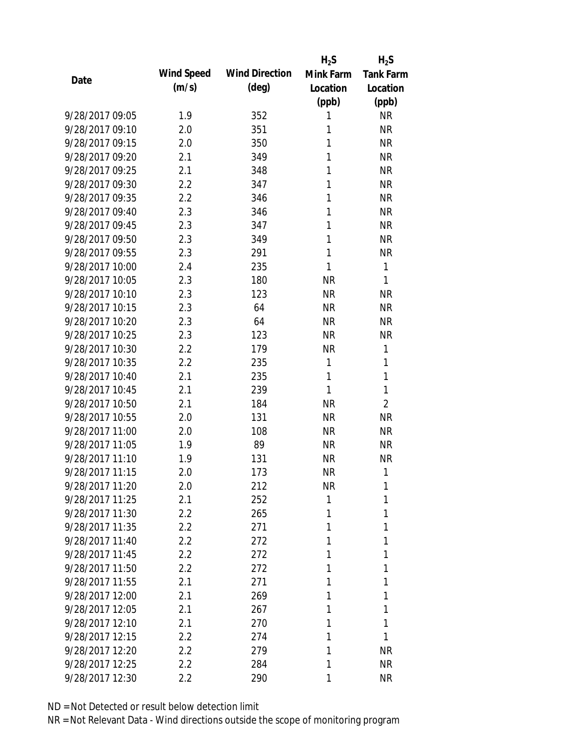|                 |                  |                       | $H_2S$    | $H_2S$           |
|-----------------|------------------|-----------------------|-----------|------------------|
| Date            | Wind Speed       | <b>Wind Direction</b> | Mink Farm | <b>Tank Farm</b> |
|                 | (m/s)            | $(\text{deg})$        | Location  | Location         |
|                 |                  |                       | (ppb)     | (ppb)            |
| 9/28/2017 09:05 | 1.9              | 352                   | 1         | <b>NR</b>        |
| 9/28/2017 09:10 | 2.0              | 351                   | 1         | <b>NR</b>        |
| 9/28/2017 09:15 | 2.0              | 350                   | 1         | <b>NR</b>        |
| 9/28/2017 09:20 | 2.1              | 349                   | 1         | <b>NR</b>        |
| 9/28/2017 09:25 | 2.1              | 348                   | 1         | <b>NR</b>        |
| 9/28/2017 09:30 | 2.2              | 347                   | 1         | <b>NR</b>        |
| 9/28/2017 09:35 | 2.2              | 346                   | 1         | <b>NR</b>        |
| 9/28/2017 09:40 | 2.3              | 346                   | 1         | <b>NR</b>        |
| 9/28/2017 09:45 | 2.3              | 347                   | 1         | <b>NR</b>        |
| 9/28/2017 09:50 | 2.3              | 349                   | 1         | <b>NR</b>        |
| 9/28/2017 09:55 | 2.3              | 291                   | 1         | <b>NR</b>        |
| 9/28/2017 10:00 | 2.4              | 235                   | 1         | 1                |
| 9/28/2017 10:05 | 2.3              | 180                   | <b>NR</b> | 1                |
| 9/28/2017 10:10 | 2.3              | 123                   | <b>NR</b> | <b>NR</b>        |
| 9/28/2017 10:15 | 2.3              | 64                    | <b>NR</b> | <b>NR</b>        |
| 9/28/2017 10:20 | 2.3              | 64                    | <b>NR</b> | <b>NR</b>        |
| 9/28/2017 10:25 | 2.3              | 123                   | <b>NR</b> | <b>NR</b>        |
| 9/28/2017 10:30 | 2.2              | 179                   | <b>NR</b> | 1                |
| 9/28/2017 10:35 | 2.2              | 235                   | 1         | 1                |
| 9/28/2017 10:40 | 2.1              | 235                   | 1         | 1                |
| 9/28/2017 10:45 | 2.1              | 239                   | 1         | 1                |
| 9/28/2017 10:50 | 2.1              | 184                   | <b>NR</b> | $\overline{2}$   |
| 9/28/2017 10:55 | 2.0              | 131                   | <b>NR</b> | <b>NR</b>        |
| 9/28/2017 11:00 | 2.0              | 108                   | <b>NR</b> | <b>NR</b>        |
| 9/28/2017 11:05 | 1.9              | 89                    | <b>NR</b> | <b>NR</b>        |
| 9/28/2017 11:10 | 1.9              | 131                   | <b>NR</b> | <b>NR</b>        |
| 9/28/2017 11:15 | 2.0              | 173                   | <b>NR</b> | 1                |
| 9/28/2017 11:20 | 2.0              | 212                   | NR        | 1                |
| 9/28/2017 11:25 | 2.1              | 252                   | 1         | 1                |
| 9/28/2017 11:30 | $2.2\,$          | 265                   | 1         | 1                |
| 9/28/2017 11:35 | 2.2              | 271                   | 1         | 1                |
| 9/28/2017 11:40 | $2.2\phantom{0}$ | 272                   | 1         | 1                |
| 9/28/2017 11:45 | 2.2              | 272                   | 1         | 1                |
| 9/28/2017 11:50 | 2.2              | 272                   | 1         | 1                |
| 9/28/2017 11:55 | 2.1              | 271                   | 1         | 1                |
| 9/28/2017 12:00 | 2.1              | 269                   | 1         | 1                |
| 9/28/2017 12:05 | 2.1              | 267                   | 1         | 1                |
| 9/28/2017 12:10 | 2.1              | 270                   | 1         | 1                |
| 9/28/2017 12:15 | 2.2              | 274                   | 1         | 1                |
| 9/28/2017 12:20 | 2.2              | 279                   | 1         | NR               |
| 9/28/2017 12:25 | $2.2\phantom{0}$ | 284                   | 1         | <b>NR</b>        |
| 9/28/2017 12:30 | 2.2              | 290                   | 1         | <b>NR</b>        |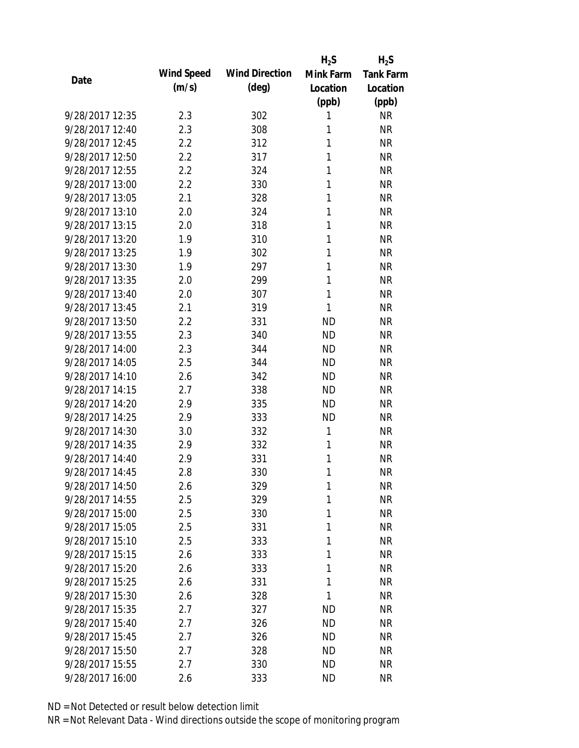|                 |            |                       | $H_2S$    | $H_2S$           |
|-----------------|------------|-----------------------|-----------|------------------|
| Date            | Wind Speed | <b>Wind Direction</b> | Mink Farm | <b>Tank Farm</b> |
|                 | (m/s)      | $(\text{deg})$        | Location  | Location         |
|                 |            |                       | (ppb)     | (ppb)            |
| 9/28/2017 12:35 | 2.3        | 302                   | 1         | <b>NR</b>        |
| 9/28/2017 12:40 | 2.3        | 308                   | 1         | <b>NR</b>        |
| 9/28/2017 12:45 | 2.2        | 312                   | 1         | <b>NR</b>        |
| 9/28/2017 12:50 | 2.2        | 317                   | 1         | <b>NR</b>        |
| 9/28/2017 12:55 | 2.2        | 324                   | 1         | <b>NR</b>        |
| 9/28/2017 13:00 | 2.2        | 330                   | 1         | <b>NR</b>        |
| 9/28/2017 13:05 | 2.1        | 328                   | 1         | <b>NR</b>        |
| 9/28/2017 13:10 | 2.0        | 324                   | 1         | <b>NR</b>        |
| 9/28/2017 13:15 | 2.0        | 318                   | 1         | <b>NR</b>        |
| 9/28/2017 13:20 | 1.9        | 310                   | 1         | <b>NR</b>        |
| 9/28/2017 13:25 | 1.9        | 302                   | 1         | <b>NR</b>        |
| 9/28/2017 13:30 | 1.9        | 297                   | 1         | <b>NR</b>        |
| 9/28/2017 13:35 | 2.0        | 299                   | 1         | <b>NR</b>        |
| 9/28/2017 13:40 | 2.0        | 307                   | 1         | <b>NR</b>        |
| 9/28/2017 13:45 | 2.1        | 319                   | 1         | <b>NR</b>        |
| 9/28/2017 13:50 | 2.2        | 331                   | <b>ND</b> | <b>NR</b>        |
| 9/28/2017 13:55 | 2.3        | 340                   | <b>ND</b> | <b>NR</b>        |
| 9/28/2017 14:00 | 2.3        | 344                   | <b>ND</b> | <b>NR</b>        |
| 9/28/2017 14:05 | 2.5        | 344                   | <b>ND</b> | <b>NR</b>        |
| 9/28/2017 14:10 | 2.6        | 342                   | <b>ND</b> | <b>NR</b>        |
| 9/28/2017 14:15 | 2.7        | 338                   | <b>ND</b> | <b>NR</b>        |
| 9/28/2017 14:20 | 2.9        | 335                   | <b>ND</b> | <b>NR</b>        |
| 9/28/2017 14:25 | 2.9        | 333                   | <b>ND</b> | <b>NR</b>        |
| 9/28/2017 14:30 | 3.0        | 332                   | 1         | <b>NR</b>        |
| 9/28/2017 14:35 | 2.9        | 332                   | 1         | <b>NR</b>        |
| 9/28/2017 14:40 | 2.9        | 331                   | 1         | <b>NR</b>        |
| 9/28/2017 14:45 | 2.8        | 330                   | 1         | <b>NR</b>        |
| 9/28/2017 14:50 | 2.6        | 329                   | 1         | NR               |
| 9/28/2017 14:55 | 2.5        | 329                   | 1         | <b>NR</b>        |
| 9/28/2017 15:00 | 2.5        | 330                   | 1         | <b>NR</b>        |
| 9/28/2017 15:05 | 2.5        | 331                   | 1         | <b>NR</b>        |
| 9/28/2017 15:10 | 2.5        | 333                   | 1         | NR               |
| 9/28/2017 15:15 | 2.6        | 333                   | 1         | <b>NR</b>        |
| 9/28/2017 15:20 | 2.6        | 333                   | 1         | <b>NR</b>        |
| 9/28/2017 15:25 | 2.6        | 331                   | 1         | <b>NR</b>        |
| 9/28/2017 15:30 | 2.6        | 328                   | 1         | <b>NR</b>        |
| 9/28/2017 15:35 | 2.7        | 327                   | ND        | <b>NR</b>        |
| 9/28/2017 15:40 | 2.7        | 326                   | <b>ND</b> | <b>NR</b>        |
| 9/28/2017 15:45 | 2.7        | 326                   | <b>ND</b> | <b>NR</b>        |
| 9/28/2017 15:50 | 2.7        | 328                   | ND        | NR               |
| 9/28/2017 15:55 | 2.7        | 330                   | <b>ND</b> | <b>NR</b>        |
| 9/28/2017 16:00 | 2.6        | 333                   | <b>ND</b> | <b>NR</b>        |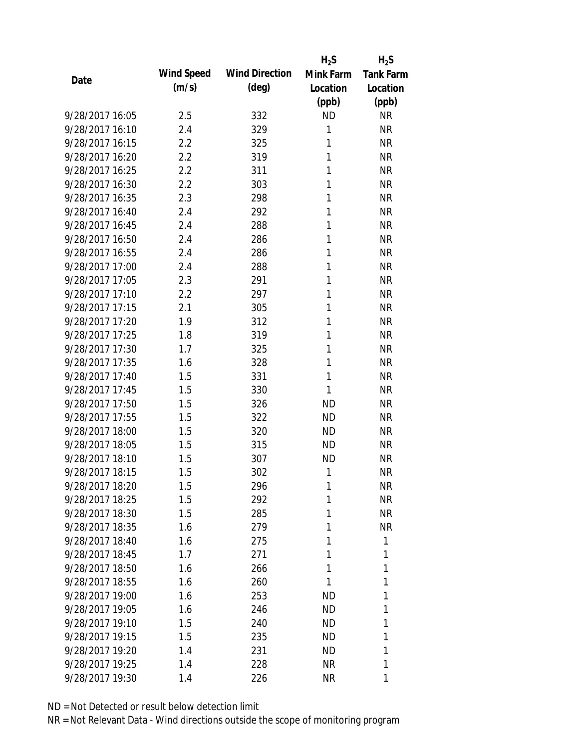|                 |            |                       | $H_2S$    | $H_2S$           |
|-----------------|------------|-----------------------|-----------|------------------|
| Date            | Wind Speed | <b>Wind Direction</b> | Mink Farm | <b>Tank Farm</b> |
|                 | (m/s)      | $(\text{deg})$        | Location  | Location         |
|                 |            |                       | (ppb)     | (ppb)            |
| 9/28/2017 16:05 | 2.5        | 332                   | <b>ND</b> | <b>NR</b>        |
| 9/28/2017 16:10 | 2.4        | 329                   | 1         | <b>NR</b>        |
| 9/28/2017 16:15 | 2.2        | 325                   | 1         | <b>NR</b>        |
| 9/28/2017 16:20 | 2.2        | 319                   | 1         | <b>NR</b>        |
| 9/28/2017 16:25 | 2.2        | 311                   | 1         | <b>NR</b>        |
| 9/28/2017 16:30 | 2.2        | 303                   | 1         | <b>NR</b>        |
| 9/28/2017 16:35 | 2.3        | 298                   | 1         | <b>NR</b>        |
| 9/28/2017 16:40 | 2.4        | 292                   | 1         | <b>NR</b>        |
| 9/28/2017 16:45 | 2.4        | 288                   | 1         | <b>NR</b>        |
| 9/28/2017 16:50 | 2.4        | 286                   | 1         | <b>NR</b>        |
| 9/28/2017 16:55 | 2.4        | 286                   | 1         | <b>NR</b>        |
| 9/28/2017 17:00 | 2.4        | 288                   | 1         | <b>NR</b>        |
| 9/28/2017 17:05 | 2.3        | 291                   | 1         | <b>NR</b>        |
| 9/28/2017 17:10 | 2.2        | 297                   | 1         | <b>NR</b>        |
| 9/28/2017 17:15 | 2.1        | 305                   | 1         | <b>NR</b>        |
| 9/28/2017 17:20 | 1.9        | 312                   | 1         | <b>NR</b>        |
| 9/28/2017 17:25 | 1.8        | 319                   | 1         | <b>NR</b>        |
| 9/28/2017 17:30 | 1.7        | 325                   | 1         | <b>NR</b>        |
| 9/28/2017 17:35 | 1.6        | 328                   | 1         | <b>NR</b>        |
| 9/28/2017 17:40 | 1.5        | 331                   | 1         | <b>NR</b>        |
| 9/28/2017 17:45 | 1.5        | 330                   | 1         | <b>NR</b>        |
| 9/28/2017 17:50 | 1.5        | 326                   | <b>ND</b> | <b>NR</b>        |
| 9/28/2017 17:55 | 1.5        | 322                   | <b>ND</b> | <b>NR</b>        |
| 9/28/2017 18:00 | 1.5        | 320                   | <b>ND</b> | <b>NR</b>        |
| 9/28/2017 18:05 | 1.5        | 315                   | <b>ND</b> | <b>NR</b>        |
| 9/28/2017 18:10 | 1.5        | 307                   | <b>ND</b> | <b>NR</b>        |
| 9/28/2017 18:15 | 1.5        | 302                   | 1         | <b>NR</b>        |
| 9/28/2017 18:20 | 1.5        | 296                   | 1         | <b>NR</b>        |
| 9/28/2017 18:25 | 1.5        | 292                   | 1         | <b>NR</b>        |
| 9/28/2017 18:30 | 1.5        | 285                   | 1         | <b>NR</b>        |
| 9/28/2017 18:35 | 1.6        | 279                   | 1         | <b>NR</b>        |
| 9/28/2017 18:40 | 1.6        | 275                   | 1         | 1                |
| 9/28/2017 18:45 | 1.7        | 271                   | 1         | 1                |
| 9/28/2017 18:50 | 1.6        | 266                   | 1         | 1                |
| 9/28/2017 18:55 | 1.6        | 260                   | 1         | 1                |
| 9/28/2017 19:00 | 1.6        | 253                   | ΝD        | 1                |
| 9/28/2017 19:05 | 1.6        | 246                   | <b>ND</b> | 1                |
| 9/28/2017 19:10 | 1.5        | 240                   | ND        | 1                |
| 9/28/2017 19:15 | 1.5        | 235                   | <b>ND</b> | 1                |
| 9/28/2017 19:20 | 1.4        | 231                   | ND        | 1                |
| 9/28/2017 19:25 | 1.4        | 228                   | <b>NR</b> | 1                |
| 9/28/2017 19:30 | 1.4        | 226                   | <b>NR</b> | 1                |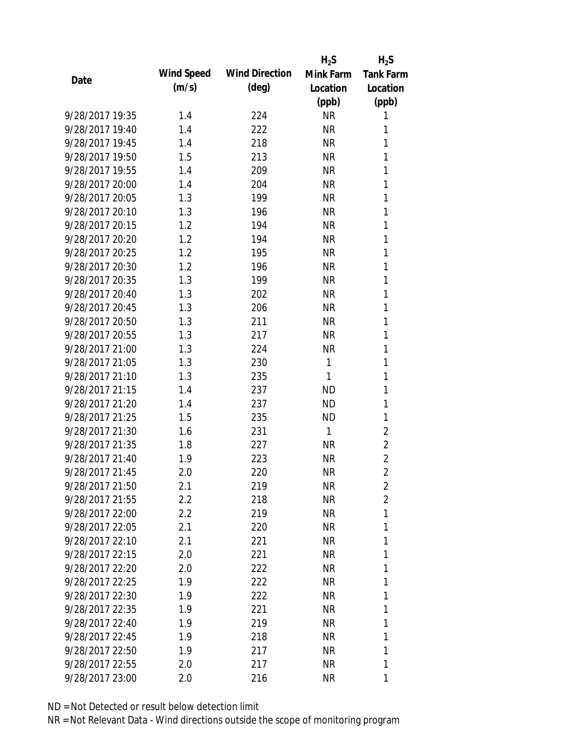|                 |            |                       | $H_2S$    | $H_2S$           |
|-----------------|------------|-----------------------|-----------|------------------|
| Date            | Wind Speed | <b>Wind Direction</b> | Mink Farm | <b>Tank Farm</b> |
|                 | (m/s)      | $(\text{deg})$        | Location  | Location         |
|                 |            |                       | (ppb)     | (ppb)            |
| 9/28/2017 19:35 | 1.4        | 224                   | <b>NR</b> | 1                |
| 9/28/2017 19:40 | 1.4        | 222                   | <b>NR</b> | 1                |
| 9/28/2017 19:45 | 1.4        | 218                   | <b>NR</b> | 1                |
| 9/28/2017 19:50 | 1.5        | 213                   | <b>NR</b> | 1                |
| 9/28/2017 19:55 | 1.4        | 209                   | <b>NR</b> | 1                |
| 9/28/2017 20:00 | 1.4        | 204                   | <b>NR</b> | 1                |
| 9/28/2017 20:05 | 1.3        | 199                   | <b>NR</b> | 1                |
| 9/28/2017 20:10 | 1.3        | 196                   | <b>NR</b> | 1                |
| 9/28/2017 20:15 | 1.2        | 194                   | <b>NR</b> | 1                |
| 9/28/2017 20:20 | 1.2        | 194                   | <b>NR</b> | 1                |
| 9/28/2017 20:25 | 1.2        | 195                   | <b>NR</b> | 1                |
| 9/28/2017 20:30 | 1.2        | 196                   | <b>NR</b> | 1                |
| 9/28/2017 20:35 | 1.3        | 199                   | <b>NR</b> | 1                |
| 9/28/2017 20:40 | 1.3        | 202                   | <b>NR</b> | 1                |
| 9/28/2017 20:45 | 1.3        | 206                   | <b>NR</b> | 1                |
| 9/28/2017 20:50 | 1.3        | 211                   | <b>NR</b> | 1                |
| 9/28/2017 20:55 | 1.3        | 217                   | <b>NR</b> | 1                |
| 9/28/2017 21:00 | 1.3        | 224                   | <b>NR</b> | 1                |
| 9/28/2017 21:05 | 1.3        | 230                   | 1         | 1                |
| 9/28/2017 21:10 | 1.3        | 235                   | 1         | 1                |
| 9/28/2017 21:15 | 1.4        | 237                   | <b>ND</b> | 1                |
| 9/28/2017 21:20 | 1.4        | 237                   | <b>ND</b> | 1                |
| 9/28/2017 21:25 | 1.5        | 235                   | <b>ND</b> | 1                |
| 9/28/2017 21:30 | 1.6        | 231                   | 1         | $\overline{2}$   |
| 9/28/2017 21:35 | 1.8        | 227                   | <b>NR</b> | $\overline{2}$   |
| 9/28/2017 21:40 | 1.9        | 223                   | <b>NR</b> | $\overline{2}$   |
| 9/28/2017 21:45 | 2.0        | 220                   | <b>NR</b> | $\overline{2}$   |
| 9/28/2017 21:50 | 2.1        | 219                   | NR        | 2                |
| 9/28/2017 21:55 | 2.2        | 218                   | <b>NR</b> | $\overline{2}$   |
| 9/28/2017 22:00 | $2.2\,$    | 219                   | <b>NR</b> | 1                |
| 9/28/2017 22:05 | 2.1        | 220                   | <b>NR</b> | 1                |
| 9/28/2017 22:10 | 2.1        | 221                   | <b>NR</b> | 1                |
| 9/28/2017 22:15 | 2.0        | 221                   | NR        | 1                |
| 9/28/2017 22:20 | 2.0        | 222                   | <b>NR</b> | 1                |
| 9/28/2017 22:25 | 1.9        | 222                   | NR        | 1                |
| 9/28/2017 22:30 | 1.9        | 222                   | <b>NR</b> | 1                |
| 9/28/2017 22:35 | 1.9        | 221                   | <b>NR</b> | 1                |
| 9/28/2017 22:40 | 1.9        | 219                   | NR        | 1                |
| 9/28/2017 22:45 | 1.9        | 218                   | <b>NR</b> | 1                |
| 9/28/2017 22:50 | 1.9        | 217                   | <b>NR</b> | 1                |
| 9/28/2017 22:55 | 2.0        | 217                   | <b>NR</b> | 1                |
| 9/28/2017 23:00 | 2.0        | 216                   | <b>NR</b> | 1                |
|                 |            |                       |           |                  |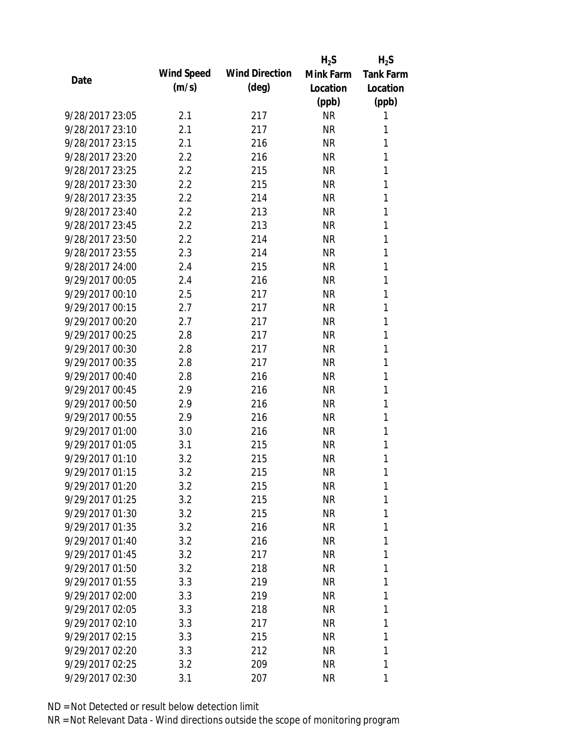|                 |            |                       | $H_2S$    | $H_2S$           |
|-----------------|------------|-----------------------|-----------|------------------|
| Date            | Wind Speed | <b>Wind Direction</b> | Mink Farm | <b>Tank Farm</b> |
|                 | (m/s)      | $(\text{deg})$        | Location  | Location         |
|                 |            |                       | (ppb)     | (ppb)            |
| 9/28/2017 23:05 | 2.1        | 217                   | <b>NR</b> | 1                |
| 9/28/2017 23:10 | 2.1        | 217                   | <b>NR</b> | 1                |
| 9/28/2017 23:15 | 2.1        | 216                   | <b>NR</b> | 1                |
| 9/28/2017 23:20 | 2.2        | 216                   | <b>NR</b> | 1                |
| 9/28/2017 23:25 | 2.2        | 215                   | <b>NR</b> | 1                |
| 9/28/2017 23:30 | 2.2        | 215                   | <b>NR</b> | 1                |
| 9/28/2017 23:35 | 2.2        | 214                   | <b>NR</b> | 1                |
| 9/28/2017 23:40 | 2.2        | 213                   | <b>NR</b> | 1                |
| 9/28/2017 23:45 | 2.2        | 213                   | <b>NR</b> | 1                |
| 9/28/2017 23:50 | 2.2        | 214                   | <b>NR</b> | 1                |
| 9/28/2017 23:55 | 2.3        | 214                   | <b>NR</b> | 1                |
| 9/28/2017 24:00 | 2.4        | 215                   | <b>NR</b> | 1                |
| 9/29/2017 00:05 | 2.4        | 216                   | <b>NR</b> | 1                |
| 9/29/2017 00:10 | 2.5        | 217                   | <b>NR</b> | 1                |
| 9/29/2017 00:15 | 2.7        | 217                   | <b>NR</b> | 1                |
| 9/29/2017 00:20 | 2.7        | 217                   | <b>NR</b> | 1                |
| 9/29/2017 00:25 | 2.8        | 217                   | <b>NR</b> | 1                |
| 9/29/2017 00:30 | 2.8        | 217                   | <b>NR</b> | 1                |
| 9/29/2017 00:35 | 2.8        | 217                   | <b>NR</b> | 1                |
| 9/29/2017 00:40 | 2.8        | 216                   | <b>NR</b> | 1                |
| 9/29/2017 00:45 | 2.9        | 216                   | <b>NR</b> | 1                |
| 9/29/2017 00:50 | 2.9        | 216                   | <b>NR</b> | 1                |
| 9/29/2017 00:55 | 2.9        | 216                   | <b>NR</b> | 1                |
| 9/29/2017 01:00 | 3.0        | 216                   | <b>NR</b> | 1                |
| 9/29/2017 01:05 | 3.1        | 215                   | <b>NR</b> | 1                |
| 9/29/2017 01:10 | 3.2        | 215                   | <b>NR</b> | 1                |
| 9/29/2017 01:15 | 3.2        | 215                   | <b>NR</b> | 1                |
| 9/29/2017 01:20 | 3.2        | 215                   | <b>NR</b> | 1                |
| 9/29/2017 01:25 | 3.2        | 215                   | <b>NR</b> | 1                |
| 9/29/2017 01:30 | 3.2        | 215                   | <b>NR</b> | 1                |
| 9/29/2017 01:35 | 3.2        | 216                   | <b>NR</b> | 1                |
| 9/29/2017 01:40 | 3.2        | 216                   | <b>NR</b> | 1                |
| 9/29/2017 01:45 | 3.2        | 217                   | <b>NR</b> | 1                |
| 9/29/2017 01:50 | 3.2        | 218                   | <b>NR</b> | 1                |
| 9/29/2017 01:55 | 3.3        | 219                   | <b>NR</b> | 1                |
| 9/29/2017 02:00 | 3.3        | 219                   | NR        | 1                |
| 9/29/2017 02:05 | 3.3        | 218                   | <b>NR</b> | 1                |
| 9/29/2017 02:10 | 3.3        | 217                   | NR.       | 1                |
| 9/29/2017 02:15 | 3.3        | 215                   | <b>NR</b> | 1                |
| 9/29/2017 02:20 | 3.3        | 212                   | NR        | 1                |
| 9/29/2017 02:25 | 3.2        | 209                   | <b>NR</b> | 1                |
| 9/29/2017 02:30 | 3.1        | 207                   | <b>NR</b> | 1                |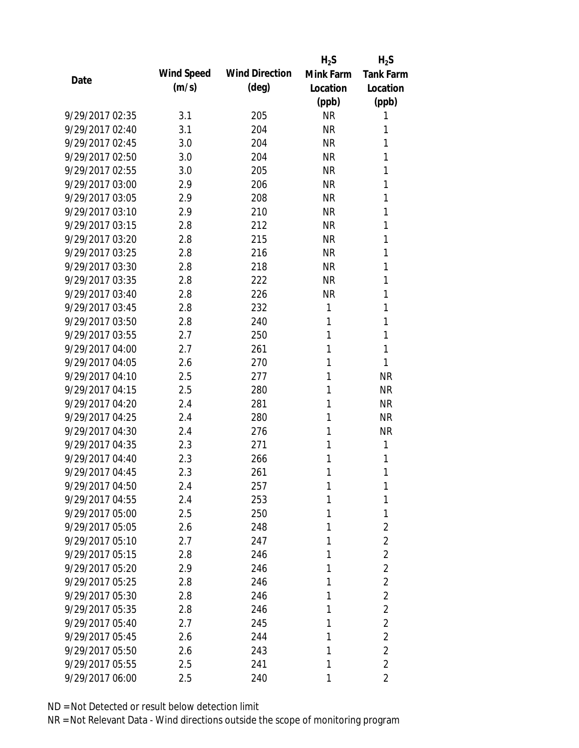|                 |            |                       | $H_2S$    | $H_2S$           |
|-----------------|------------|-----------------------|-----------|------------------|
| Date            | Wind Speed | <b>Wind Direction</b> | Mink Farm | <b>Tank Farm</b> |
|                 | (m/s)      | $(\text{deg})$        | Location  | Location         |
|                 |            |                       | (ppb)     | (ppb)            |
| 9/29/2017 02:35 | 3.1        | 205                   | <b>NR</b> | 1                |
| 9/29/2017 02:40 | 3.1        | 204                   | <b>NR</b> | 1                |
| 9/29/2017 02:45 | 3.0        | 204                   | <b>NR</b> | 1                |
| 9/29/2017 02:50 | 3.0        | 204                   | <b>NR</b> | 1                |
| 9/29/2017 02:55 | 3.0        | 205                   | <b>NR</b> | 1                |
| 9/29/2017 03:00 | 2.9        | 206                   | <b>NR</b> | 1                |
| 9/29/2017 03:05 | 2.9        | 208                   | <b>NR</b> | 1                |
| 9/29/2017 03:10 | 2.9        | 210                   | <b>NR</b> | 1                |
| 9/29/2017 03:15 | 2.8        | 212                   | <b>NR</b> | 1                |
| 9/29/2017 03:20 | 2.8        | 215                   | <b>NR</b> | 1                |
| 9/29/2017 03:25 | 2.8        | 216                   | <b>NR</b> | 1                |
| 9/29/2017 03:30 | 2.8        | 218                   | <b>NR</b> | 1                |
| 9/29/2017 03:35 | 2.8        | 222                   | <b>NR</b> | 1                |
| 9/29/2017 03:40 | 2.8        | 226                   | <b>NR</b> | 1                |
| 9/29/2017 03:45 | 2.8        | 232                   | 1         | 1                |
| 9/29/2017 03:50 | 2.8        | 240                   | 1         | 1                |
| 9/29/2017 03:55 | 2.7        | 250                   | 1         | 1                |
| 9/29/2017 04:00 | 2.7        | 261                   | 1         | 1                |
| 9/29/2017 04:05 | 2.6        | 270                   | 1         | 1                |
| 9/29/2017 04:10 | 2.5        | 277                   | 1         | <b>NR</b>        |
| 9/29/2017 04:15 | 2.5        | 280                   | 1         | <b>NR</b>        |
| 9/29/2017 04:20 | 2.4        | 281                   | 1         | <b>NR</b>        |
| 9/29/2017 04:25 | 2.4        | 280                   | 1         | <b>NR</b>        |
| 9/29/2017 04:30 | 2.4        | 276                   | 1         | <b>NR</b>        |
| 9/29/2017 04:35 | 2.3        | 271                   | 1         | 1                |
| 9/29/2017 04:40 | 2.3        | 266                   | 1         | 1                |
| 9/29/2017 04:45 | 2.3        | 261                   | 1         | 1                |
| 9/29/2017 04:50 | 2.4        | 257                   | 1         | 1                |
| 9/29/2017 04:55 | 2.4        | 253                   | 1         | 1                |
| 9/29/2017 05:00 | 2.5        | 250                   | 1         | 1                |
| 9/29/2017 05:05 | 2.6        | 248                   | 1         | $\overline{2}$   |
| 9/29/2017 05:10 | 2.7        | 247                   | 1         | $\overline{2}$   |
| 9/29/2017 05:15 | 2.8        | 246                   | 1         | $\overline{2}$   |
| 9/29/2017 05:20 | 2.9        | 246                   | 1         | $\overline{2}$   |
| 9/29/2017 05:25 | 2.8        | 246                   | 1         | $\overline{2}$   |
| 9/29/2017 05:30 | 2.8        | 246                   | 1         | $\overline{2}$   |
| 9/29/2017 05:35 | 2.8        | 246                   | 1         | $\overline{2}$   |
| 9/29/2017 05:40 | 2.7        | 245                   | 1         | $\overline{2}$   |
| 9/29/2017 05:45 | 2.6        | 244                   | 1         | $\overline{2}$   |
| 9/29/2017 05:50 | 2.6        | 243                   | 1         | $\overline{2}$   |
| 9/29/2017 05:55 | 2.5        | 241                   | 1         | $\overline{2}$   |
| 9/29/2017 06:00 | 2.5        | 240                   | 1         | $\overline{2}$   |
|                 |            |                       |           |                  |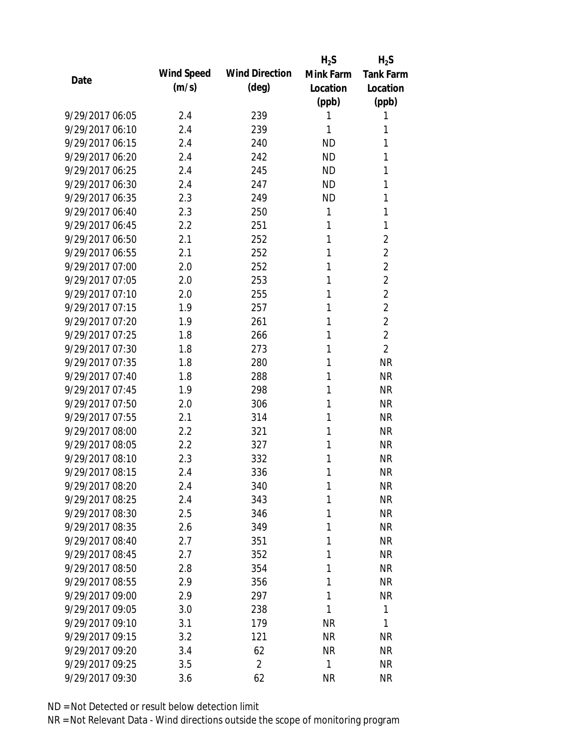|                 |            |                       | $H_2S$    | $H_2S$           |
|-----------------|------------|-----------------------|-----------|------------------|
| Date            | Wind Speed | <b>Wind Direction</b> | Mink Farm | <b>Tank Farm</b> |
|                 | (m/s)      | $(\text{deg})$        | Location  | Location         |
|                 |            |                       | (ppb)     | (ppb)            |
| 9/29/2017 06:05 | 2.4        | 239                   | 1         | 1                |
| 9/29/2017 06:10 | 2.4        | 239                   | 1         | 1                |
| 9/29/2017 06:15 | 2.4        | 240                   | <b>ND</b> | 1                |
| 9/29/2017 06:20 | 2.4        | 242                   | <b>ND</b> | 1                |
| 9/29/2017 06:25 | 2.4        | 245                   | <b>ND</b> | 1                |
| 9/29/2017 06:30 | 2.4        | 247                   | <b>ND</b> | 1                |
| 9/29/2017 06:35 | 2.3        | 249                   | <b>ND</b> | 1                |
| 9/29/2017 06:40 | 2.3        | 250                   | 1         | 1                |
| 9/29/2017 06:45 | 2.2        | 251                   | 1         | 1                |
| 9/29/2017 06:50 | 2.1        | 252                   | 1         | $\overline{2}$   |
| 9/29/2017 06:55 | 2.1        | 252                   | 1         | $\overline{2}$   |
| 9/29/2017 07:00 | 2.0        | 252                   | 1         | $\overline{2}$   |
| 9/29/2017 07:05 | 2.0        | 253                   | 1         | $\overline{2}$   |
| 9/29/2017 07:10 | 2.0        | 255                   | 1         | $\overline{2}$   |
| 9/29/2017 07:15 | 1.9        | 257                   | 1         | $\overline{2}$   |
| 9/29/2017 07:20 | 1.9        | 261                   | 1         | $\overline{2}$   |
| 9/29/2017 07:25 | 1.8        | 266                   | 1         | $\overline{2}$   |
| 9/29/2017 07:30 | 1.8        | 273                   | 1         | $\overline{2}$   |
| 9/29/2017 07:35 | 1.8        | 280                   | 1         | <b>NR</b>        |
| 9/29/2017 07:40 | 1.8        | 288                   | 1         | <b>NR</b>        |
| 9/29/2017 07:45 | 1.9        | 298                   | 1         | <b>NR</b>        |
| 9/29/2017 07:50 | 2.0        | 306                   | 1         | <b>NR</b>        |
| 9/29/2017 07:55 | 2.1        | 314                   | 1         | <b>NR</b>        |
| 9/29/2017 08:00 | 2.2        | 321                   | 1         | <b>NR</b>        |
| 9/29/2017 08:05 | 2.2        | 327                   | 1         | <b>NR</b>        |
| 9/29/2017 08:10 | 2.3        | 332                   | 1         | <b>NR</b>        |
| 9/29/2017 08:15 | 2.4        | 336                   | 1         | <b>NR</b>        |
| 9/29/2017 08:20 | 2.4        | 340                   | 1         | NR               |
| 9/29/2017 08:25 | 2.4        | 343                   | 1         | <b>NR</b>        |
| 9/29/2017 08:30 | 2.5        | 346                   | 1         | <b>NR</b>        |
| 9/29/2017 08:35 | 2.6        | 349                   | 1         | <b>NR</b>        |
| 9/29/2017 08:40 | 2.7        | 351                   | 1         | <b>NR</b>        |
| 9/29/2017 08:45 | 2.7        | 352                   | 1         | <b>NR</b>        |
| 9/29/2017 08:50 | 2.8        | 354                   | 1         | <b>NR</b>        |
| 9/29/2017 08:55 | 2.9        | 356                   | 1         | <b>NR</b>        |
| 9/29/2017 09:00 | 2.9        | 297                   | 1         | <b>NR</b>        |
| 9/29/2017 09:05 | 3.0        | 238                   | 1         | 1                |
| 9/29/2017 09:10 | 3.1        | 179                   | <b>NR</b> | 1                |
| 9/29/2017 09:15 | 3.2        | 121                   | <b>NR</b> | <b>NR</b>        |
| 9/29/2017 09:20 | 3.4        | 62                    | <b>NR</b> | <b>NR</b>        |
| 9/29/2017 09:25 | 3.5        | $\overline{2}$        | 1         | <b>NR</b>        |
| 9/29/2017 09:30 | 3.6        | 62                    | <b>NR</b> | <b>NR</b>        |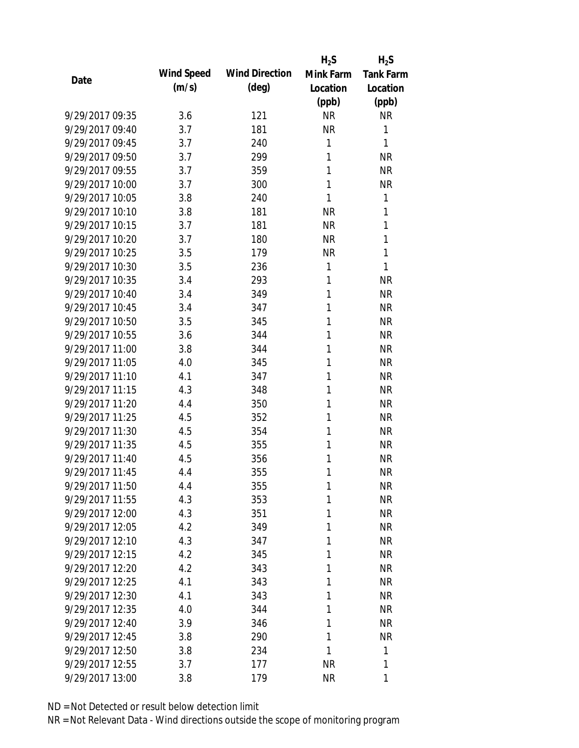|                 |            |                       | $H_2S$    | $H_2S$           |
|-----------------|------------|-----------------------|-----------|------------------|
| Date            | Wind Speed | <b>Wind Direction</b> | Mink Farm | <b>Tank Farm</b> |
|                 | (m/s)      | $(\text{deg})$        | Location  | Location         |
|                 |            |                       | (ppb)     | (ppb)            |
| 9/29/2017 09:35 | 3.6        | 121                   | <b>NR</b> | <b>NR</b>        |
| 9/29/2017 09:40 | 3.7        | 181                   | <b>NR</b> | 1                |
| 9/29/2017 09:45 | 3.7        | 240                   | 1         | 1                |
| 9/29/2017 09:50 | 3.7        | 299                   | 1         | <b>NR</b>        |
| 9/29/2017 09:55 | 3.7        | 359                   | 1         | <b>NR</b>        |
| 9/29/2017 10:00 | 3.7        | 300                   | 1         | <b>NR</b>        |
| 9/29/2017 10:05 | 3.8        | 240                   | 1         | 1                |
| 9/29/2017 10:10 | 3.8        | 181                   | <b>NR</b> | 1                |
| 9/29/2017 10:15 | 3.7        | 181                   | <b>NR</b> | 1                |
| 9/29/2017 10:20 | 3.7        | 180                   | <b>NR</b> | 1                |
| 9/29/2017 10:25 | 3.5        | 179                   | <b>NR</b> | 1                |
| 9/29/2017 10:30 | 3.5        | 236                   | 1         | 1                |
| 9/29/2017 10:35 | 3.4        | 293                   | 1         | <b>NR</b>        |
| 9/29/2017 10:40 | 3.4        | 349                   | 1         | <b>NR</b>        |
| 9/29/2017 10:45 | 3.4        | 347                   | 1         | <b>NR</b>        |
| 9/29/2017 10:50 | 3.5        | 345                   | 1         | <b>NR</b>        |
| 9/29/2017 10:55 | 3.6        | 344                   | 1         | <b>NR</b>        |
| 9/29/2017 11:00 | 3.8        | 344                   | 1         | <b>NR</b>        |
| 9/29/2017 11:05 | 4.0        | 345                   | 1         | <b>NR</b>        |
| 9/29/2017 11:10 | 4.1        | 347                   | 1         | <b>NR</b>        |
| 9/29/2017 11:15 | 4.3        | 348                   | 1         | <b>NR</b>        |
| 9/29/2017 11:20 | 4.4        | 350                   | 1         | <b>NR</b>        |
| 9/29/2017 11:25 | 4.5        | 352                   | 1         | <b>NR</b>        |
| 9/29/2017 11:30 | 4.5        | 354                   | 1         | <b>NR</b>        |
| 9/29/2017 11:35 | 4.5        | 355                   | 1         | <b>NR</b>        |
| 9/29/2017 11:40 | 4.5        | 356                   | 1         | <b>NR</b>        |
| 9/29/2017 11:45 | 4.4        | 355                   | 1         | <b>NR</b>        |
| 9/29/2017 11:50 | 4.4        | 355                   | 1         | <b>NR</b>        |
| 9/29/2017 11:55 | 4.3        | 353                   | 1         | <b>NR</b>        |
| 9/29/2017 12:00 | 4.3        | 351                   | 1         | <b>NR</b>        |
| 9/29/2017 12:05 | 4.2        | 349                   | 1         | <b>NR</b>        |
| 9/29/2017 12:10 | 4.3        | 347                   | 1         | NR               |
| 9/29/2017 12:15 | 4.2        | 345                   | 1         | <b>NR</b>        |
| 9/29/2017 12:20 | 4.2        | 343                   | 1         | <b>NR</b>        |
| 9/29/2017 12:25 | 4.1        | 343                   | 1         | <b>NR</b>        |
| 9/29/2017 12:30 | 4.1        | 343                   | 1         | <b>NR</b>        |
| 9/29/2017 12:35 | 4.0        | 344                   | 1         | <b>NR</b>        |
| 9/29/2017 12:40 | 3.9        | 346                   | 1         | <b>NR</b>        |
| 9/29/2017 12:45 | 3.8        | 290                   | 1         | <b>NR</b>        |
| 9/29/2017 12:50 | 3.8        | 234                   | 1         | 1                |
| 9/29/2017 12:55 | 3.7        | 177                   | <b>NR</b> | 1                |
| 9/29/2017 13:00 | 3.8        | 179                   | <b>NR</b> | 1                |
|                 |            |                       |           |                  |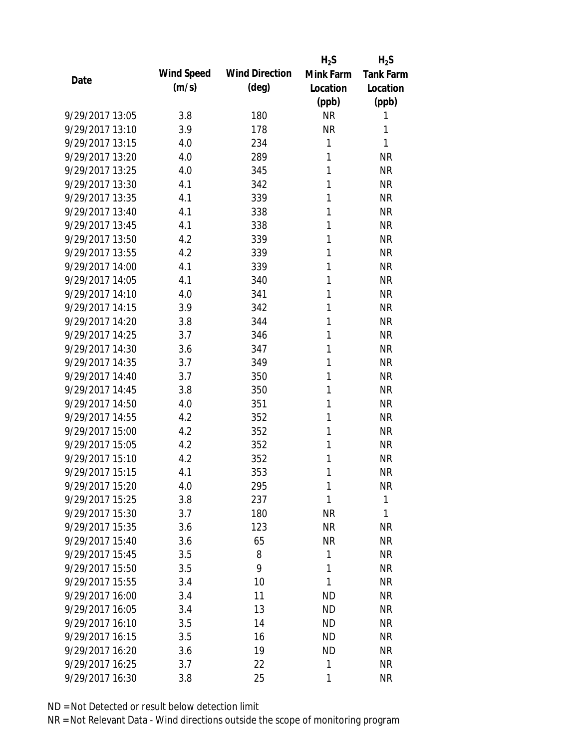|                 |            |                       | $H_2S$    | $H_2S$           |
|-----------------|------------|-----------------------|-----------|------------------|
| Date            | Wind Speed | <b>Wind Direction</b> | Mink Farm | <b>Tank Farm</b> |
|                 | (m/s)      | $(\text{deg})$        | Location  | Location         |
|                 |            |                       | (ppb)     | (ppb)            |
| 9/29/2017 13:05 | 3.8        | 180                   | <b>NR</b> | 1                |
| 9/29/2017 13:10 | 3.9        | 178                   | <b>NR</b> | 1                |
| 9/29/2017 13:15 | 4.0        | 234                   | 1         | 1                |
| 9/29/2017 13:20 | 4.0        | 289                   | 1         | <b>NR</b>        |
| 9/29/2017 13:25 | 4.0        | 345                   | 1         | <b>NR</b>        |
| 9/29/2017 13:30 | 4.1        | 342                   | 1         | <b>NR</b>        |
| 9/29/2017 13:35 | 4.1        | 339                   | 1         | <b>NR</b>        |
| 9/29/2017 13:40 | 4.1        | 338                   | 1         | <b>NR</b>        |
| 9/29/2017 13:45 | 4.1        | 338                   | 1         | <b>NR</b>        |
| 9/29/2017 13:50 | 4.2        | 339                   | 1         | <b>NR</b>        |
| 9/29/2017 13:55 | 4.2        | 339                   | 1         | <b>NR</b>        |
| 9/29/2017 14:00 | 4.1        | 339                   | 1         | <b>NR</b>        |
| 9/29/2017 14:05 | 4.1        | 340                   | 1         | <b>NR</b>        |
| 9/29/2017 14:10 | 4.0        | 341                   | 1         | <b>NR</b>        |
| 9/29/2017 14:15 | 3.9        | 342                   | 1         | <b>NR</b>        |
| 9/29/2017 14:20 | 3.8        | 344                   | 1         | <b>NR</b>        |
| 9/29/2017 14:25 | 3.7        | 346                   | 1         | <b>NR</b>        |
| 9/29/2017 14:30 | 3.6        | 347                   | 1         | <b>NR</b>        |
| 9/29/2017 14:35 | 3.7        | 349                   | 1         | <b>NR</b>        |
| 9/29/2017 14:40 | 3.7        | 350                   | 1         | <b>NR</b>        |
| 9/29/2017 14:45 | 3.8        | 350                   | 1         | <b>NR</b>        |
| 9/29/2017 14:50 | 4.0        | 351                   | 1         | <b>NR</b>        |
| 9/29/2017 14:55 | 4.2        | 352                   | 1         | <b>NR</b>        |
| 9/29/2017 15:00 | 4.2        | 352                   | 1         | <b>NR</b>        |
| 9/29/2017 15:05 | 4.2        | 352                   | 1         | <b>NR</b>        |
| 9/29/2017 15:10 | 4.2        | 352                   | 1         | <b>NR</b>        |
| 9/29/2017 15:15 | 4.1        | 353                   | 1         | <b>NR</b>        |
| 9/29/2017 15:20 | 4.0        | 295                   | 1         | NR               |
| 9/29/2017 15:25 | 3.8        | 237                   | 1         | 1                |
| 9/29/2017 15:30 | 3.7        | 180                   | NR        | 1                |
| 9/29/2017 15:35 | 3.6        | 123                   | <b>NR</b> | <b>NR</b>        |
| 9/29/2017 15:40 | 3.6        | 65                    | <b>NR</b> | <b>NR</b>        |
| 9/29/2017 15:45 | 3.5        | 8                     | 1         | <b>NR</b>        |
| 9/29/2017 15:50 | 3.5        | 9                     | 1         | <b>NR</b>        |
| 9/29/2017 15:55 | 3.4        | 10                    | 1         | <b>NR</b>        |
| 9/29/2017 16:00 | 3.4        | 11                    | <b>ND</b> | <b>NR</b>        |
| 9/29/2017 16:05 | 3.4        | 13                    | <b>ND</b> | <b>NR</b>        |
| 9/29/2017 16:10 | 3.5        | 14                    | <b>ND</b> | <b>NR</b>        |
| 9/29/2017 16:15 | 3.5        | 16                    | <b>ND</b> | <b>NR</b>        |
| 9/29/2017 16:20 | 3.6        | 19                    | <b>ND</b> | NR               |
| 9/29/2017 16:25 | 3.7        | 22                    | 1         | <b>NR</b>        |
| 9/29/2017 16:30 | 3.8        | 25                    | 1         | <b>NR</b>        |
|                 |            |                       |           |                  |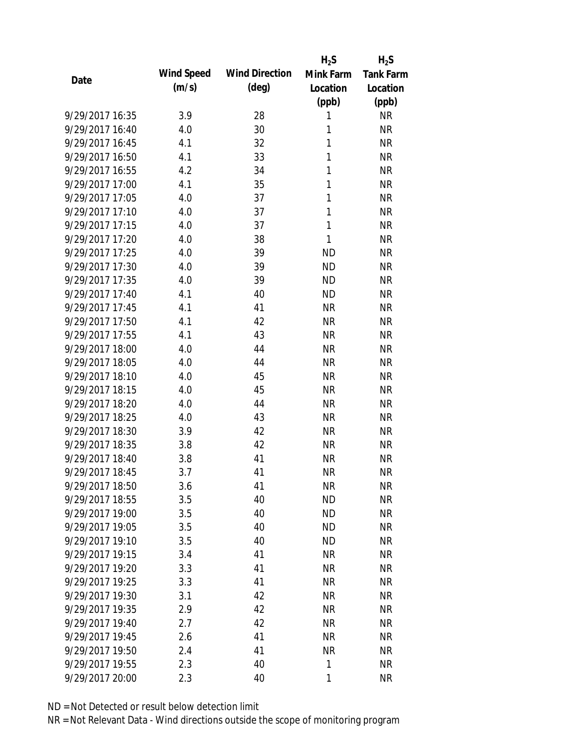|                 |            |                       | $H_2S$       | $H_2S$           |
|-----------------|------------|-----------------------|--------------|------------------|
| Date            | Wind Speed | <b>Wind Direction</b> | Mink Farm    | <b>Tank Farm</b> |
|                 | (m/s)      | $(\text{deg})$        | Location     | Location         |
|                 |            |                       | (ppb)        | (ppb)            |
| 9/29/2017 16:35 | 3.9        | 28                    | 1            | <b>NR</b>        |
| 9/29/2017 16:40 | 4.0        | 30                    | 1            | <b>NR</b>        |
| 9/29/2017 16:45 | 4.1        | 32                    | 1            | <b>NR</b>        |
| 9/29/2017 16:50 | 4.1        | 33                    | 1            | <b>NR</b>        |
| 9/29/2017 16:55 | 4.2        | 34                    | 1            | <b>NR</b>        |
| 9/29/2017 17:00 | 4.1        | 35                    | 1            | <b>NR</b>        |
| 9/29/2017 17:05 | 4.0        | 37                    | 1            | <b>NR</b>        |
| 9/29/2017 17:10 | 4.0        | 37                    | 1            | <b>NR</b>        |
| 9/29/2017 17:15 | 4.0        | 37                    | $\mathbf{1}$ | <b>NR</b>        |
| 9/29/2017 17:20 | 4.0        | 38                    | 1            | <b>NR</b>        |
| 9/29/2017 17:25 | 4.0        | 39                    | <b>ND</b>    | <b>NR</b>        |
| 9/29/2017 17:30 | 4.0        | 39                    | <b>ND</b>    | <b>NR</b>        |
| 9/29/2017 17:35 | 4.0        | 39                    | <b>ND</b>    | <b>NR</b>        |
| 9/29/2017 17:40 | 4.1        | 40                    | <b>ND</b>    | <b>NR</b>        |
| 9/29/2017 17:45 | 4.1        | 41                    | <b>NR</b>    | <b>NR</b>        |
| 9/29/2017 17:50 | 4.1        | 42                    | <b>NR</b>    | <b>NR</b>        |
| 9/29/2017 17:55 | 4.1        | 43                    | <b>NR</b>    | <b>NR</b>        |
| 9/29/2017 18:00 | 4.0        | 44                    | <b>NR</b>    | <b>NR</b>        |
| 9/29/2017 18:05 | 4.0        | 44                    | <b>NR</b>    | <b>NR</b>        |
| 9/29/2017 18:10 | 4.0        | 45                    | <b>NR</b>    | <b>NR</b>        |
| 9/29/2017 18:15 | 4.0        | 45                    | <b>NR</b>    | <b>NR</b>        |
| 9/29/2017 18:20 | 4.0        | 44                    | <b>NR</b>    | <b>NR</b>        |
| 9/29/2017 18:25 | 4.0        | 43                    | <b>NR</b>    | <b>NR</b>        |
| 9/29/2017 18:30 | 3.9        | 42                    | <b>NR</b>    | <b>NR</b>        |
| 9/29/2017 18:35 | 3.8        | 42                    | <b>NR</b>    | <b>NR</b>        |
| 9/29/2017 18:40 | 3.8        | 41                    | <b>NR</b>    | <b>NR</b>        |
| 9/29/2017 18:45 | 3.7        | 41                    | <b>NR</b>    | <b>NR</b>        |
| 9/29/2017 18:50 | 3.6        | 41                    | <b>NR</b>    | NR               |
| 9/29/2017 18:55 | 3.5        | 40                    | <b>ND</b>    | <b>NR</b>        |
| 9/29/2017 19:00 | 3.5        | 40                    | <b>ND</b>    | <b>NR</b>        |
| 9/29/2017 19:05 | 3.5        | 40                    | <b>ND</b>    | <b>NR</b>        |
| 9/29/2017 19:10 | 3.5        | 40                    | <b>ND</b>    | <b>NR</b>        |
| 9/29/2017 19:15 | 3.4        | 41                    | <b>NR</b>    | <b>NR</b>        |
| 9/29/2017 19:20 | 3.3        | 41                    | <b>NR</b>    | <b>NR</b>        |
| 9/29/2017 19:25 | 3.3        | 41                    | <b>NR</b>    | <b>NR</b>        |
| 9/29/2017 19:30 | 3.1        | 42                    | <b>NR</b>    | <b>NR</b>        |
| 9/29/2017 19:35 | 2.9        | 42                    | <b>NR</b>    | <b>NR</b>        |
| 9/29/2017 19:40 | 2.7        | 42                    | <b>NR</b>    | <b>NR</b>        |
| 9/29/2017 19:45 | 2.6        | 41                    | <b>NR</b>    | <b>NR</b>        |
| 9/29/2017 19:50 | 2.4        | 41                    | <b>NR</b>    | <b>NR</b>        |
| 9/29/2017 19:55 | 2.3        | 40                    | 1            | <b>NR</b>        |
| 9/29/2017 20:00 | 2.3        | 40                    | 1            | <b>NR</b>        |
|                 |            |                       |              |                  |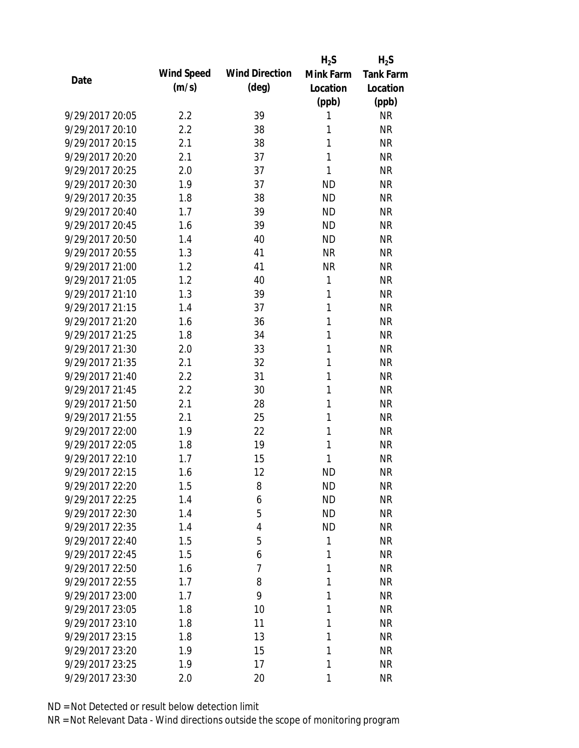|                 |            |                       | $H_2S$       | $H_2S$           |
|-----------------|------------|-----------------------|--------------|------------------|
| Date            | Wind Speed | <b>Wind Direction</b> | Mink Farm    | <b>Tank Farm</b> |
|                 | (m/s)      | $(\text{deg})$        | Location     | Location         |
|                 |            |                       | (ppb)        | (ppb)            |
| 9/29/2017 20:05 | 2.2        | 39                    | 1            | <b>NR</b>        |
| 9/29/2017 20:10 | 2.2        | 38                    | 1            | <b>NR</b>        |
| 9/29/2017 20:15 | 2.1        | 38                    | 1            | <b>NR</b>        |
| 9/29/2017 20:20 | 2.1        | 37                    | 1            | <b>NR</b>        |
| 9/29/2017 20:25 | 2.0        | 37                    | 1            | <b>NR</b>        |
| 9/29/2017 20:30 | 1.9        | 37                    | <b>ND</b>    | <b>NR</b>        |
| 9/29/2017 20:35 | 1.8        | 38                    | <b>ND</b>    | <b>NR</b>        |
| 9/29/2017 20:40 | 1.7        | 39                    | <b>ND</b>    | <b>NR</b>        |
| 9/29/2017 20:45 | 1.6        | 39                    | <b>ND</b>    | <b>NR</b>        |
| 9/29/2017 20:50 | 1.4        | 40                    | <b>ND</b>    | <b>NR</b>        |
| 9/29/2017 20:55 | 1.3        | 41                    | <b>NR</b>    | <b>NR</b>        |
| 9/29/2017 21:00 | 1.2        | 41                    | <b>NR</b>    | <b>NR</b>        |
| 9/29/2017 21:05 | 1.2        | 40                    | $\mathbf{1}$ | <b>NR</b>        |
| 9/29/2017 21:10 | 1.3        | 39                    | 1            | <b>NR</b>        |
| 9/29/2017 21:15 | 1.4        | 37                    | 1            | <b>NR</b>        |
| 9/29/2017 21:20 | 1.6        | 36                    | 1            | <b>NR</b>        |
| 9/29/2017 21:25 | 1.8        | 34                    | 1            | <b>NR</b>        |
| 9/29/2017 21:30 | 2.0        | 33                    | 1            | <b>NR</b>        |
| 9/29/2017 21:35 | 2.1        | 32                    | 1            | <b>NR</b>        |
| 9/29/2017 21:40 | 2.2        | 31                    | 1            | <b>NR</b>        |
| 9/29/2017 21:45 | 2.2        | 30                    | 1            | <b>NR</b>        |
| 9/29/2017 21:50 | 2.1        | 28                    | 1            | <b>NR</b>        |
| 9/29/2017 21:55 | 2.1        | 25                    | 1            | <b>NR</b>        |
| 9/29/2017 22:00 | 1.9        | 22                    | 1            | <b>NR</b>        |
| 9/29/2017 22:05 | 1.8        | 19                    | 1            | <b>NR</b>        |
| 9/29/2017 22:10 | 1.7        | 15                    | 1            | <b>NR</b>        |
| 9/29/2017 22:15 | 1.6        | 12                    | <b>ND</b>    | <b>NR</b>        |
| 9/29/2017 22:20 | 1.5        | 8                     | <b>ND</b>    | <b>NR</b>        |
| 9/29/2017 22:25 | 1.4        | 6                     | <b>ND</b>    | <b>NR</b>        |
| 9/29/2017 22:30 | 1.4        | 5                     | <b>ND</b>    | <b>NR</b>        |
| 9/29/2017 22:35 | 1.4        | 4                     | <b>ND</b>    | <b>NR</b>        |
| 9/29/2017 22:40 | 1.5        | 5                     | 1            | <b>NR</b>        |
| 9/29/2017 22:45 | 1.5        | 6                     | 1            | <b>NR</b>        |
| 9/29/2017 22:50 | 1.6        | $\overline{7}$        | 1            | <b>NR</b>        |
| 9/29/2017 22:55 | 1.7        | 8                     | 1            | <b>NR</b>        |
| 9/29/2017 23:00 | 1.7        | 9                     | 1            | <b>NR</b>        |
| 9/29/2017 23:05 | 1.8        | 10                    | 1            | <b>NR</b>        |
| 9/29/2017 23:10 | 1.8        | 11                    | 1            | <b>NR</b>        |
| 9/29/2017 23:15 | 1.8        | 13                    | 1            | <b>NR</b>        |
| 9/29/2017 23:20 | 1.9        | 15                    | 1            | <b>NR</b>        |
| 9/29/2017 23:25 | 1.9        | 17                    | 1            | <b>NR</b>        |
| 9/29/2017 23:30 | 2.0        | 20                    | 1            | <b>NR</b>        |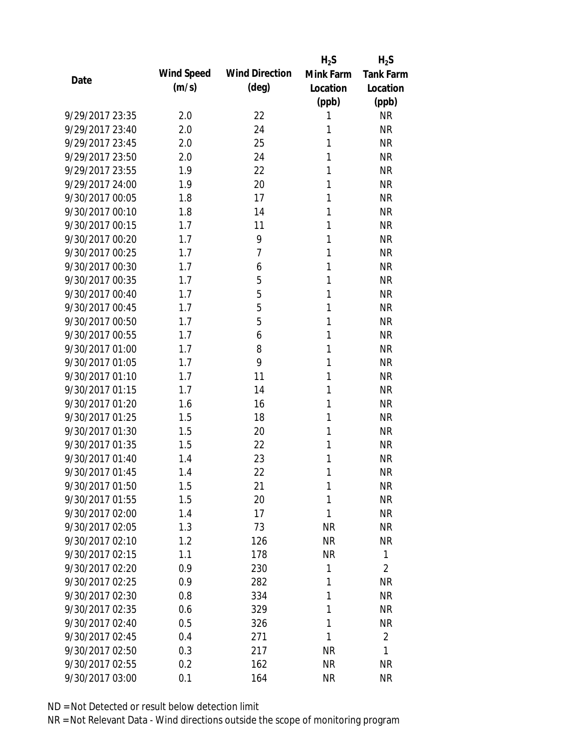|                 |            |                       | $H_2S$    | $H_2S$           |
|-----------------|------------|-----------------------|-----------|------------------|
| Date            | Wind Speed | <b>Wind Direction</b> | Mink Farm | <b>Tank Farm</b> |
|                 | (m/s)      | $(\text{deg})$        | Location  | Location         |
|                 |            |                       | (ppb)     | (ppb)            |
| 9/29/2017 23:35 | 2.0        | 22                    | 1         | <b>NR</b>        |
| 9/29/2017 23:40 | 2.0        | 24                    | 1         | <b>NR</b>        |
| 9/29/2017 23:45 | 2.0        | 25                    | 1         | <b>NR</b>        |
| 9/29/2017 23:50 | 2.0        | 24                    | 1         | <b>NR</b>        |
| 9/29/2017 23:55 | 1.9        | 22                    | 1         | <b>NR</b>        |
| 9/29/2017 24:00 | 1.9        | 20                    | 1         | <b>NR</b>        |
| 9/30/2017 00:05 | 1.8        | 17                    | 1         | <b>NR</b>        |
| 9/30/2017 00:10 | 1.8        | 14                    | 1         | <b>NR</b>        |
| 9/30/2017 00:15 | 1.7        | 11                    | 1         | <b>NR</b>        |
| 9/30/2017 00:20 | 1.7        | 9                     | 1         | <b>NR</b>        |
| 9/30/2017 00:25 | 1.7        | 7                     | 1         | <b>NR</b>        |
| 9/30/2017 00:30 | 1.7        | 6                     | 1         | <b>NR</b>        |
| 9/30/2017 00:35 | 1.7        | 5                     | 1         | <b>NR</b>        |
| 9/30/2017 00:40 | 1.7        | 5                     | 1         | <b>NR</b>        |
| 9/30/2017 00:45 | 1.7        | 5                     | 1         | <b>NR</b>        |
| 9/30/2017 00:50 | 1.7        | 5                     | 1         | <b>NR</b>        |
| 9/30/2017 00:55 | 1.7        | 6                     | 1         | <b>NR</b>        |
| 9/30/2017 01:00 | 1.7        | 8                     | 1         | <b>NR</b>        |
| 9/30/2017 01:05 | 1.7        | 9                     | 1         | <b>NR</b>        |
| 9/30/2017 01:10 | 1.7        | 11                    | 1         | <b>NR</b>        |
| 9/30/2017 01:15 | 1.7        | 14                    | 1         | <b>NR</b>        |
| 9/30/2017 01:20 | 1.6        | 16                    | 1         | <b>NR</b>        |
| 9/30/2017 01:25 | 1.5        | 18                    | 1         | <b>NR</b>        |
| 9/30/2017 01:30 | 1.5        | 20                    | 1         | <b>NR</b>        |
| 9/30/2017 01:35 | 1.5        | 22                    | 1         | <b>NR</b>        |
| 9/30/2017 01:40 | 1.4        | 23                    | 1         | <b>NR</b>        |
| 9/30/2017 01:45 | 1.4        | 22                    | 1         | <b>NR</b>        |
| 9/30/2017 01:50 | 1.5        | 21                    | 1         | <b>NR</b>        |
| 9/30/2017 01:55 | 1.5        | 20                    | 1         | <b>NR</b>        |
| 9/30/2017 02:00 | 1.4        | 17                    | 1         | <b>NR</b>        |
| 9/30/2017 02:05 | 1.3        | 73                    | <b>NR</b> | <b>NR</b>        |
| 9/30/2017 02:10 | 1.2        | 126                   | <b>NR</b> | NR               |
| 9/30/2017 02:15 | 1.1        | 178                   | <b>NR</b> | 1                |
| 9/30/2017 02:20 | 0.9        | 230                   | 1         | $\overline{2}$   |
| 9/30/2017 02:25 | 0.9        | 282                   | 1         | NR               |
| 9/30/2017 02:30 | 0.8        | 334                   | 1         | <b>NR</b>        |
| 9/30/2017 02:35 | 0.6        | 329                   | 1         | <b>NR</b>        |
| 9/30/2017 02:40 | 0.5        | 326                   | 1         | <b>NR</b>        |
| 9/30/2017 02:45 | 0.4        | 271                   | 1         | $\overline{2}$   |
| 9/30/2017 02:50 | 0.3        | 217                   | NR        | 1                |
| 9/30/2017 02:55 | 0.2        | 162                   | <b>NR</b> | <b>NR</b>        |
| 9/30/2017 03:00 | 0.1        | 164                   | <b>NR</b> | <b>NR</b>        |
|                 |            |                       |           |                  |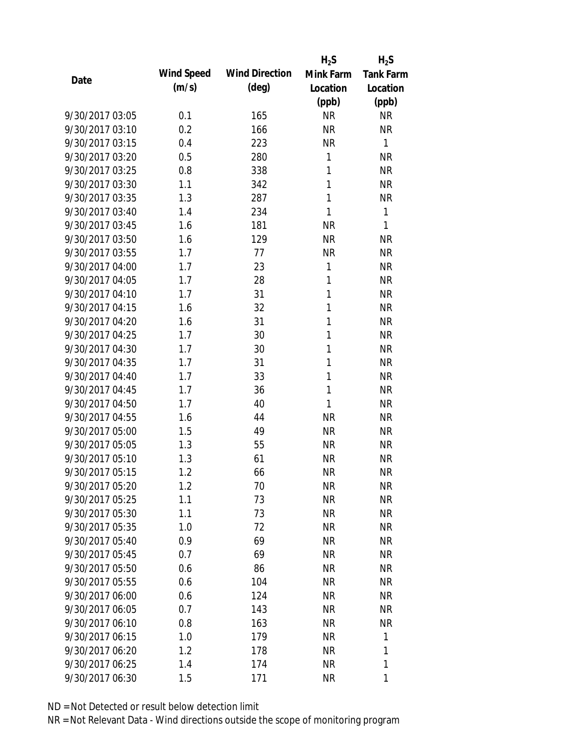|                 |            |                       | $H_2S$       | $H_2S$           |
|-----------------|------------|-----------------------|--------------|------------------|
| Date            | Wind Speed | <b>Wind Direction</b> | Mink Farm    | <b>Tank Farm</b> |
|                 | (m/s)      | (deg)                 | Location     | Location         |
|                 |            |                       | (ppb)        | (ppb)            |
| 9/30/2017 03:05 | 0.1        | 165                   | <b>NR</b>    | <b>NR</b>        |
| 9/30/2017 03:10 | 0.2        | 166                   | <b>NR</b>    | <b>NR</b>        |
| 9/30/2017 03:15 | 0.4        | 223                   | <b>NR</b>    | $\mathbf{1}$     |
| 9/30/2017 03:20 | 0.5        | 280                   | $\mathbf{1}$ | <b>NR</b>        |
| 9/30/2017 03:25 | 0.8        | 338                   | 1            | <b>NR</b>        |
| 9/30/2017 03:30 | 1.1        | 342                   | 1            | <b>NR</b>        |
| 9/30/2017 03:35 | 1.3        | 287                   | 1            | <b>NR</b>        |
| 9/30/2017 03:40 | 1.4        | 234                   | 1            | $\mathbf{1}$     |
| 9/30/2017 03:45 | 1.6        | 181                   | <b>NR</b>    | 1                |
| 9/30/2017 03:50 | 1.6        | 129                   | <b>NR</b>    | <b>NR</b>        |
| 9/30/2017 03:55 | 1.7        | 77                    | <b>NR</b>    | <b>NR</b>        |
| 9/30/2017 04:00 | 1.7        | 23                    | 1            | <b>NR</b>        |
| 9/30/2017 04:05 | 1.7        | 28                    | 1            | <b>NR</b>        |
| 9/30/2017 04:10 | 1.7        | 31                    | 1            | <b>NR</b>        |
| 9/30/2017 04:15 | 1.6        | 32                    | 1            | <b>NR</b>        |
| 9/30/2017 04:20 | 1.6        | 31                    | 1            | <b>NR</b>        |
| 9/30/2017 04:25 | 1.7        | 30                    | 1            | <b>NR</b>        |
| 9/30/2017 04:30 | 1.7        | 30                    | 1            | <b>NR</b>        |
| 9/30/2017 04:35 | 1.7        | 31                    | 1            | <b>NR</b>        |
| 9/30/2017 04:40 | 1.7        | 33                    | 1            | <b>NR</b>        |
| 9/30/2017 04:45 | 1.7        | 36                    | 1            | <b>NR</b>        |
| 9/30/2017 04:50 | 1.7        | 40                    | 1            | <b>NR</b>        |
| 9/30/2017 04:55 | 1.6        | 44                    | <b>NR</b>    | <b>NR</b>        |
| 9/30/2017 05:00 | 1.5        | 49                    | <b>NR</b>    | <b>NR</b>        |
| 9/30/2017 05:05 | 1.3        | 55                    | <b>NR</b>    | <b>NR</b>        |
| 9/30/2017 05:10 | 1.3        | 61                    | <b>NR</b>    | <b>NR</b>        |
| 9/30/2017 05:15 | 1.2        | 66                    | <b>NR</b>    | <b>NR</b>        |
| 9/30/2017 05:20 | 1.2        | 70                    | NR           | <b>NR</b>        |
| 9/30/2017 05:25 | 1.1        | 73                    | <b>NR</b>    | <b>NR</b>        |
| 9/30/2017 05:30 | 1.1        | 73                    | NR           | <b>NR</b>        |
| 9/30/2017 05:35 | 1.0        | 72                    | NR           | <b>NR</b>        |
| 9/30/2017 05:40 | 0.9        | 69                    | NR           | <b>NR</b>        |
| 9/30/2017 05:45 | 0.7        | 69                    | NR           | <b>NR</b>        |
| 9/30/2017 05:50 | 0.6        | 86                    | NR           | <b>NR</b>        |
| 9/30/2017 05:55 | 0.6        | 104                   | NR           | <b>NR</b>        |
| 9/30/2017 06:00 | 0.6        | 124                   | <b>NR</b>    | <b>NR</b>        |
| 9/30/2017 06:05 | 0.7        | 143                   | NR           | <b>NR</b>        |
| 9/30/2017 06:10 | 0.8        | 163                   | NR           | <b>NR</b>        |
| 9/30/2017 06:15 | 1.0        | 179                   | NR           | 1                |
| 9/30/2017 06:20 | 1.2        | 178                   | NR           | 1                |
| 9/30/2017 06:25 | 1.4        | 174                   | <b>NR</b>    | 1                |
| 9/30/2017 06:30 | 1.5        | 171                   | <b>NR</b>    | 1                |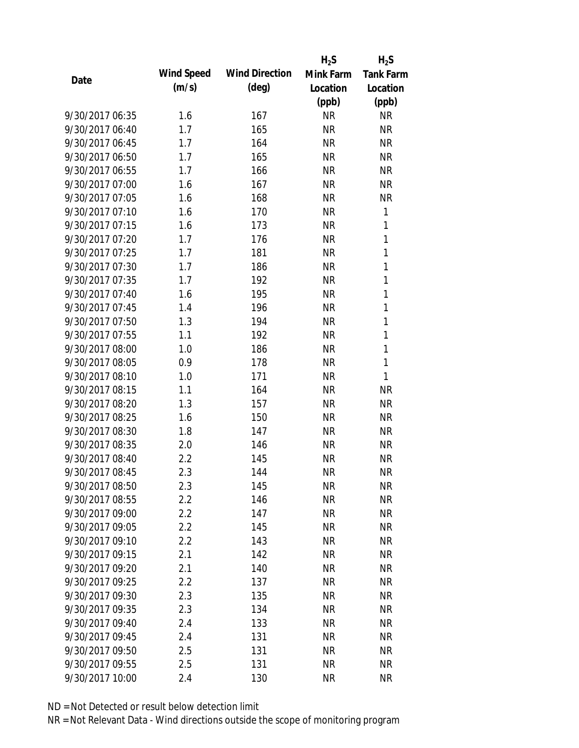|                 |            |                       | $H_2S$    | $H_2S$           |
|-----------------|------------|-----------------------|-----------|------------------|
|                 | Wind Speed | <b>Wind Direction</b> | Mink Farm | <b>Tank Farm</b> |
| Date            | (m/s)      | $(\text{deg})$        | Location  | Location         |
|                 |            |                       | (ppb)     | (ppb)            |
| 9/30/2017 06:35 | 1.6        | 167                   | <b>NR</b> | <b>NR</b>        |
| 9/30/2017 06:40 | 1.7        | 165                   | <b>NR</b> | <b>NR</b>        |
| 9/30/2017 06:45 | 1.7        | 164                   | <b>NR</b> | <b>NR</b>        |
| 9/30/2017 06:50 | 1.7        | 165                   | <b>NR</b> | <b>NR</b>        |
| 9/30/2017 06:55 | 1.7        | 166                   | <b>NR</b> | <b>NR</b>        |
| 9/30/2017 07:00 | 1.6        | 167                   | <b>NR</b> | <b>NR</b>        |
| 9/30/2017 07:05 | 1.6        | 168                   | <b>NR</b> | <b>NR</b>        |
| 9/30/2017 07:10 | 1.6        | 170                   | <b>NR</b> | 1                |
| 9/30/2017 07:15 | 1.6        | 173                   | <b>NR</b> | 1                |
| 9/30/2017 07:20 | 1.7        | 176                   | <b>NR</b> | 1                |
| 9/30/2017 07:25 | 1.7        | 181                   | <b>NR</b> | 1                |
| 9/30/2017 07:30 | 1.7        | 186                   | <b>NR</b> | $\mathbf{1}$     |
| 9/30/2017 07:35 | 1.7        | 192                   | <b>NR</b> | 1                |
| 9/30/2017 07:40 | 1.6        | 195                   | <b>NR</b> | $\mathbf{1}$     |
| 9/30/2017 07:45 | 1.4        | 196                   | <b>NR</b> | $\mathbf{1}$     |
| 9/30/2017 07:50 | 1.3        | 194                   | <b>NR</b> | 1                |
| 9/30/2017 07:55 | 1.1        | 192                   | <b>NR</b> | $\mathbf{1}$     |
| 9/30/2017 08:00 | 1.0        | 186                   | <b>NR</b> | 1                |
| 9/30/2017 08:05 | 0.9        | 178                   | <b>NR</b> | 1                |
| 9/30/2017 08:10 | 1.0        | 171                   | <b>NR</b> | 1                |
| 9/30/2017 08:15 | 1.1        | 164                   | <b>NR</b> | <b>NR</b>        |
| 9/30/2017 08:20 | 1.3        | 157                   | <b>NR</b> | <b>NR</b>        |
| 9/30/2017 08:25 | 1.6        | 150                   | <b>NR</b> | <b>NR</b>        |
| 9/30/2017 08:30 | 1.8        | 147                   | <b>NR</b> | <b>NR</b>        |
| 9/30/2017 08:35 | 2.0        | 146                   | <b>NR</b> | <b>NR</b>        |
| 9/30/2017 08:40 | 2.2        | 145                   | <b>NR</b> | <b>NR</b>        |
| 9/30/2017 08:45 | 2.3        | 144                   | <b>NR</b> | <b>NR</b>        |
| 9/30/2017 08:50 | 2.3        | 145                   | <b>NR</b> | <b>NR</b>        |
| 9/30/2017 08:55 | 2.2        | 146                   | <b>NR</b> | <b>NR</b>        |
| 9/30/2017 09:00 | 2.2        | 147                   | <b>NR</b> | <b>NR</b>        |
| 9/30/2017 09:05 | 2.2        | 145                   | <b>NR</b> | <b>NR</b>        |
| 9/30/2017 09:10 | 2.2        | 143                   | <b>NR</b> | <b>NR</b>        |
| 9/30/2017 09:15 | 2.1        | 142                   | <b>NR</b> | <b>NR</b>        |
| 9/30/2017 09:20 | 2.1        | 140                   | <b>NR</b> | <b>NR</b>        |
| 9/30/2017 09:25 | 2.2        | 137                   | <b>NR</b> | <b>NR</b>        |
| 9/30/2017 09:30 | 2.3        | 135                   | <b>NR</b> | <b>NR</b>        |
| 9/30/2017 09:35 | 2.3        | 134                   | <b>NR</b> | NR               |
| 9/30/2017 09:40 | 2.4        | 133                   | <b>NR</b> | <b>NR</b>        |
| 9/30/2017 09:45 | 2.4        | 131                   | <b>NR</b> | <b>NR</b>        |
| 9/30/2017 09:50 | 2.5        | 131                   | <b>NR</b> | <b>NR</b>        |
| 9/30/2017 09:55 | 2.5        | 131                   | <b>NR</b> | <b>NR</b>        |
| 9/30/2017 10:00 | 2.4        | 130                   | <b>NR</b> | <b>NR</b>        |
|                 |            |                       |           |                  |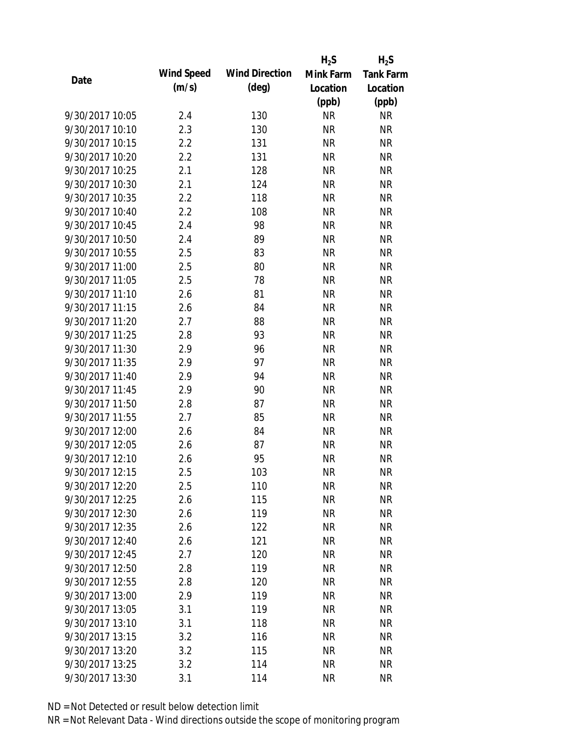|                 |            |                       | $H_2S$    | $H_2S$           |
|-----------------|------------|-----------------------|-----------|------------------|
| Date            | Wind Speed | <b>Wind Direction</b> | Mink Farm | <b>Tank Farm</b> |
|                 | (m/s)      | $(\text{deg})$        | Location  | Location         |
|                 |            |                       | (ppb)     | (ppb)            |
| 9/30/2017 10:05 | 2.4        | 130                   | <b>NR</b> | <b>NR</b>        |
| 9/30/2017 10:10 | 2.3        | 130                   | <b>NR</b> | <b>NR</b>        |
| 9/30/2017 10:15 | 2.2        | 131                   | <b>NR</b> | <b>NR</b>        |
| 9/30/2017 10:20 | 2.2        | 131                   | <b>NR</b> | <b>NR</b>        |
| 9/30/2017 10:25 | 2.1        | 128                   | <b>NR</b> | <b>NR</b>        |
| 9/30/2017 10:30 | 2.1        | 124                   | <b>NR</b> | <b>NR</b>        |
| 9/30/2017 10:35 | 2.2        | 118                   | <b>NR</b> | <b>NR</b>        |
| 9/30/2017 10:40 | 2.2        | 108                   | <b>NR</b> | <b>NR</b>        |
| 9/30/2017 10:45 | 2.4        | 98                    | <b>NR</b> | <b>NR</b>        |
| 9/30/2017 10:50 | 2.4        | 89                    | <b>NR</b> | <b>NR</b>        |
| 9/30/2017 10:55 | 2.5        | 83                    | <b>NR</b> | <b>NR</b>        |
| 9/30/2017 11:00 | 2.5        | 80                    | <b>NR</b> | <b>NR</b>        |
| 9/30/2017 11:05 | 2.5        | 78                    | <b>NR</b> | <b>NR</b>        |
| 9/30/2017 11:10 | 2.6        | 81                    | <b>NR</b> | <b>NR</b>        |
| 9/30/2017 11:15 | 2.6        | 84                    | <b>NR</b> | <b>NR</b>        |
| 9/30/2017 11:20 | 2.7        | 88                    | <b>NR</b> | <b>NR</b>        |
| 9/30/2017 11:25 | 2.8        | 93                    | <b>NR</b> | <b>NR</b>        |
| 9/30/2017 11:30 | 2.9        | 96                    | <b>NR</b> | <b>NR</b>        |
| 9/30/2017 11:35 | 2.9        | 97                    | <b>NR</b> | <b>NR</b>        |
| 9/30/2017 11:40 | 2.9        | 94                    | <b>NR</b> | <b>NR</b>        |
| 9/30/2017 11:45 | 2.9        | 90                    | <b>NR</b> | <b>NR</b>        |
| 9/30/2017 11:50 | 2.8        | 87                    | <b>NR</b> | <b>NR</b>        |
| 9/30/2017 11:55 | 2.7        | 85                    | <b>NR</b> | <b>NR</b>        |
| 9/30/2017 12:00 | 2.6        | 84                    | <b>NR</b> | <b>NR</b>        |
| 9/30/2017 12:05 | 2.6        | 87                    | <b>NR</b> | <b>NR</b>        |
| 9/30/2017 12:10 | 2.6        | 95                    | <b>NR</b> | <b>NR</b>        |
| 9/30/2017 12:15 | 2.5        | 103                   | <b>NR</b> | <b>NR</b>        |
| 9/30/2017 12:20 | 2.5        | 110                   | NR        | NR               |
| 9/30/2017 12:25 | 2.6        | 115                   | <b>NR</b> | <b>NR</b>        |
| 9/30/2017 12:30 | 2.6        | 119                   | <b>NR</b> | <b>NR</b>        |
| 9/30/2017 12:35 | 2.6        | 122                   | <b>NR</b> | <b>NR</b>        |
| 9/30/2017 12:40 | 2.6        | 121                   | <b>NR</b> | NR               |
| 9/30/2017 12:45 | 2.7        | 120                   | <b>NR</b> | <b>NR</b>        |
| 9/30/2017 12:50 | 2.8        | 119                   | <b>NR</b> | <b>NR</b>        |
| 9/30/2017 12:55 | 2.8        | 120                   | <b>NR</b> | <b>NR</b>        |
| 9/30/2017 13:00 | 2.9        | 119                   | <b>NR</b> | <b>NR</b>        |
| 9/30/2017 13:05 | 3.1        | 119                   | <b>NR</b> | <b>NR</b>        |
| 9/30/2017 13:10 | 3.1        | 118                   | <b>NR</b> | <b>NR</b>        |
| 9/30/2017 13:15 | 3.2        | 116                   | <b>NR</b> | <b>NR</b>        |
| 9/30/2017 13:20 | 3.2        | 115                   | <b>NR</b> | <b>NR</b>        |
| 9/30/2017 13:25 | 3.2        | 114                   | <b>NR</b> | <b>NR</b>        |
| 9/30/2017 13:30 | 3.1        | 114                   | <b>NR</b> | <b>NR</b>        |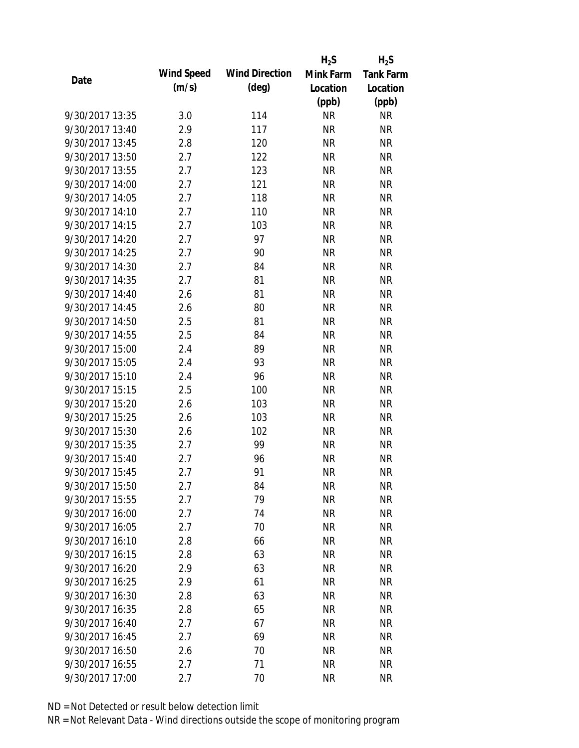|                 |            |                       | $H_2S$    | $H_2S$           |
|-----------------|------------|-----------------------|-----------|------------------|
| Date            | Wind Speed | <b>Wind Direction</b> | Mink Farm | <b>Tank Farm</b> |
|                 | (m/s)      | $(\text{deg})$        | Location  | Location         |
|                 |            |                       | (ppb)     | (ppb)            |
| 9/30/2017 13:35 | 3.0        | 114                   | <b>NR</b> | <b>NR</b>        |
| 9/30/2017 13:40 | 2.9        | 117                   | <b>NR</b> | <b>NR</b>        |
| 9/30/2017 13:45 | 2.8        | 120                   | <b>NR</b> | <b>NR</b>        |
| 9/30/2017 13:50 | 2.7        | 122                   | <b>NR</b> | <b>NR</b>        |
| 9/30/2017 13:55 | 2.7        | 123                   | <b>NR</b> | <b>NR</b>        |
| 9/30/2017 14:00 | 2.7        | 121                   | <b>NR</b> | <b>NR</b>        |
| 9/30/2017 14:05 | 2.7        | 118                   | <b>NR</b> | <b>NR</b>        |
| 9/30/2017 14:10 | 2.7        | 110                   | <b>NR</b> | <b>NR</b>        |
| 9/30/2017 14:15 | 2.7        | 103                   | <b>NR</b> | <b>NR</b>        |
| 9/30/2017 14:20 | 2.7        | 97                    | <b>NR</b> | <b>NR</b>        |
| 9/30/2017 14:25 | 2.7        | 90                    | <b>NR</b> | <b>NR</b>        |
| 9/30/2017 14:30 | 2.7        | 84                    | <b>NR</b> | <b>NR</b>        |
| 9/30/2017 14:35 | 2.7        | 81                    | <b>NR</b> | <b>NR</b>        |
| 9/30/2017 14:40 | 2.6        | 81                    | <b>NR</b> | <b>NR</b>        |
| 9/30/2017 14:45 | 2.6        | 80                    | <b>NR</b> | <b>NR</b>        |
| 9/30/2017 14:50 | 2.5        | 81                    | <b>NR</b> | <b>NR</b>        |
| 9/30/2017 14:55 | 2.5        | 84                    | <b>NR</b> | <b>NR</b>        |
| 9/30/2017 15:00 | 2.4        | 89                    | <b>NR</b> | <b>NR</b>        |
| 9/30/2017 15:05 | 2.4        | 93                    | <b>NR</b> | <b>NR</b>        |
| 9/30/2017 15:10 | 2.4        | 96                    | <b>NR</b> | <b>NR</b>        |
| 9/30/2017 15:15 | 2.5        | 100                   | <b>NR</b> | <b>NR</b>        |
| 9/30/2017 15:20 | 2.6        | 103                   | <b>NR</b> | <b>NR</b>        |
| 9/30/2017 15:25 | 2.6        | 103                   | <b>NR</b> | <b>NR</b>        |
| 9/30/2017 15:30 | 2.6        | 102                   | <b>NR</b> | <b>NR</b>        |
| 9/30/2017 15:35 | 2.7        | 99                    | <b>NR</b> | <b>NR</b>        |
| 9/30/2017 15:40 | 2.7        | 96                    | <b>NR</b> | <b>NR</b>        |
| 9/30/2017 15:45 | 2.7        | 91                    | <b>NR</b> | <b>NR</b>        |
| 9/30/2017 15:50 | 2.7        | 84                    | <b>NR</b> | NR               |
| 9/30/2017 15:55 | 2.7        | 79                    | <b>NR</b> | <b>NR</b>        |
| 9/30/2017 16:00 | 2.7        | 74                    | <b>NR</b> | <b>NR</b>        |
| 9/30/2017 16:05 | 2.7        | 70                    | <b>NR</b> | <b>NR</b>        |
| 9/30/2017 16:10 | 2.8        | 66                    | <b>NR</b> | <b>NR</b>        |
| 9/30/2017 16:15 | 2.8        | 63                    | <b>NR</b> | <b>NR</b>        |
| 9/30/2017 16:20 | 2.9        | 63                    | <b>NR</b> | <b>NR</b>        |
| 9/30/2017 16:25 | 2.9        | 61                    | <b>NR</b> | <b>NR</b>        |
| 9/30/2017 16:30 | 2.8        | 63                    | <b>NR</b> | <b>NR</b>        |
| 9/30/2017 16:35 | 2.8        | 65                    | <b>NR</b> | <b>NR</b>        |
| 9/30/2017 16:40 | 2.7        | 67                    | NR        | <b>NR</b>        |
| 9/30/2017 16:45 | 2.7        | 69                    | <b>NR</b> | <b>NR</b>        |
| 9/30/2017 16:50 | 2.6        | 70                    | <b>NR</b> | <b>NR</b>        |
| 9/30/2017 16:55 | 2.7        | 71                    | <b>NR</b> | <b>NR</b>        |
| 9/30/2017 17:00 | 2.7        | 70                    | <b>NR</b> | <b>NR</b>        |
|                 |            |                       |           |                  |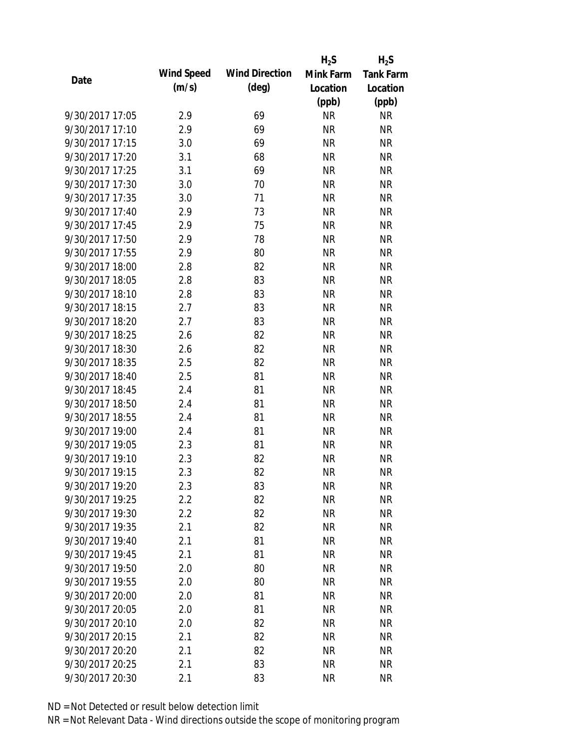|                 |            |                       | $H_2S$    | $H_2S$           |
|-----------------|------------|-----------------------|-----------|------------------|
| Date            | Wind Speed | <b>Wind Direction</b> | Mink Farm | <b>Tank Farm</b> |
|                 | (m/s)      | $(\text{deg})$        | Location  | Location         |
|                 |            |                       | (ppb)     | (ppb)            |
| 9/30/2017 17:05 | 2.9        | 69                    | <b>NR</b> | <b>NR</b>        |
| 9/30/2017 17:10 | 2.9        | 69                    | <b>NR</b> | <b>NR</b>        |
| 9/30/2017 17:15 | 3.0        | 69                    | <b>NR</b> | <b>NR</b>        |
| 9/30/2017 17:20 | 3.1        | 68                    | <b>NR</b> | <b>NR</b>        |
| 9/30/2017 17:25 | 3.1        | 69                    | <b>NR</b> | <b>NR</b>        |
| 9/30/2017 17:30 | 3.0        | 70                    | <b>NR</b> | <b>NR</b>        |
| 9/30/2017 17:35 | 3.0        | 71                    | <b>NR</b> | <b>NR</b>        |
| 9/30/2017 17:40 | 2.9        | 73                    | <b>NR</b> | <b>NR</b>        |
| 9/30/2017 17:45 | 2.9        | 75                    | <b>NR</b> | <b>NR</b>        |
| 9/30/2017 17:50 | 2.9        | 78                    | <b>NR</b> | <b>NR</b>        |
| 9/30/2017 17:55 | 2.9        | 80                    | <b>NR</b> | <b>NR</b>        |
| 9/30/2017 18:00 | 2.8        | 82                    | <b>NR</b> | <b>NR</b>        |
| 9/30/2017 18:05 | 2.8        | 83                    | <b>NR</b> | <b>NR</b>        |
| 9/30/2017 18:10 | 2.8        | 83                    | <b>NR</b> | <b>NR</b>        |
| 9/30/2017 18:15 | 2.7        | 83                    | <b>NR</b> | <b>NR</b>        |
| 9/30/2017 18:20 | 2.7        | 83                    | <b>NR</b> | <b>NR</b>        |
| 9/30/2017 18:25 | 2.6        | 82                    | <b>NR</b> | <b>NR</b>        |
| 9/30/2017 18:30 | 2.6        | 82                    | <b>NR</b> | <b>NR</b>        |
| 9/30/2017 18:35 | 2.5        | 82                    | <b>NR</b> | <b>NR</b>        |
| 9/30/2017 18:40 | 2.5        | 81                    | <b>NR</b> | <b>NR</b>        |
| 9/30/2017 18:45 | 2.4        | 81                    | <b>NR</b> | <b>NR</b>        |
| 9/30/2017 18:50 | 2.4        | 81                    | <b>NR</b> | <b>NR</b>        |
| 9/30/2017 18:55 | 2.4        | 81                    | <b>NR</b> | <b>NR</b>        |
| 9/30/2017 19:00 | 2.4        | 81                    | <b>NR</b> | <b>NR</b>        |
| 9/30/2017 19:05 | 2.3        | 81                    | <b>NR</b> | <b>NR</b>        |
| 9/30/2017 19:10 | 2.3        | 82                    | <b>NR</b> | <b>NR</b>        |
| 9/30/2017 19:15 | 2.3        | 82                    | <b>NR</b> | <b>NR</b>        |
| 9/30/2017 19:20 | 2.3        | 83                    | <b>NR</b> | NR               |
| 9/30/2017 19:25 | 2.2        | 82                    | <b>NR</b> | <b>NR</b>        |
| 9/30/2017 19:30 | 2.2        | 82                    | <b>NR</b> | <b>NR</b>        |
| 9/30/2017 19:35 | 2.1        | 82                    | <b>NR</b> | <b>NR</b>        |
| 9/30/2017 19:40 | 2.1        | 81                    | <b>NR</b> | NR               |
| 9/30/2017 19:45 | 2.1        | 81                    | <b>NR</b> | <b>NR</b>        |
| 9/30/2017 19:50 | 2.0        | 80                    | <b>NR</b> | <b>NR</b>        |
| 9/30/2017 19:55 | 2.0        | 80                    | <b>NR</b> | <b>NR</b>        |
| 9/30/2017 20:00 | 2.0        | 81                    | <b>NR</b> | <b>NR</b>        |
| 9/30/2017 20:05 | 2.0        | 81                    | <b>NR</b> | <b>NR</b>        |
| 9/30/2017 20:10 | 2.0        | 82                    | NR        | <b>NR</b>        |
| 9/30/2017 20:15 | 2.1        | 82                    | <b>NR</b> | <b>NR</b>        |
| 9/30/2017 20:20 | 2.1        | 82                    | <b>NR</b> | <b>NR</b>        |
| 9/30/2017 20:25 | 2.1        | 83                    | <b>NR</b> | <b>NR</b>        |
| 9/30/2017 20:30 | 2.1        | 83                    | <b>NR</b> | <b>NR</b>        |
|                 |            |                       |           |                  |